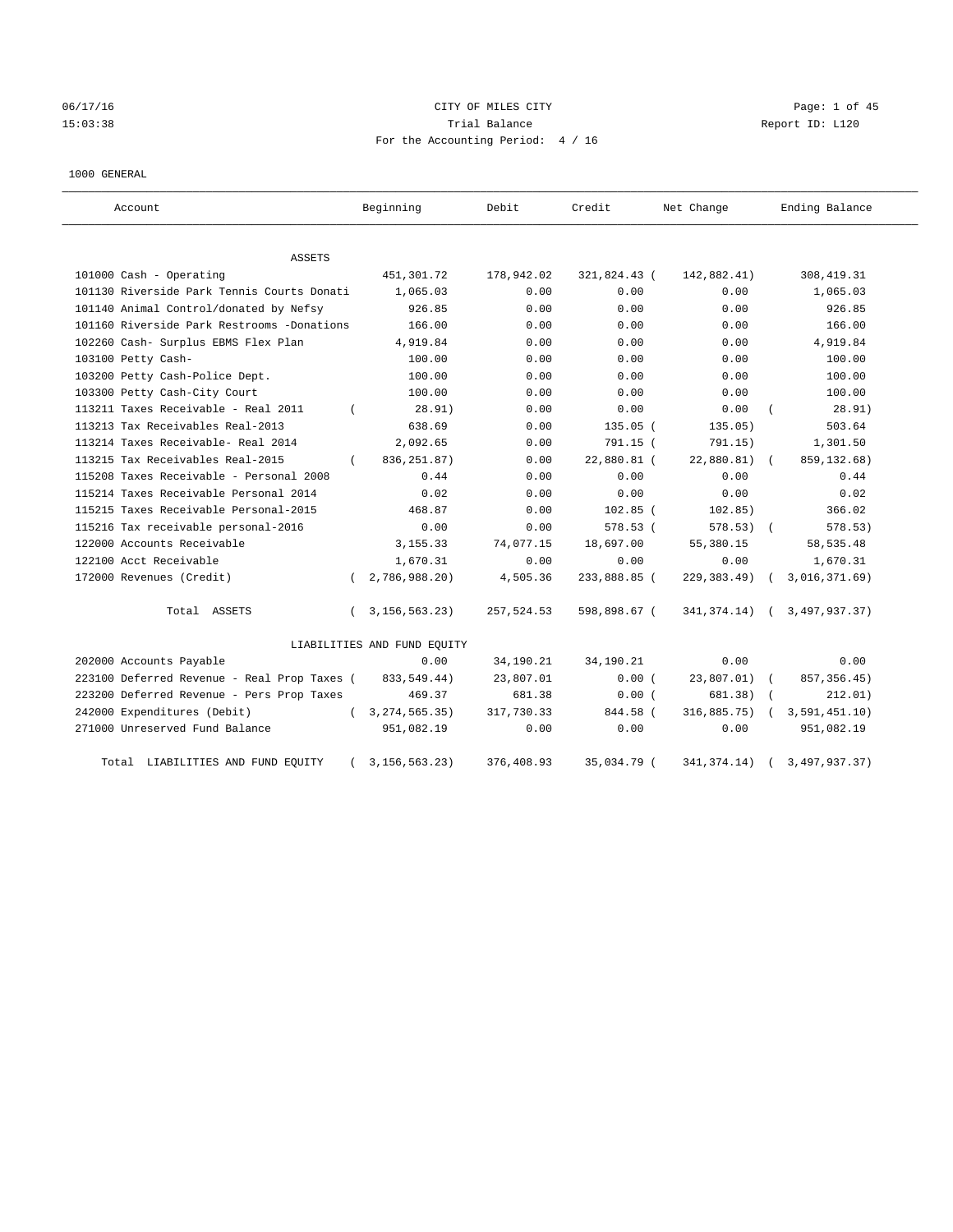# 06/17/16 Page: 1 of 45 15:03:38 Trial Balance Report ID: L120 For the Accounting Period: 4 / 16

#### 1000 GENERAL

| Account                                     |          | Beginning                   | Debit      | Credit       | Net Change       | Ending Balance |
|---------------------------------------------|----------|-----------------------------|------------|--------------|------------------|----------------|
| ASSETS                                      |          |                             |            |              |                  |                |
| 101000 Cash - Operating                     |          | 451,301.72                  | 178,942.02 | 321,824.43 ( | 142,882.41)      | 308, 419.31    |
| 101130 Riverside Park Tennis Courts Donati  |          | 1,065.03                    | 0.00       | 0.00         | 0.00             | 1,065.03       |
| 101140 Animal Control/donated by Nefsy      |          | 926.85                      | 0.00       | 0.00         | 0.00             | 926.85         |
| 101160 Riverside Park Restrooms -Donations  |          | 166.00                      | 0.00       | 0.00         | 0.00             | 166.00         |
| 102260 Cash- Surplus EBMS Flex Plan         |          | 4,919.84                    | 0.00       | 0.00         | 0.00             | 4,919.84       |
| 103100 Petty Cash-                          |          | 100.00                      | 0.00       | 0.00         | 0.00             | 100.00         |
| 103200 Petty Cash-Police Dept.              |          | 100.00                      | 0.00       | 0.00         | 0.00             | 100.00         |
| 103300 Petty Cash-City Court                |          | 100.00                      | 0.00       | 0.00         | 0.00             | 100.00         |
| 113211 Taxes Receivable - Real 2011         |          | 28.91)                      | 0.00       | 0.00         | 0.00             | 28.91)         |
| 113213 Tax Receivables Real-2013            |          | 638.69                      | 0.00       | $135.05$ $($ | 135.05)          | 503.64         |
| 113214 Taxes Receivable- Real 2014          |          | 2,092.65                    | 0.00       | 791.15 (     | 791.15)          | 1,301.50       |
| 113215 Tax Receivables Real-2015            | $\left($ | 836, 251.87)                | 0.00       | 22,880.81 (  | 22,880.81)       | 859, 132.68)   |
| 115208 Taxes Receivable - Personal 2008     |          | 0.44                        | 0.00       | 0.00         | 0.00             | 0.44           |
| 115214 Taxes Receivable Personal 2014       |          | 0.02                        | 0.00       | 0.00         | 0.00             | 0.02           |
| 115215 Taxes Receivable Personal-2015       |          | 468.87                      | 0.00       | $102.85$ (   | 102.85)          | 366.02         |
| 115216 Tax receivable personal-2016         |          | 0.00                        | 0.00       | 578.53 (     | $578.53)$ (      | 578.53)        |
| 122000 Accounts Receivable                  |          | 3, 155. 33                  | 74,077.15  | 18,697.00    | 55,380.15        | 58, 535.48     |
| 122100 Acct Receivable                      |          | 1,670.31                    | 0.00       | 0.00         | 0.00             | 1,670.31       |
| 172000 Revenues (Credit)                    | $\left($ | 2,786,988.20)               | 4,505.36   | 233,888.85 ( | $229, 383.49$ (  | 3,016,371.69)  |
| Total ASSETS                                | $\left($ | 3, 156, 563. 23)            | 257,524.53 | 598,898.67 ( | $341, 374.14)$ ( | 3,497,937.37)  |
|                                             |          | LIABILITIES AND FUND EQUITY |            |              |                  |                |
| 202000 Accounts Payable                     |          | 0.00                        | 34,190.21  | 34,190.21    | 0.00             | 0.00           |
| 223100 Deferred Revenue - Real Prop Taxes ( |          | 833, 549.44)                | 23,807.01  | 0.00(        | 23,807.01)       | 857, 356.45)   |
| 223200 Deferred Revenue - Pers Prop Taxes   |          | 469.37                      | 681.38     | 0.00(        | 681.38)          | 212.01)        |
| 242000 Expenditures (Debit)                 |          | 3, 274, 565. 35)            | 317,730.33 | 844.58 (     | 316,885.75)      | 3,591,451.10)  |
| 271000 Unreserved Fund Balance              |          | 951,082.19                  | 0.00       | 0.00         | 0.00             | 951,082.19     |
| Total LIABILITIES AND FUND EQUITY           |          | 3, 156, 563. 23)            | 376,408.93 | 35,034.79 (  | 341, 374. 14)    | 3,497,937.37)  |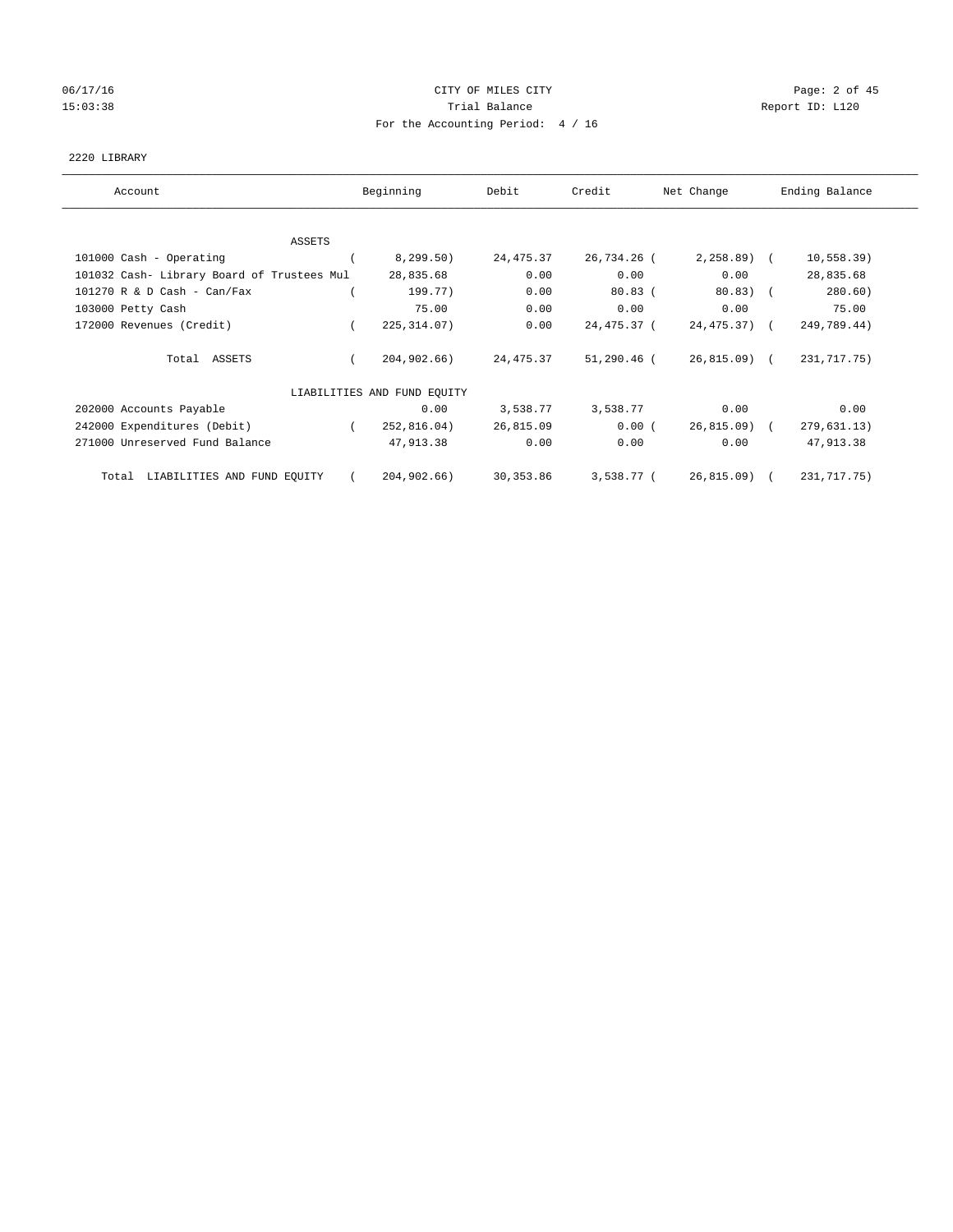# 06/17/16 CITY OF MILES CITY Page: 2 of 45 15:03:38 Trial Balance Trial Balance Report ID: L120 For the Accounting Period: 4 / 16

#### 2220 LIBRARY

| Account                                    | Beginning                   | Debit      | Credit        | Net Change      | Ending Balance |
|--------------------------------------------|-----------------------------|------------|---------------|-----------------|----------------|
|                                            |                             |            |               |                 |                |
| ASSETS                                     |                             |            |               |                 |                |
| 101000 Cash - Operating                    | 8, 299.50)                  | 24, 475.37 | 26,734.26 (   | $2, 258.89$ (   | 10, 558.39)    |
| 101032 Cash- Library Board of Trustees Mul | 28,835.68                   | 0.00       | 0.00          | 0.00            | 28,835.68      |
| $101270$ R & D Cash - Can/Fax              | 199.77)                     | 0.00       | $80.83$ (     | $80.83$ ) (     | 280.60)        |
| 103000 Petty Cash                          | 75.00                       | 0.00       | 0.00          | 0.00            | 75.00          |
| 172000 Revenues (Credit)                   | 225, 314.07)                | 0.00       | 24,475.37 (   | $24, 475, 37$ ( | 249,789.44)    |
| Total ASSETS                               | 204,902.66)                 | 24, 475.37 | $51,290.46$ ( | 26,815.09) (    | 231,717.75)    |
|                                            | LIABILITIES AND FUND EQUITY |            |               |                 |                |
| 202000 Accounts Payable                    | 0.00                        | 3,538.77   | 3,538.77      | 0.00            | 0.00           |
| 242000 Expenditures (Debit)                | 252,816.04)                 | 26,815.09  | 0.00(         | 26,815.09) (    | 279,631.13)    |
| 271000 Unreserved Fund Balance             | 47,913.38                   | 0.00       | 0.00          | 0.00            | 47,913.38      |
| LIABILITIES AND FUND EQUITY<br>Total       | 204,902.66)                 | 30, 353.86 | 3,538.77 (    | 26, 815.09      | 231, 717. 75)  |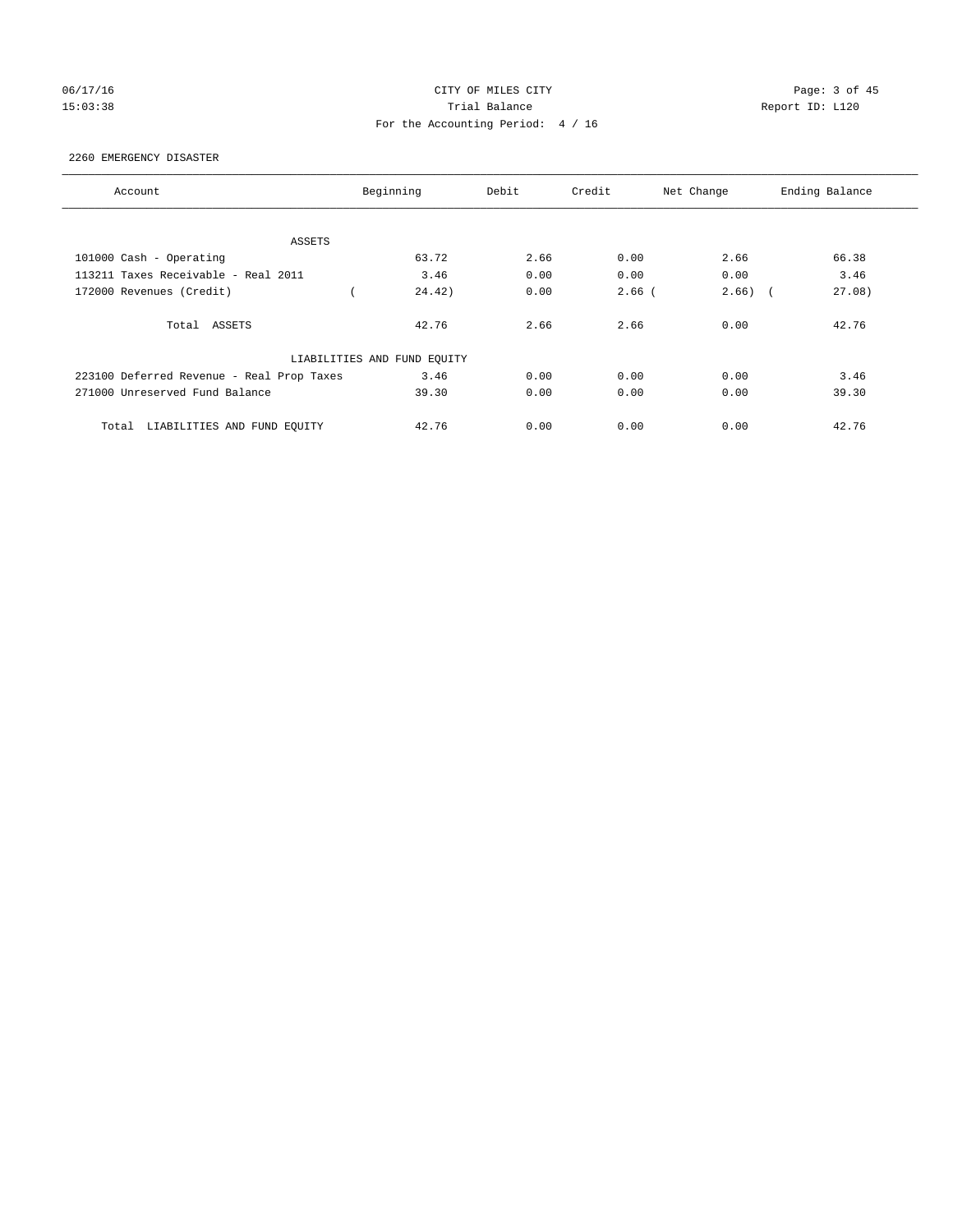# 06/17/16 CITY OF MILES CITY Page: 3 of 45 15:03:38 Trial Balance Trial Balance Report ID: L120 For the Accounting Period: 4 / 16

#### 2260 EMERGENCY DISASTER

| Account                                   | Beginning                   | Debit | Credit   | Net Change          | Ending Balance |
|-------------------------------------------|-----------------------------|-------|----------|---------------------|----------------|
|                                           |                             |       |          |                     |                |
| ASSETS                                    |                             |       |          |                     |                |
| 101000 Cash - Operating                   | 63.72                       | 2.66  | 0.00     | 2.66                | 66.38          |
| 113211 Taxes Receivable - Real 2011       | 3.46                        | 0.00  | 0.00     | 0.00                | 3.46           |
| 172000 Revenues (Credit)                  | 24.42)                      | 0.00  | $2.66$ ( | 2.66)<br>$\sqrt{2}$ | 27.08)         |
| Total ASSETS                              | 42.76                       | 2.66  | 2.66     | 0.00                | 42.76          |
|                                           | LIABILITIES AND FUND EQUITY |       |          |                     |                |
| 223100 Deferred Revenue - Real Prop Taxes | 3.46                        | 0.00  | 0.00     | 0.00                | 3.46           |
| 271000 Unreserved Fund Balance            | 39.30                       | 0.00  | 0.00     | 0.00                | 39.30          |
| LIABILITIES AND FUND EQUITY<br>Total      | 42.76                       | 0.00  | 0.00     | 0.00                | 42.76          |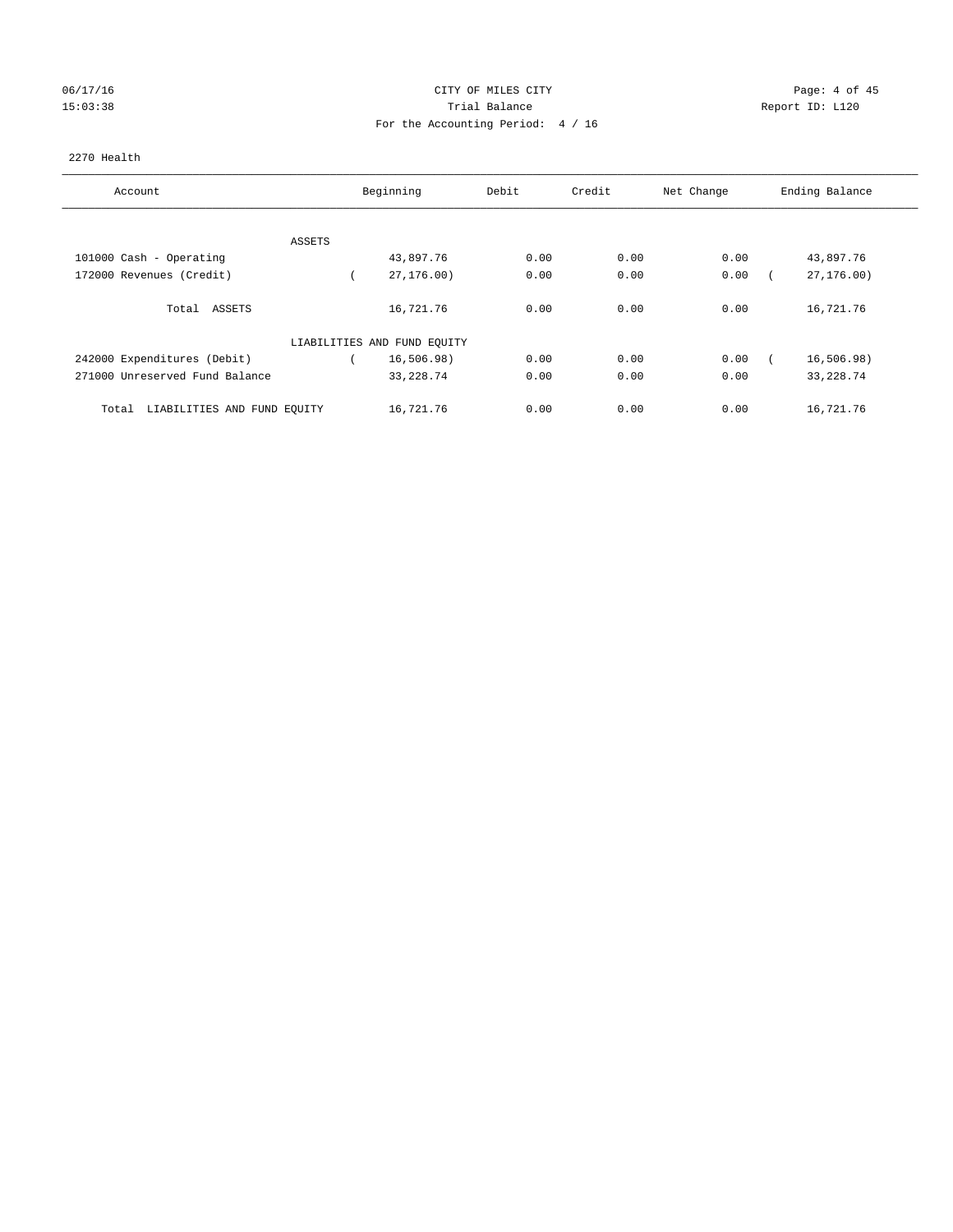# 06/17/16 CITY OF MILES CITY Page: 4 of 45 15:03:38 Trial Balance Trial Balance Report ID: L120 For the Accounting Period: 4 / 16

#### 2270 Health

| Account                              | Beginning                   | Debit | Credit | Net Change | Ending Balance |
|--------------------------------------|-----------------------------|-------|--------|------------|----------------|
| ASSETS                               |                             |       |        |            |                |
| 101000 Cash - Operating              | 43,897.76                   | 0.00  | 0.00   | 0.00       | 43,897.76      |
| 172000 Revenues (Credit)             | 27,176.00)                  | 0.00  | 0.00   | 0.00       | 27,176.00)     |
| Total ASSETS                         | 16,721.76                   | 0.00  | 0.00   | 0.00       | 16,721.76      |
|                                      | LIABILITIES AND FUND EQUITY |       |        |            |                |
| 242000 Expenditures (Debit)          | 16, 506.98)                 | 0.00  | 0.00   | 0.00       | 16, 506.98)    |
| 271000 Unreserved Fund Balance       | 33, 228.74                  | 0.00  | 0.00   | 0.00       | 33, 228.74     |
| LIABILITIES AND FUND EQUITY<br>Total | 16,721.76                   | 0.00  | 0.00   | 0.00       | 16,721.76      |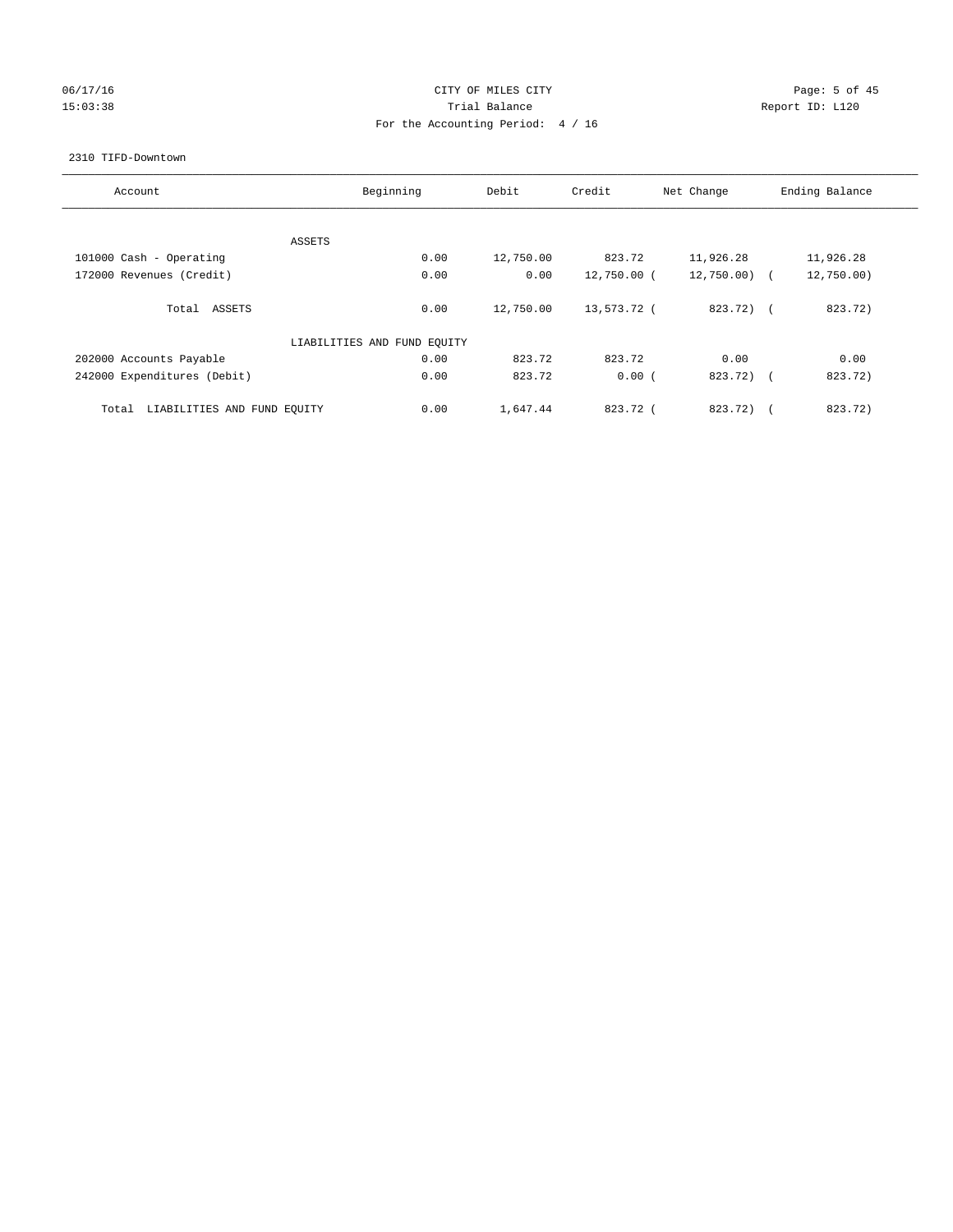# 06/17/16 Page: 5 of 45 15:03:38 Trial Balance Trial Balance Report ID: L120 For the Accounting Period: 4 / 16

#### 2310 TIFD-Downtown

| Account                              | Beginning                   | Debit     | Credit      | Net Change    | Ending Balance    |
|--------------------------------------|-----------------------------|-----------|-------------|---------------|-------------------|
|                                      | ASSETS                      |           |             |               |                   |
| 101000 Cash - Operating              | 0.00                        | 12,750.00 | 823.72      | 11,926.28     | 11,926.28         |
| 172000 Revenues (Credit)             | 0.00                        | 0.00      | 12,750.00 ( | $12,750.00$ ( | 12,750.00)        |
| Total ASSETS                         | 0.00                        | 12,750.00 | 13,573.72 ( | 823.72) (     | 823.72)           |
|                                      | LIABILITIES AND FUND EQUITY |           |             |               |                   |
| 202000 Accounts Payable              | 0.00                        | 823.72    | 823.72      | 0.00          | 0.00              |
| 242000 Expenditures (Debit)          | 0.00                        | 823.72    | 0.00(       | 823.72) (     | 823.72)           |
| LIABILITIES AND FUND EQUITY<br>Total | 0.00                        | 1,647.44  | 823.72 (    | 823.72)       | 823.72)<br>$\sim$ |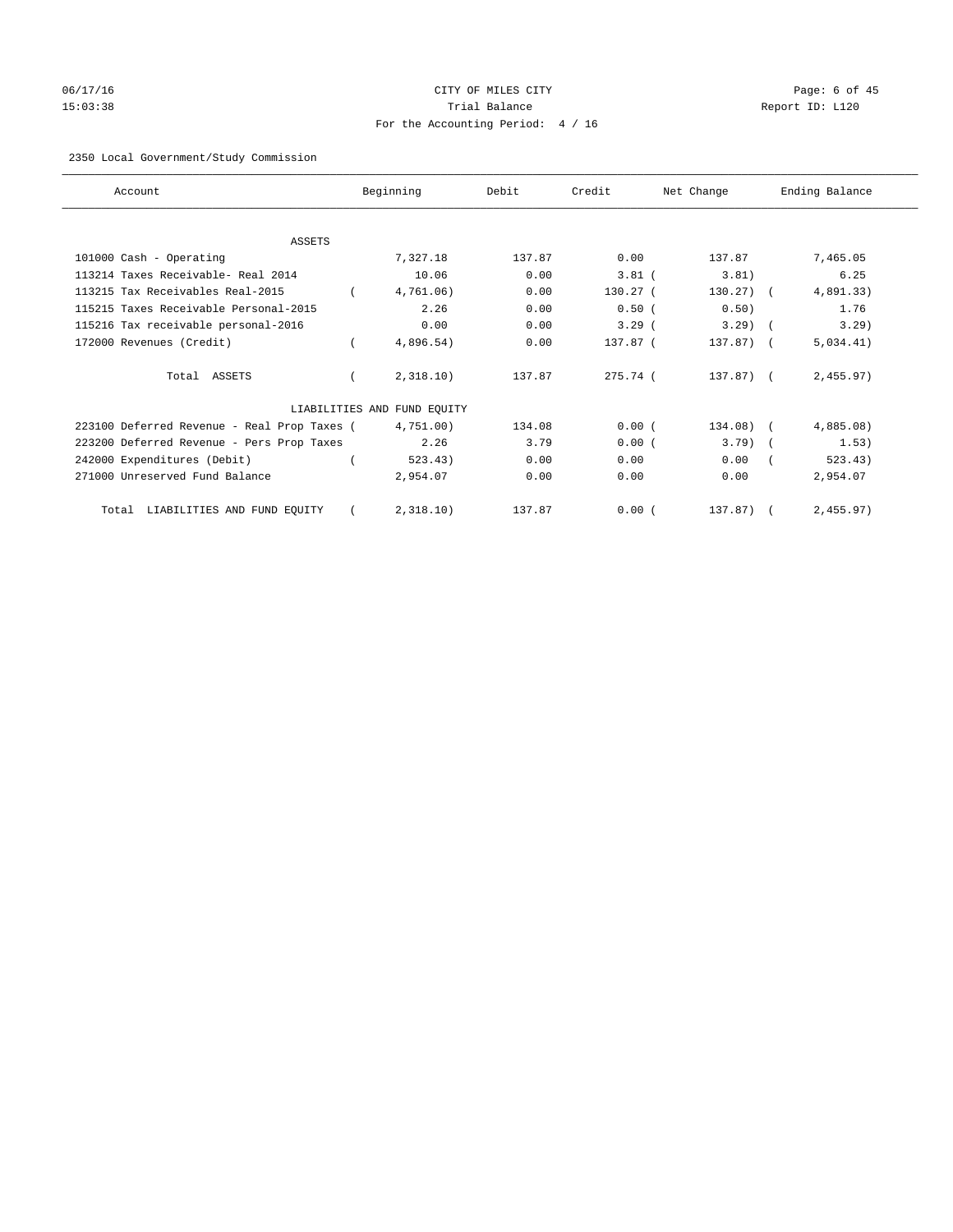# 06/17/16 CITY OF MILES CITY Page: 6 of 45 15:03:38 Trial Balance Report ID: L120 For the Accounting Period: 4 / 16

# 2350 Local Government/Study Commission

| Account                                     | Beginning                   | Debit  | Credit     | Net Change     | Ending Balance |
|---------------------------------------------|-----------------------------|--------|------------|----------------|----------------|
|                                             |                             |        |            |                |                |
| <b>ASSETS</b>                               |                             |        |            |                |                |
| 101000 Cash - Operating                     | 7,327.18                    | 137.87 | 0.00       | 137.87         | 7,465.05       |
| 113214 Taxes Receivable- Real 2014          | 10.06                       | 0.00   | $3.81$ (   | 3.81)          | 6.25           |
| 113215 Tax Receivables Real-2015            | 4,761.06)                   | 0.00   | $130.27$ ( | $130.27$ ) $($ | 4,891.33)      |
| 115215 Taxes Receivable Personal-2015       | 2.26                        | 0.00   | 0.50(      | 0.50)          | 1.76           |
| 115216 Tax receivable personal-2016         | 0.00                        | 0.00   | $3.29$ (   | $3.29$ (       | 3.29)          |
| 172000 Revenues (Credit)                    | 4,896.54)                   | 0.00   | 137.87 (   | 137.87) (      | 5,034.41)      |
| Total ASSETS                                | 2,318.10)                   | 137.87 | 275.74 (   | 137.87) (      | 2,455.97)      |
|                                             | LIABILITIES AND FUND EQUITY |        |            |                |                |
| 223100 Deferred Revenue - Real Prop Taxes ( | 4,751.00)                   | 134.08 | 0.00(      | $134.08)$ (    | 4,885.08)      |
| 223200 Deferred Revenue - Pers Prop Taxes   | 2.26                        | 3.79   | 0.00(      | $3.79$ )       | 1.53)          |
| 242000 Expenditures (Debit)                 | 523.43)                     | 0.00   | 0.00       | 0.00           | 523.43)        |
| 271000 Unreserved Fund Balance              | 2,954.07                    | 0.00   | 0.00       | 0.00           | 2,954.07       |
| Total LIABILITIES AND FUND EQUITY           | 2,318.10)                   | 137.87 | 0.00(      | 137.87)        | 2,455.97)      |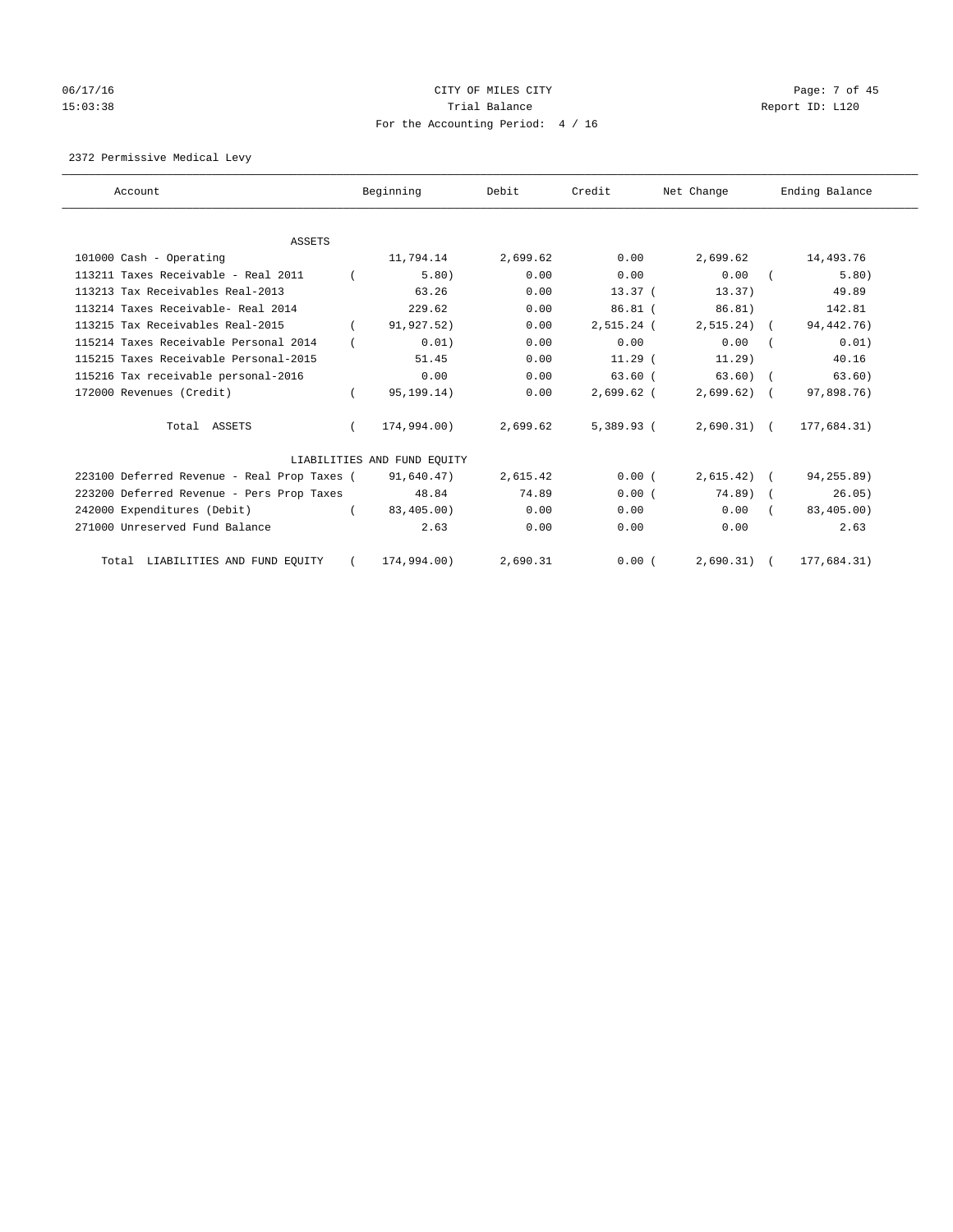# 06/17/16 Page: 7 of 45 15:03:38 Trial Balance Trial Balance Report ID: L120 For the Accounting Period: 4 / 16

2372 Permissive Medical Levy

| Account                                     |          | Beginning                   | Debit    | Credit       | Net Change   | Ending Balance |
|---------------------------------------------|----------|-----------------------------|----------|--------------|--------------|----------------|
| ASSETS                                      |          |                             |          |              |              |                |
| 101000 Cash - Operating                     |          | 11,794.14                   | 2,699.62 | 0.00         | 2,699.62     | 14,493.76      |
| 113211 Taxes Receivable - Real 2011         |          | 5.80)                       | 0.00     | 0.00         | 0.00         | 5.80)          |
| 113213 Tax Receivables Real-2013            |          | 63.26                       | 0.00     | 13.37(       | 13.37        | 49.89          |
| 113214 Taxes Receivable- Real 2014          |          | 229.62                      | 0.00     | $86.81$ (    | 86.81)       | 142.81         |
| 113215 Tax Receivables Real-2015            |          | 91,927.52)                  | 0.00     | $2,515.24$ ( | $2,515.24$ ( | 94, 442. 76)   |
| 115214 Taxes Receivable Personal 2014       |          | 0.01)                       | 0.00     | 0.00         | 0.00         | 0.01)          |
| 115215 Taxes Receivable Personal-2015       |          | 51.45                       | 0.00     | $11.29$ (    | 11.29)       | 40.16          |
| 115216 Tax receivable personal-2016         |          | 0.00                        | 0.00     | 63.60(       | $63.60$ (    | 63.60)         |
| 172000 Revenues (Credit)                    |          | 95,199.14)                  | 0.00     | $2,699.62$ ( | $2,699.62$ ( | 97,898.76)     |
| Total ASSETS                                | $\left($ | 174,994.00)                 | 2,699.62 | 5,389.93 (   | $2,690.31$ ( | 177,684.31)    |
|                                             |          | LIABILITIES AND FUND EQUITY |          |              |              |                |
| 223100 Deferred Revenue - Real Prop Taxes ( |          | 91,640.47)                  | 2,615.42 | 0.00(        | $2,615.42$ ( | 94,255.89)     |
| 223200 Deferred Revenue - Pers Prop Taxes   |          | 48.84                       | 74.89    | 0.00(        | 74.89) (     | 26.05)         |
| 242000 Expenditures (Debit)                 | $\left($ | 83,405.00)                  | 0.00     | 0.00         | 0.00         | 83,405.00)     |
| 271000 Unreserved Fund Balance              |          | 2.63                        | 0.00     | 0.00         | 0.00         | 2.63           |
| Total LIABILITIES AND FUND EQUITY           | $\left($ | 174,994.00)                 | 2,690.31 | 0.00(        | $2,690.31$ ( | 177,684.31)    |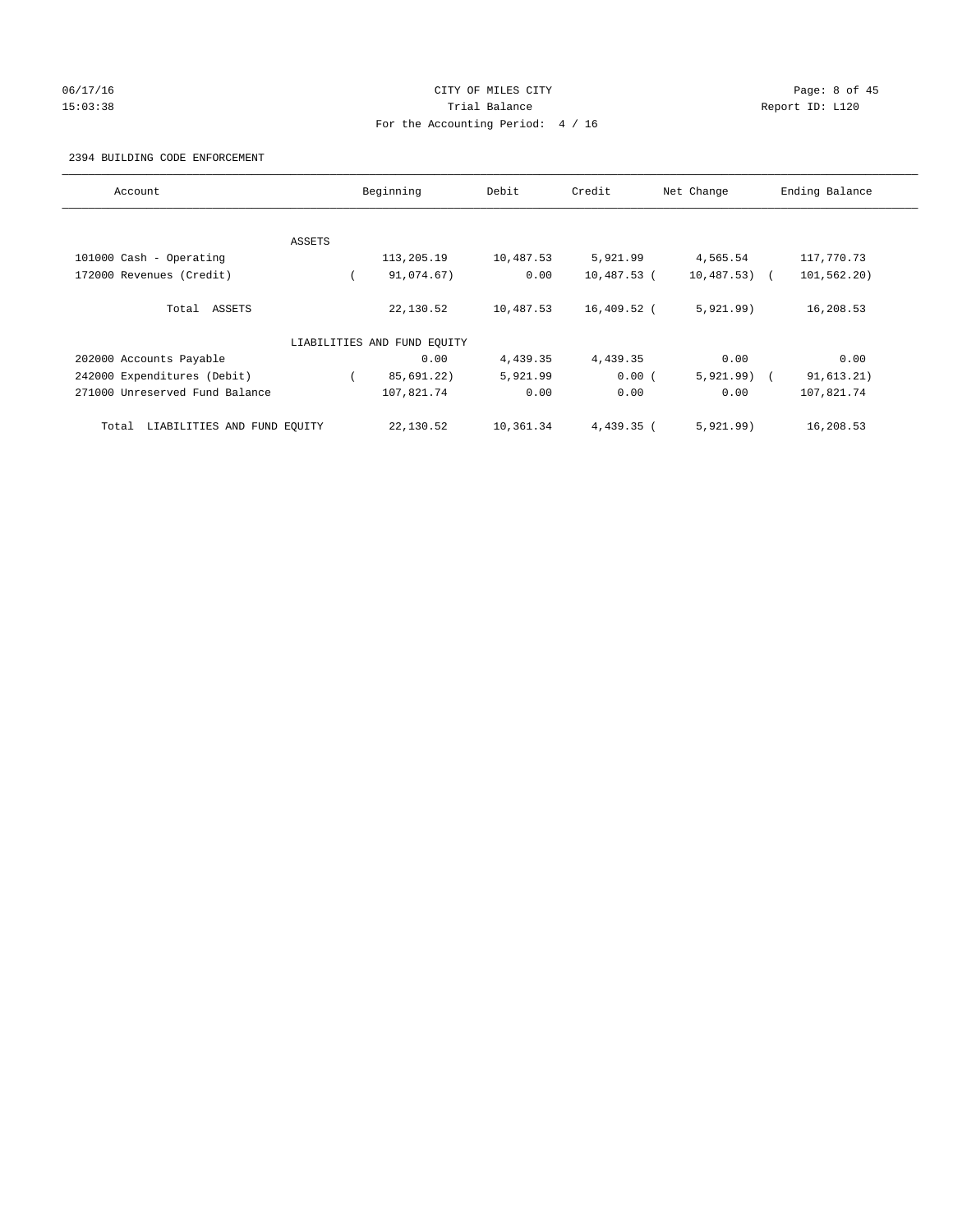# 06/17/16 CITY OF MILES CITY Page: 8 of 45 15:03:38 Trial Balance Trial Balance Report ID: L120 For the Accounting Period: 4 / 16

#### 2394 BUILDING CODE ENFORCEMENT

| Account                              |        | Beginning                   | Debit     | Credit      | Net Change    | Ending Balance |
|--------------------------------------|--------|-----------------------------|-----------|-------------|---------------|----------------|
|                                      |        |                             |           |             |               |                |
|                                      | ASSETS |                             |           |             |               |                |
| 101000 Cash - Operating              |        | 113,205.19                  | 10,487.53 | 5,921.99    | 4,565.54      | 117,770.73     |
| 172000 Revenues (Credit)             |        | 91,074.67)                  | 0.00      | 10,487.53 ( | $10,487.53$ ( | 101,562.20)    |
| Total ASSETS                         |        | 22,130.52                   | 10,487.53 | 16,409.52 ( | 5,921.99)     | 16,208.53      |
|                                      |        | LIABILITIES AND FUND EQUITY |           |             |               |                |
| 202000 Accounts Payable              |        | 0.00                        | 4,439.35  | 4,439.35    | 0.00          | 0.00           |
| 242000 Expenditures (Debit)          |        | 85,691.22)                  | 5,921.99  | 0.00(       | $5,921.99$ (  | 91, 613.21)    |
| 271000 Unreserved Fund Balance       |        | 107,821.74                  | 0.00      | 0.00        | 0.00          | 107,821.74     |
| LIABILITIES AND FUND EQUITY<br>Total |        | 22,130.52                   | 10,361.34 | 4,439.35 (  | 5,921.99)     | 16,208.53      |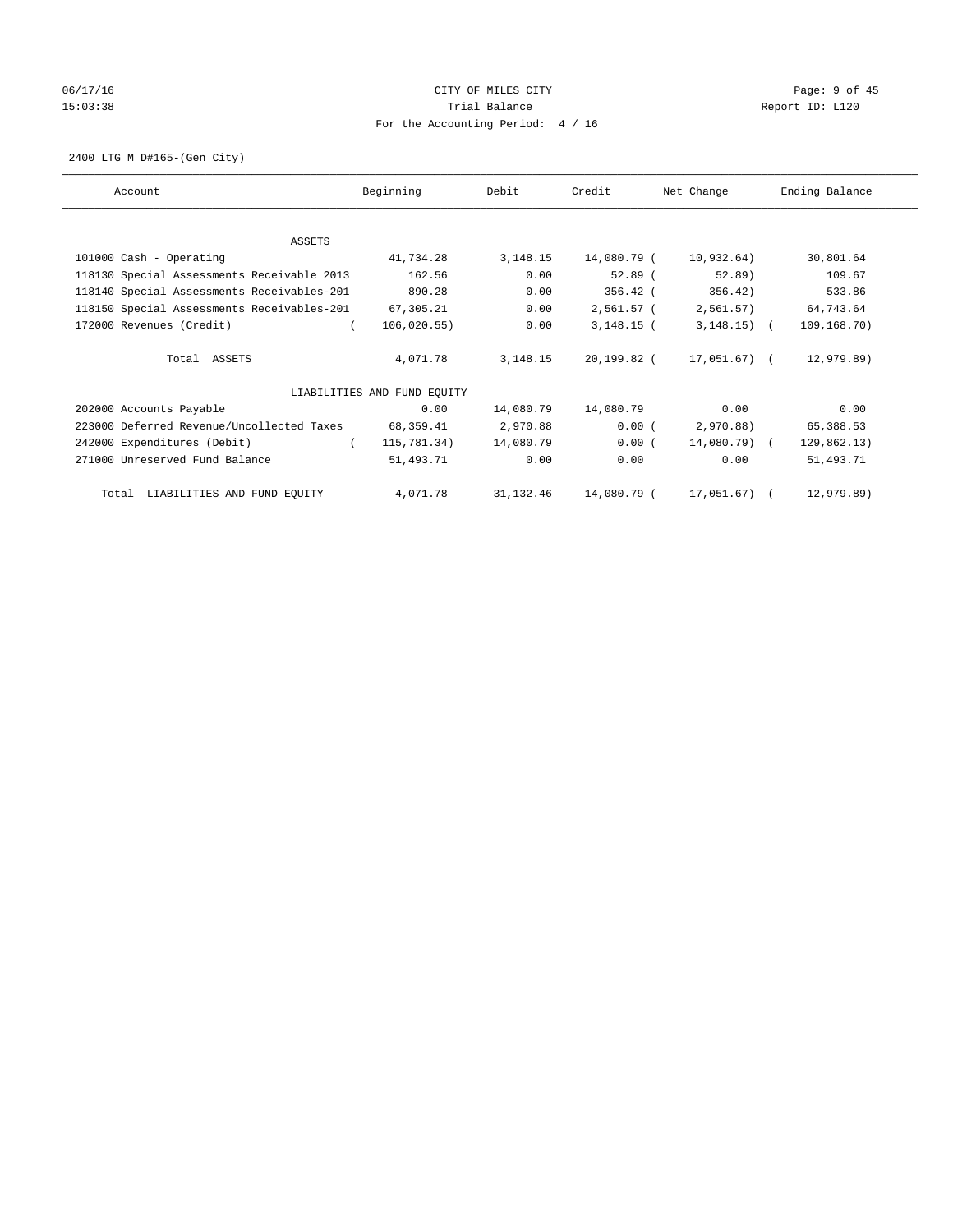# 06/17/16 CITY OF MILES CITY Page: 9 of 45 15:03:38 Trial Balance Trial Balance Report ID: L120 For the Accounting Period: 4 / 16

2400 LTG M D#165-(Gen City)

| Account                                    | Beginning                   | Debit      | Credit       | Net Change   | Ending Balance |
|--------------------------------------------|-----------------------------|------------|--------------|--------------|----------------|
|                                            |                             |            |              |              |                |
| ASSETS                                     |                             |            |              |              |                |
| 101000 Cash - Operating                    | 41,734.28                   | 3, 148. 15 | 14,080.79 (  | 10,932.64)   | 30,801.64      |
| 118130 Special Assessments Receivable 2013 | 162.56                      | 0.00       | $52.89$ (    | $52.89$ )    | 109.67         |
| 118140 Special Assessments Receivables-201 | 890.28                      | 0.00       | 356.42 (     | 356.42)      | 533.86         |
| 118150 Special Assessments Receivables-201 | 67,305.21                   | 0.00       | 2,561.57 (   | 2,561.57)    | 64,743.64      |
| 172000 Revenues (Credit)                   | 106,020.55)                 | 0.00       | $3,148.15$ ( | $3,148.15$ ( | 109,168.70)    |
| Total ASSETS                               | 4,071.78                    | 3, 148. 15 | 20,199.82 (  | 17,051.67) ( | 12,979.89)     |
|                                            | LIABILITIES AND FUND EQUITY |            |              |              |                |
| 202000 Accounts Payable                    | 0.00                        | 14,080.79  | 14,080.79    | 0.00         | 0.00           |
| 223000 Deferred Revenue/Uncollected Taxes  | 68,359.41                   | 2,970.88   | 0.00(        | 2,970.88)    | 65,388.53      |
| 242000 Expenditures (Debit)                | 115,781.34)                 | 14,080.79  | 0.00(        | 14,080.79) ( | 129,862.13)    |
| 271000 Unreserved Fund Balance             | 51,493.71                   | 0.00       | 0.00         | 0.00         | 51,493.71      |
| Total LIABILITIES AND FUND EQUITY          | 4,071.78                    | 31,132.46  | 14,080.79 (  | 17,051.67) ( | 12,979.89)     |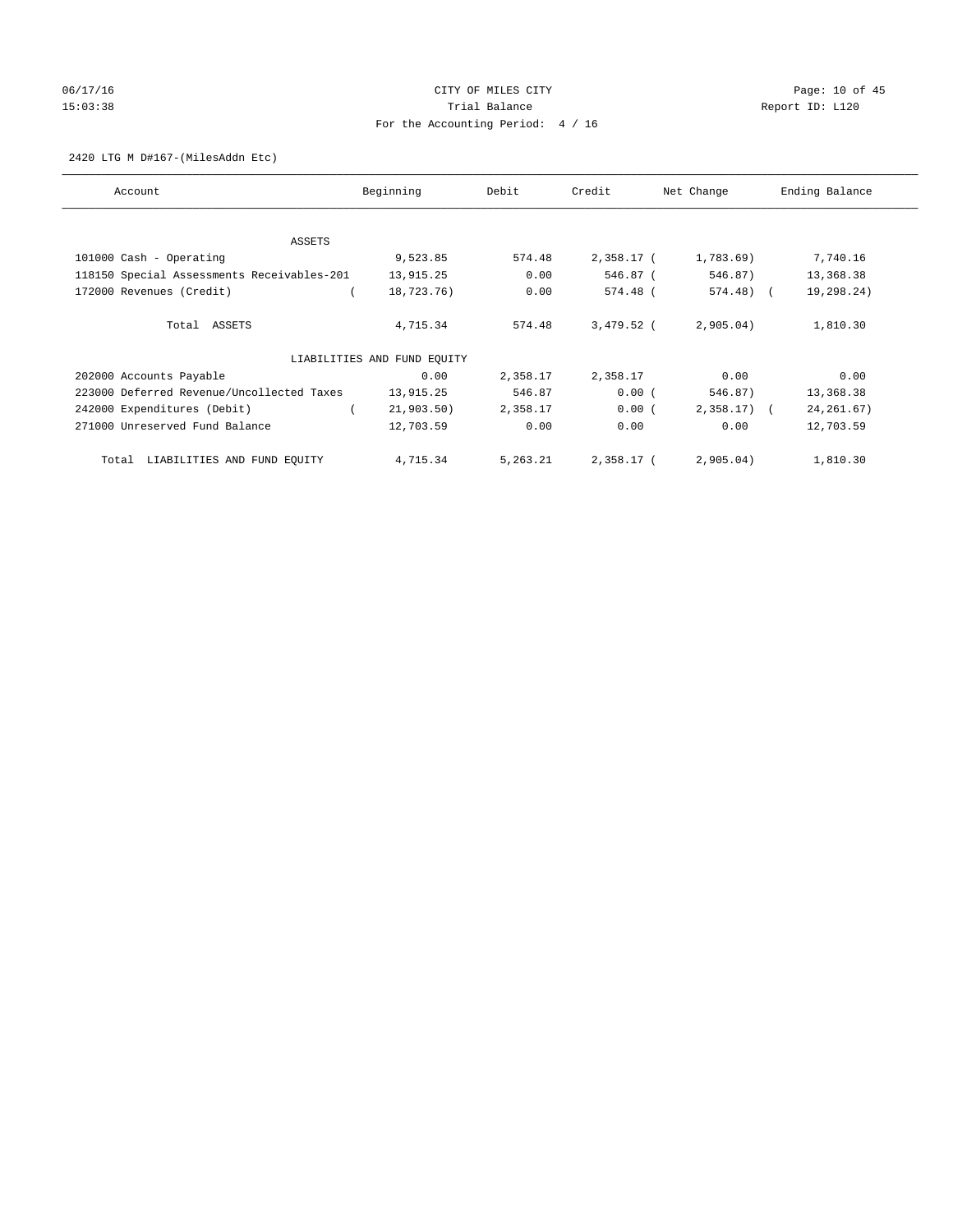# 06/17/16 Page: 10 of 45 15:03:38 Trial Balance Trial Balance Report ID: L120 For the Accounting Period: 4 / 16

2420 LTG M D#167-(MilesAddn Etc)

| Account                                    | Beginning                   | Debit    | Credit       | Net Change   | Ending Balance |
|--------------------------------------------|-----------------------------|----------|--------------|--------------|----------------|
| ASSETS                                     |                             |          |              |              |                |
| 101000 Cash - Operating                    | 9,523.85                    | 574.48   | 2,358.17 (   | 1,783.69)    | 7,740.16       |
| 118150 Special Assessments Receivables-201 | 13,915.25                   | 0.00     | 546.87 (     | 546.87)      | 13,368.38      |
| 172000 Revenues (Credit)                   | 18,723.76)                  | 0.00     | 574.48 (     | 574.48) (    | 19,298.24)     |
| Total ASSETS                               | 4,715.34                    | 574.48   | $3,479.52$ ( | 2,905.04)    | 1,810.30       |
|                                            | LIABILITIES AND FUND EQUITY |          |              |              |                |
| 202000 Accounts Payable                    | 0.00                        | 2,358.17 | 2,358.17     | 0.00         | 0.00           |
| 223000 Deferred Revenue/Uncollected Taxes  | 13,915.25                   | 546.87   | 0.00(        | 546.87)      | 13,368.38      |
| 242000 Expenditures (Debit)                | 21,903.50)                  | 2,358.17 | 0.00(        | $2,358.17$ ( | 24, 261.67)    |
| 271000 Unreserved Fund Balance             | 12,703.59                   | 0.00     | 0.00         | 0.00         | 12,703.59      |
| LIABILITIES AND FUND EQUITY<br>Total       | 4,715.34                    | 5,263.21 | 2,358.17 (   | 2,905.04)    | 1,810.30       |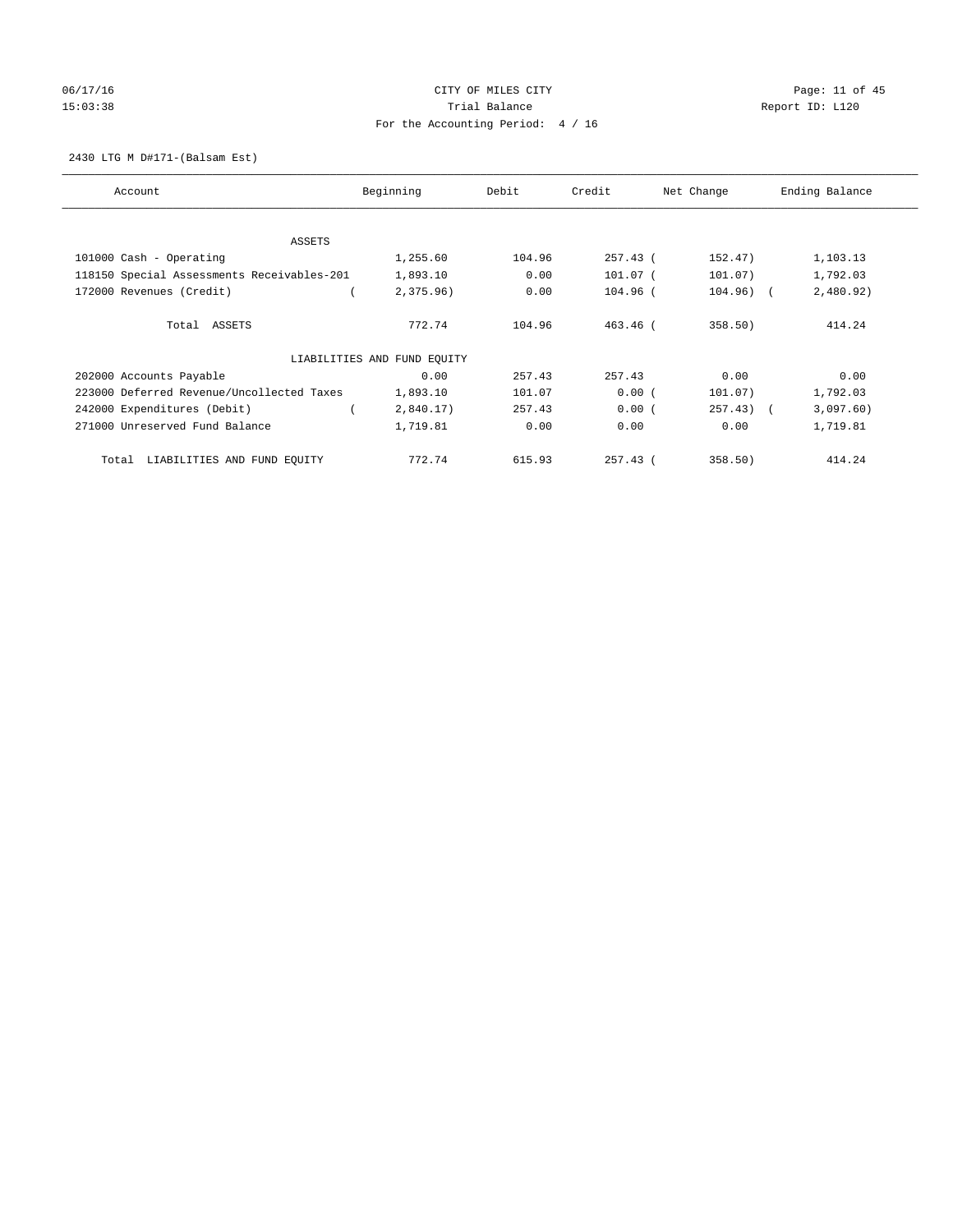# 06/17/16 Page: 11 of 45 15:03:38 Trial Balance Trial Balance Report ID: L120 For the Accounting Period: 4 / 16

#### 2430 LTG M D#171-(Balsam Est)

| Account                                    | Beginning                   | Debit  | Credit     | Net Change   | Ending Balance |
|--------------------------------------------|-----------------------------|--------|------------|--------------|----------------|
| ASSETS                                     |                             |        |            |              |                |
| 101000 Cash - Operating                    | 1,255.60                    | 104.96 | 257.43 (   | 152.47)      | 1,103.13       |
| 118150 Special Assessments Receivables-201 | 1,893.10                    | 0.00   | 101.07 (   | 101.07)      | 1,792.03       |
| 172000 Revenues (Credit)                   | 2,375.96)                   | 0.00   | 104.96 (   | $104.96)$ (  | 2,480.92)      |
| Total ASSETS                               | 772.74                      | 104.96 | $463.46$ ( | 358.50       | 414.24         |
|                                            | LIABILITIES AND FUND EQUITY |        |            |              |                |
| 202000 Accounts Payable                    | 0.00                        | 257.43 | 257.43     | 0.00         | 0.00           |
| 223000 Deferred Revenue/Uncollected Taxes  | 1,893.10                    | 101.07 | 0.00(      | 101.07)      | 1,792.03       |
| 242000 Expenditures (Debit)                | 2,840.17)                   | 257.43 | 0.00(      | $257.43$ ) ( | 3,097.60)      |
| 271000 Unreserved Fund Balance             | 1,719.81                    | 0.00   | 0.00       | 0.00         | 1,719.81       |
| LIABILITIES AND FUND EQUITY<br>Total       | 772.74                      | 615.93 | $257.43$ ( | 358.50)      | 414.24         |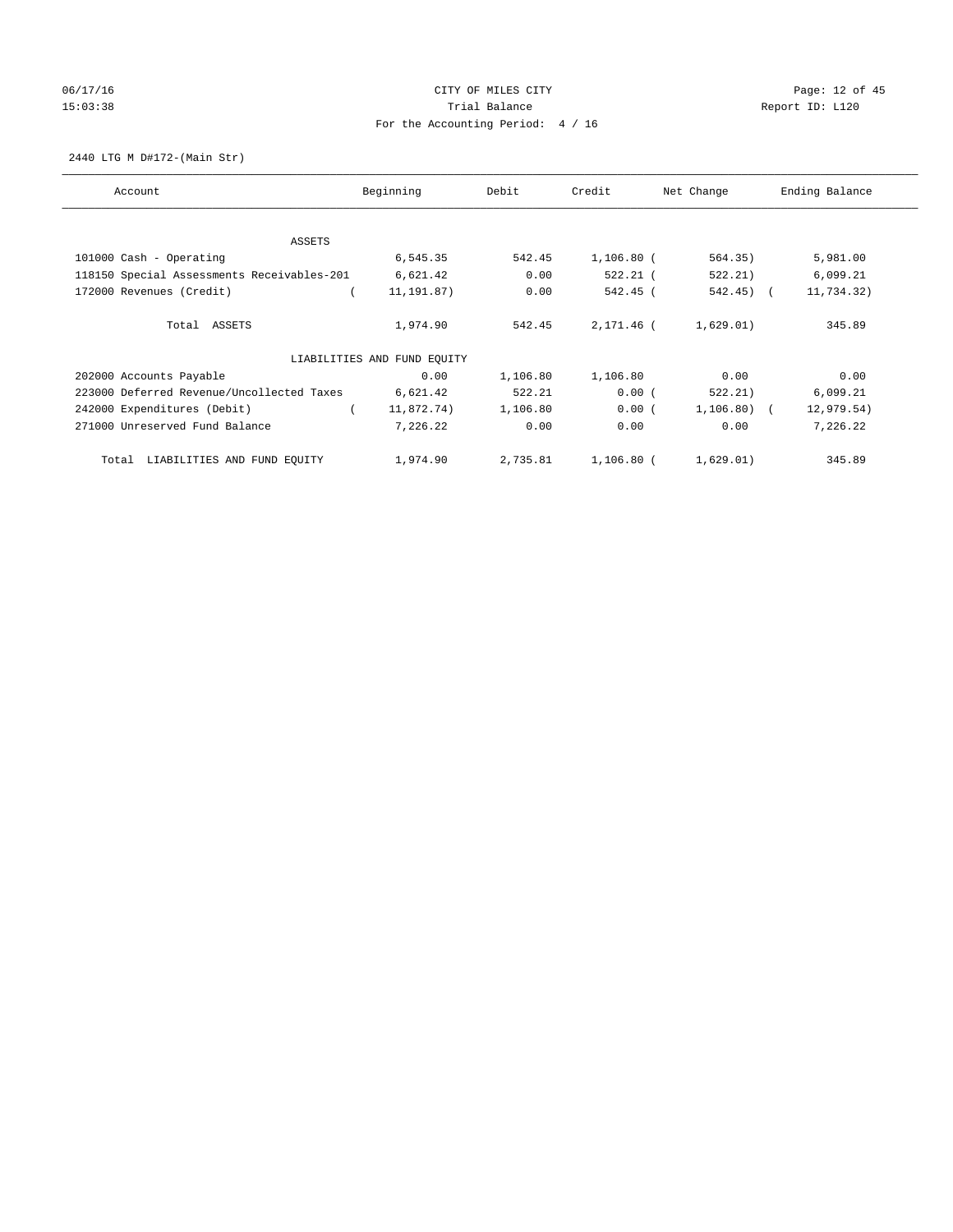# 06/17/16 Page: 12 of 45 15:03:38 Trial Balance Trial Balance Report ID: L120 For the Accounting Period: 4 / 16

2440 LTG M D#172-(Main Str)

| Account                                    | Beginning                   | Debit    | Credit       | Net Change   | Ending Balance |
|--------------------------------------------|-----------------------------|----------|--------------|--------------|----------------|
| ASSETS                                     |                             |          |              |              |                |
| 101000 Cash - Operating                    | 6,545.35                    | 542.45   | $1,106.80$ ( | 564.35)      | 5,981.00       |
| 118150 Special Assessments Receivables-201 | 6,621.42                    | 0.00     | 522.21 (     | 522.21)      | 6,099.21       |
| 172000 Revenues (Credit)                   | 11, 191.87)                 | 0.00     | 542.45 (     | 542.45) (    | 11,734.32)     |
| Total ASSETS                               | 1,974.90                    | 542.45   | 2,171.46 (   | 1,629.01)    | 345.89         |
|                                            | LIABILITIES AND FUND EQUITY |          |              |              |                |
| 202000 Accounts Payable                    | 0.00                        | 1,106.80 | 1,106.80     | 0.00         | 0.00           |
| 223000 Deferred Revenue/Uncollected Taxes  | 6,621.42                    | 522.21   | 0.00(        | 522.21)      | 6,099.21       |
| 242000 Expenditures (Debit)                | 11,872.74)                  | 1,106.80 | 0.00(        | $1,106.80$ ( | 12,979.54)     |
| 271000 Unreserved Fund Balance             | 7,226.22                    | 0.00     | 0.00         | 0.00         | 7,226.22       |
| LIABILITIES AND FUND EQUITY<br>Total       | 1,974.90                    | 2,735.81 | 1,106.80 (   | 1,629.01)    | 345.89         |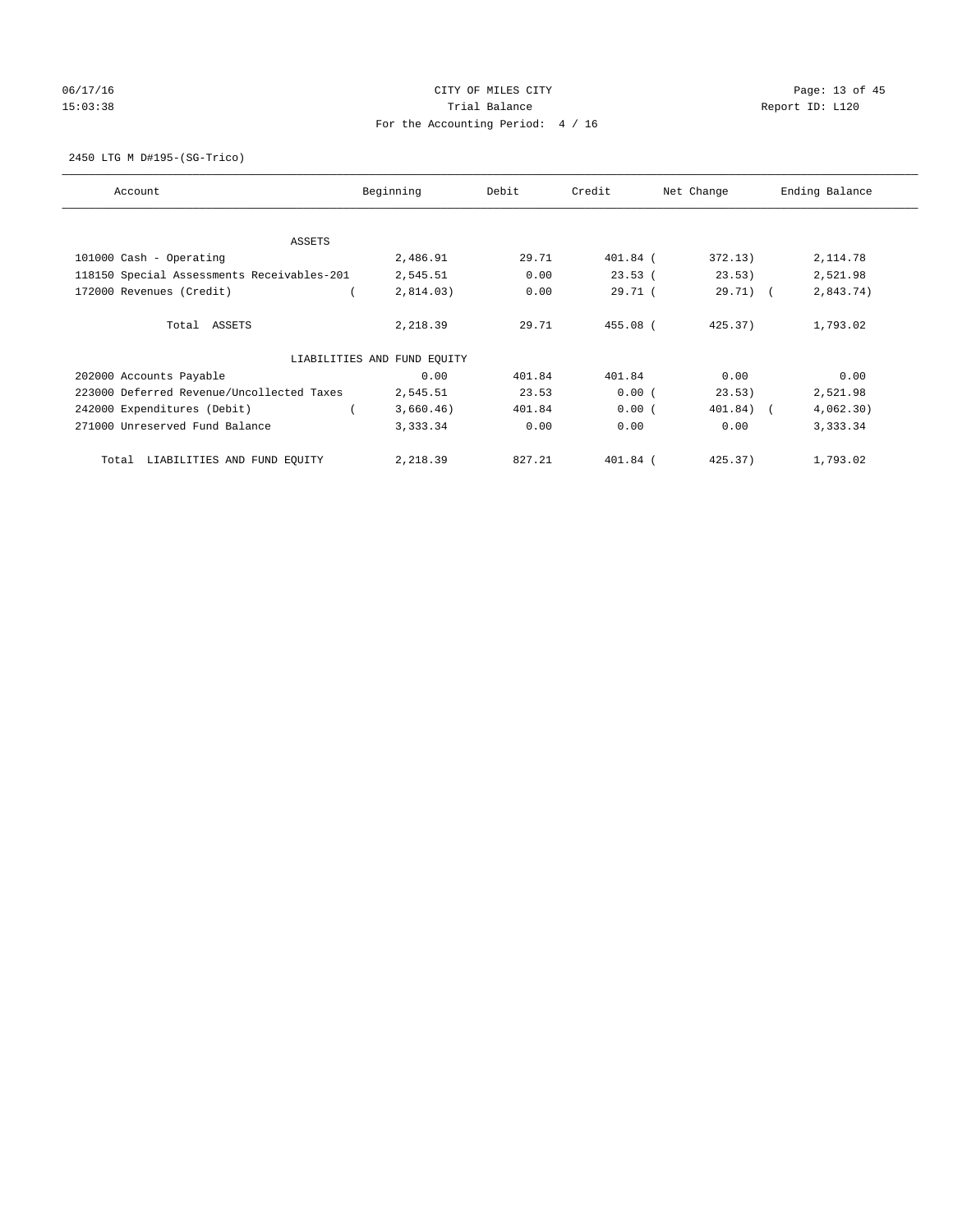# 06/17/16 Page: 13 of 45 15:03:38 Trial Balance Trial Balance Report ID: L120 For the Accounting Period: 4 / 16

2450 LTG M D#195-(SG-Trico)

| Account                                    | Beginning                   | Debit  | Credit     | Net Change  | Ending Balance |
|--------------------------------------------|-----------------------------|--------|------------|-------------|----------------|
| ASSETS                                     |                             |        |            |             |                |
| 101000 Cash - Operating                    | 2,486.91                    | 29.71  | 401.84 (   | 372.13)     | 2,114.78       |
| 118150 Special Assessments Receivables-201 | 2,545.51                    | 0.00   | 23.53(     | 23.53)      | 2,521.98       |
| 172000 Revenues (Credit)                   | 2,814.03)                   | 0.00   | 29.71(     | $29.71$ ) ( | 2,843.74)      |
| Total ASSETS                               | 2,218.39                    | 29.71  | 455.08 (   | 425.37      | 1,793.02       |
|                                            | LIABILITIES AND FUND EQUITY |        |            |             |                |
| 202000 Accounts Payable                    | 0.00                        | 401.84 | 401.84     | 0.00        | 0.00           |
| 223000 Deferred Revenue/Uncollected Taxes  | 2,545.51                    | 23.53  | 0.00(      | 23.53)      | 2,521.98       |
| 242000 Expenditures (Debit)                | 3,660.46)                   | 401.84 | 0.00(      | 401.84) (   | 4,062,30)      |
| 271000 Unreserved Fund Balance             | 3,333.34                    | 0.00   | 0.00       | 0.00        | 3,333.34       |
| LIABILITIES AND FUND EQUITY<br>Total       | 2,218.39                    | 827.21 | $401.84$ ( | 425.37)     | 1,793.02       |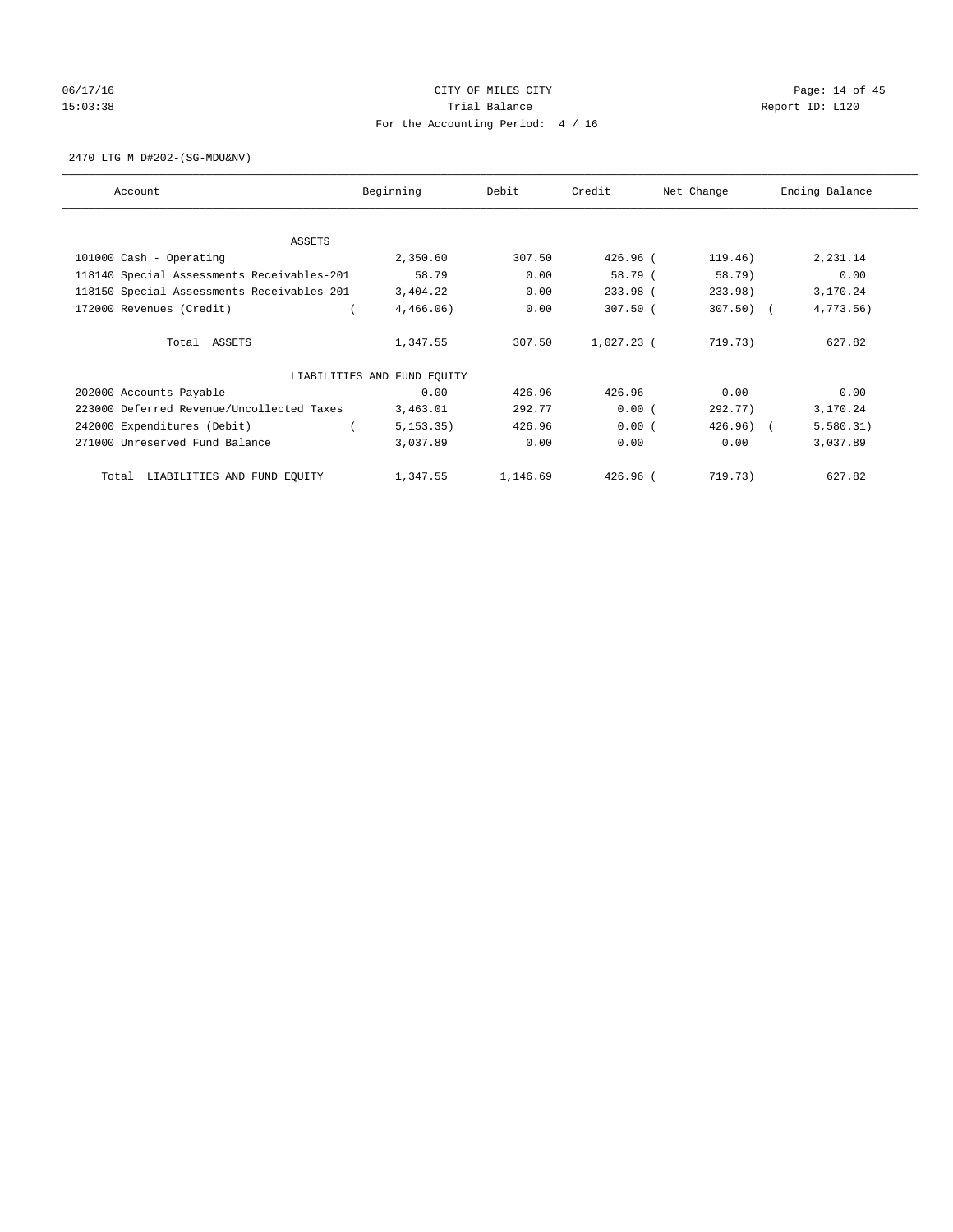# 06/17/16 Page: 14 of 45 15:03:38 Trial Balance Trial Balance Report ID: L120 For the Accounting Period: 4 / 16

2470 LTG M D#202-(SG-MDU&NV)

| Account                                    | Beginning                   | Debit    | Credit       | Net Change | Ending Balance |
|--------------------------------------------|-----------------------------|----------|--------------|------------|----------------|
| <b>ASSETS</b>                              |                             |          |              |            |                |
| 101000 Cash - Operating                    | 2,350.60                    | 307.50   | 426.96 (     | 119.46)    | 2,231.14       |
| 118140 Special Assessments Receivables-201 | 58.79                       | 0.00     | 58.79 (      | 58.79)     | 0.00           |
| 118150 Special Assessments Receivables-201 | 3,404.22                    | 0.00     | 233.98 (     | 233.98)    | 3,170.24       |
| 172000 Revenues (Credit)                   | 4,466.06)                   | 0.00     | $307.50$ (   | $307.50$ ( | 4,773.56)      |
|                                            |                             |          |              |            |                |
| Total ASSETS                               | 1,347.55                    | 307.50   | $1,027.23$ ( | 719.73)    | 627.82         |
|                                            |                             |          |              |            |                |
|                                            | LIABILITIES AND FUND EQUITY |          |              |            |                |
| 202000 Accounts Payable                    | 0.00                        | 426.96   | 426.96       | 0.00       | 0.00           |
| 223000 Deferred Revenue/Uncollected Taxes  | 3,463.01                    | 292.77   | 0.00(        | 292.77)    | 3,170.24       |
| 242000 Expenditures (Debit)                | 5, 153.35)                  | 426.96   | 0.00(        | 426.96)    | 5,580.31)      |
| 271000 Unreserved Fund Balance             | 3,037.89                    | 0.00     | 0.00         | 0.00       | 3,037.89       |
|                                            |                             |          |              |            |                |
| LIABILITIES AND FUND EQUITY<br>Total       | 1,347.55                    | 1,146.69 | $426.96$ $($ | 719.73)    | 627.82         |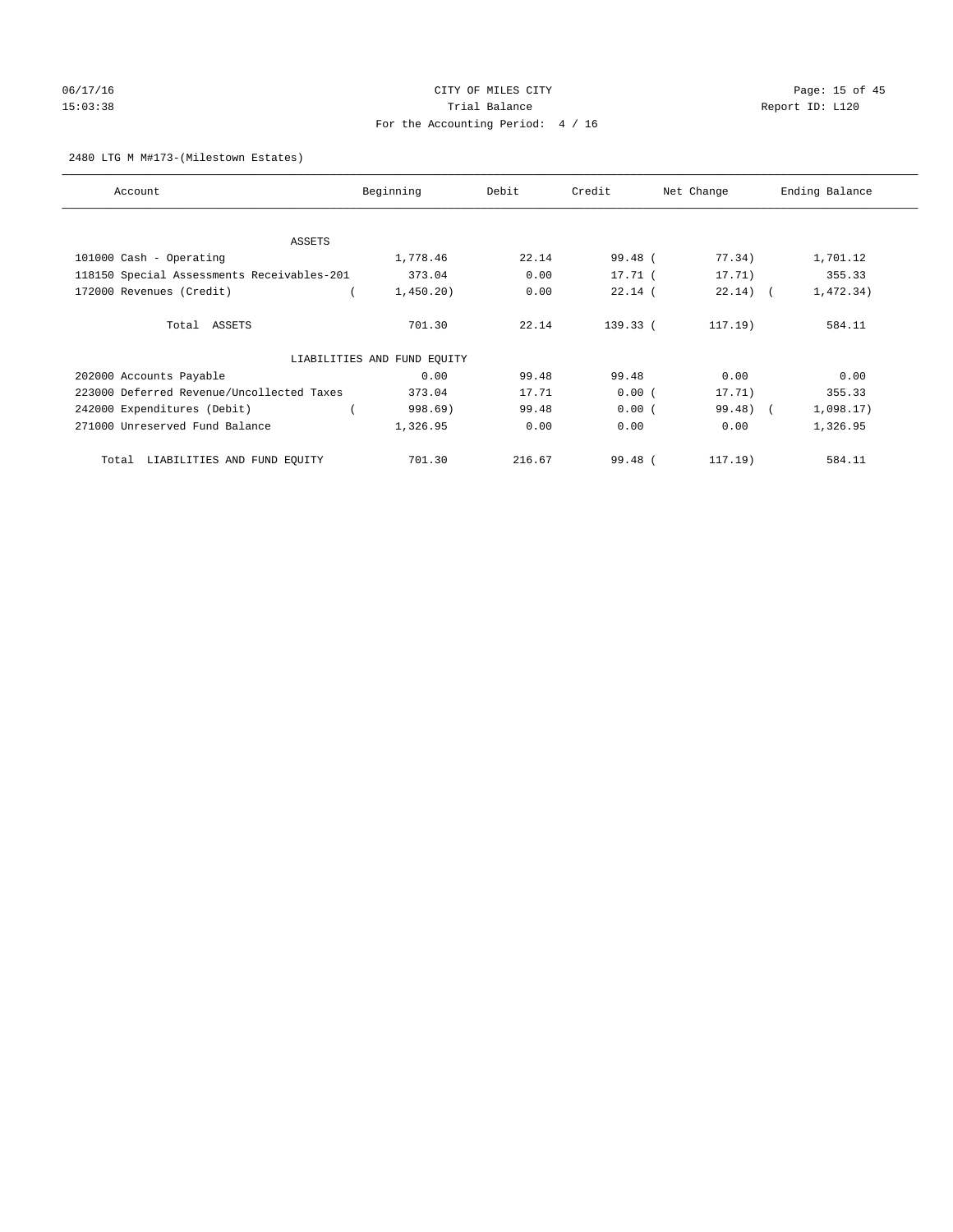# 06/17/16 Page: 15 of 45 15:03:38 Trial Balance Trial Balance Report ID: L120 For the Accounting Period: 4 / 16

#### 2480 LTG M M#173-(Milestown Estates)

| Account                                    | Beginning                   | Debit  | Credit     | Net Change | Ending Balance |
|--------------------------------------------|-----------------------------|--------|------------|------------|----------------|
|                                            |                             |        |            |            |                |
| ASSETS                                     | 1,778.46                    | 22.14  | 99.48 (    | 77.34)     | 1,701.12       |
| 101000 Cash - Operating                    |                             |        |            |            |                |
| 118150 Special Assessments Receivables-201 | 373.04                      | 0.00   | $17.71$ (  | 17.71)     | 355.33         |
| 172000 Revenues (Credit)                   | 1,450.20)                   | 0.00   | $22.14$ (  | $22.14)$ ( | 1,472.34)      |
| Total ASSETS                               | 701.30                      | 22.14  | $139.33$ ( | $117.19$ ) | 584.11         |
|                                            | LIABILITIES AND FUND EQUITY |        |            |            |                |
| 202000 Accounts Payable                    | 0.00                        | 99.48  | 99.48      | 0.00       | 0.00           |
| 223000 Deferred Revenue/Uncollected Taxes  | 373.04                      | 17.71  | 0.00(      | 17.71)     | 355.33         |
| 242000 Expenditures (Debit)                | 998.69)                     | 99.48  | 0.00(      | 99.48) (   | 1,098.17)      |
| 271000 Unreserved Fund Balance             | 1,326.95                    | 0.00   | 0.00       | 0.00       | 1,326.95       |
| LIABILITIES AND FUND EQUITY<br>Total       | 701.30                      | 216.67 | $99.48$ (  | $117.19$ ) | 584.11         |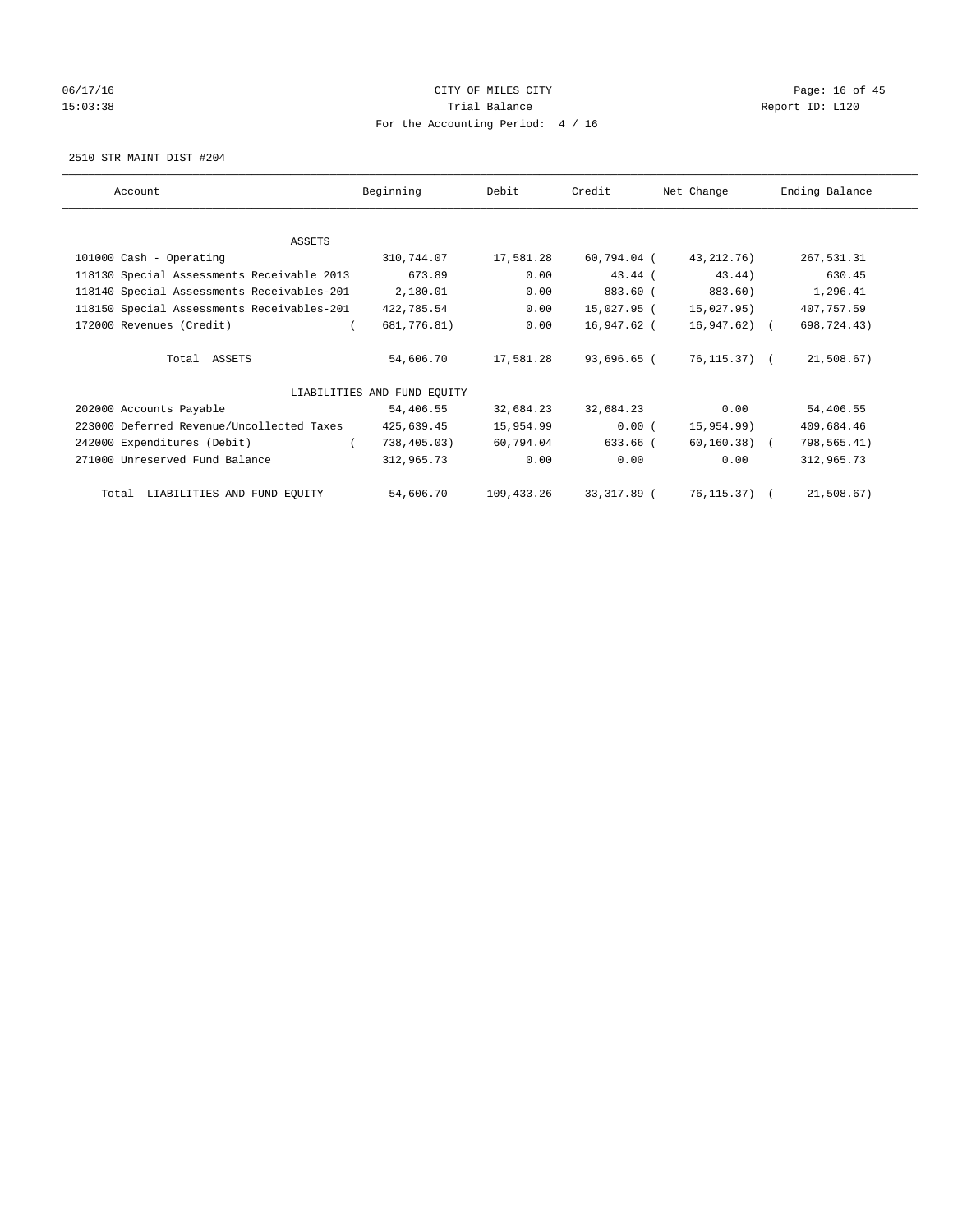# 06/17/16 Page: 16 of 45 15:03:38 Trial Balance Trial Balance Report ID: L120 For the Accounting Period: 4 / 16

2510 STR MAINT DIST #204

| Account                                    | Beginning                   | Debit      | Credit      | Net Change   | Ending Balance |
|--------------------------------------------|-----------------------------|------------|-------------|--------------|----------------|
|                                            |                             |            |             |              |                |
| ASSETS                                     |                             |            |             |              |                |
| 101000 Cash - Operating                    | 310,744.07                  | 17,581.28  | 60,794.04 ( | 43, 212, 76) | 267,531.31     |
| 118130 Special Assessments Receivable 2013 | 673.89                      | 0.00       | $43.44$ (   | 43.44)       | 630.45         |
| 118140 Special Assessments Receivables-201 | 2,180.01                    | 0.00       | 883.60 (    | 883.60)      | 1,296.41       |
| 118150 Special Assessments Receivables-201 | 422,785.54                  | 0.00       | 15,027.95 ( | 15,027.95)   | 407,757.59     |
| 172000 Revenues (Credit)                   | 681,776.81)                 | 0.00       | 16,947.62 ( | 16,947.62) ( | 698,724.43)    |
| Total ASSETS                               | 54,606.70                   | 17,581.28  | 93,696.65 ( | 76,115.37) ( | 21,508.67)     |
|                                            | LIABILITIES AND FUND EOUITY |            |             |              |                |
| 202000 Accounts Payable                    | 54,406.55                   | 32,684.23  | 32,684.23   | 0.00         | 54,406.55      |
| 223000 Deferred Revenue/Uncollected Taxes  | 425,639.45                  | 15,954.99  | 0.00(       | 15,954.99)   | 409,684.46     |
| 242000 Expenditures (Debit)                | 738,405.03)                 | 60,794.04  | 633.66 (    | 60,160.38) ( | 798,565.41)    |
| 271000 Unreserved Fund Balance             | 312,965.73                  | 0.00       | 0.00        | 0.00         | 312,965.73     |
| LIABILITIES AND FUND EQUITY<br>Total       | 54,606.70                   | 109,433.26 | 33,317.89 ( | 76,115.37) ( | 21,508.67)     |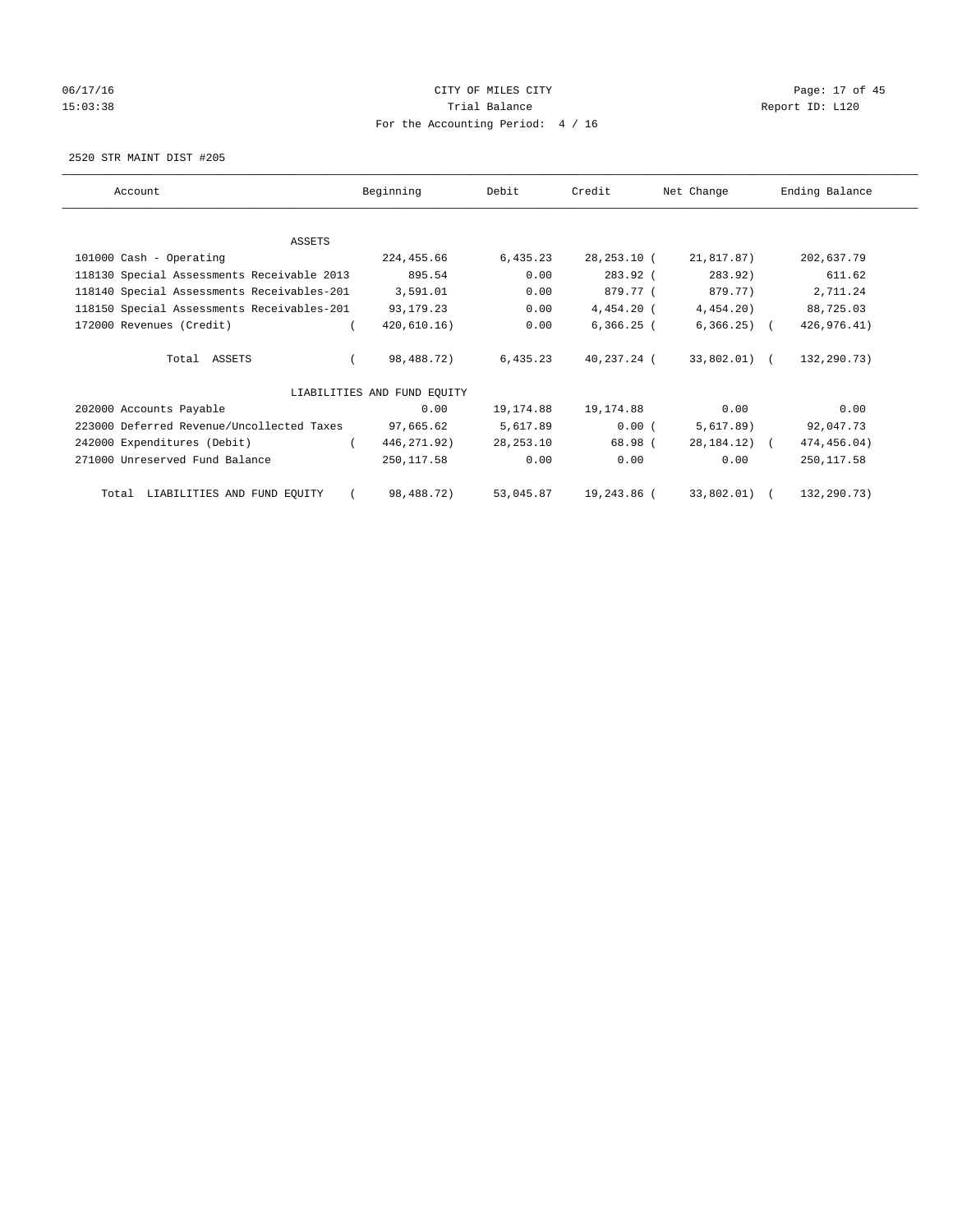# 06/17/16 Page: 17 of 45 15:03:38 Trial Balance Trial Balance Report ID: L120 For the Accounting Period: 4 / 16

2520 STR MAINT DIST #205

| Account                                    | Beginning                   | Debit       | Credit       | Net Change       | Ending Balance |
|--------------------------------------------|-----------------------------|-------------|--------------|------------------|----------------|
|                                            |                             |             |              |                  |                |
| ASSETS                                     |                             |             |              |                  |                |
| 101000 Cash - Operating                    | 224,455.66                  | 6,435.23    | 28,253.10 (  | 21,817.87)       | 202,637.79     |
| 118130 Special Assessments Receivable 2013 | 895.54                      | 0.00        | 283.92 (     | 283.92)          | 611.62         |
| 118140 Special Assessments Receivables-201 | 3,591.01                    | 0.00        | 879.77 (     | 879.77)          | 2,711.24       |
| 118150 Special Assessments Receivables-201 | 93,179.23                   | 0.00        | 4,454.20 (   | $4,454.20$ )     | 88,725.03      |
| 172000 Revenues (Credit)                   | 420,610.16)                 | 0.00        | $6,366.25$ ( | $6,366.25$ (     | 426,976.41)    |
| Total ASSETS                               | 98,488.72)                  | 6,435.23    | 40,237.24 (  | 33,802.01) (     | 132,290.73)    |
|                                            | LIABILITIES AND FUND EQUITY |             |              |                  |                |
| 202000 Accounts Payable                    | 0.00                        | 19,174.88   | 19,174.88    | 0.00             | 0.00           |
| 223000 Deferred Revenue/Uncollected Taxes  | 97,665.62                   | 5,617.89    | 0.00(        | 5,617.89)        | 92,047.73      |
| 242000 Expenditures (Debit)                | 446, 271.92)                | 28, 253. 10 | 68.98 (      | $28, 184, 12)$ ( | 474,456.04)    |
| 271000 Unreserved Fund Balance             | 250,117.58                  | 0.00        | 0.00         | 0.00             | 250, 117.58    |
| LIABILITIES AND FUND EQUITY<br>Total       | 98,488.72)                  | 53,045.87   | 19,243.86 (  | 33,802.01) (     | 132,290.73)    |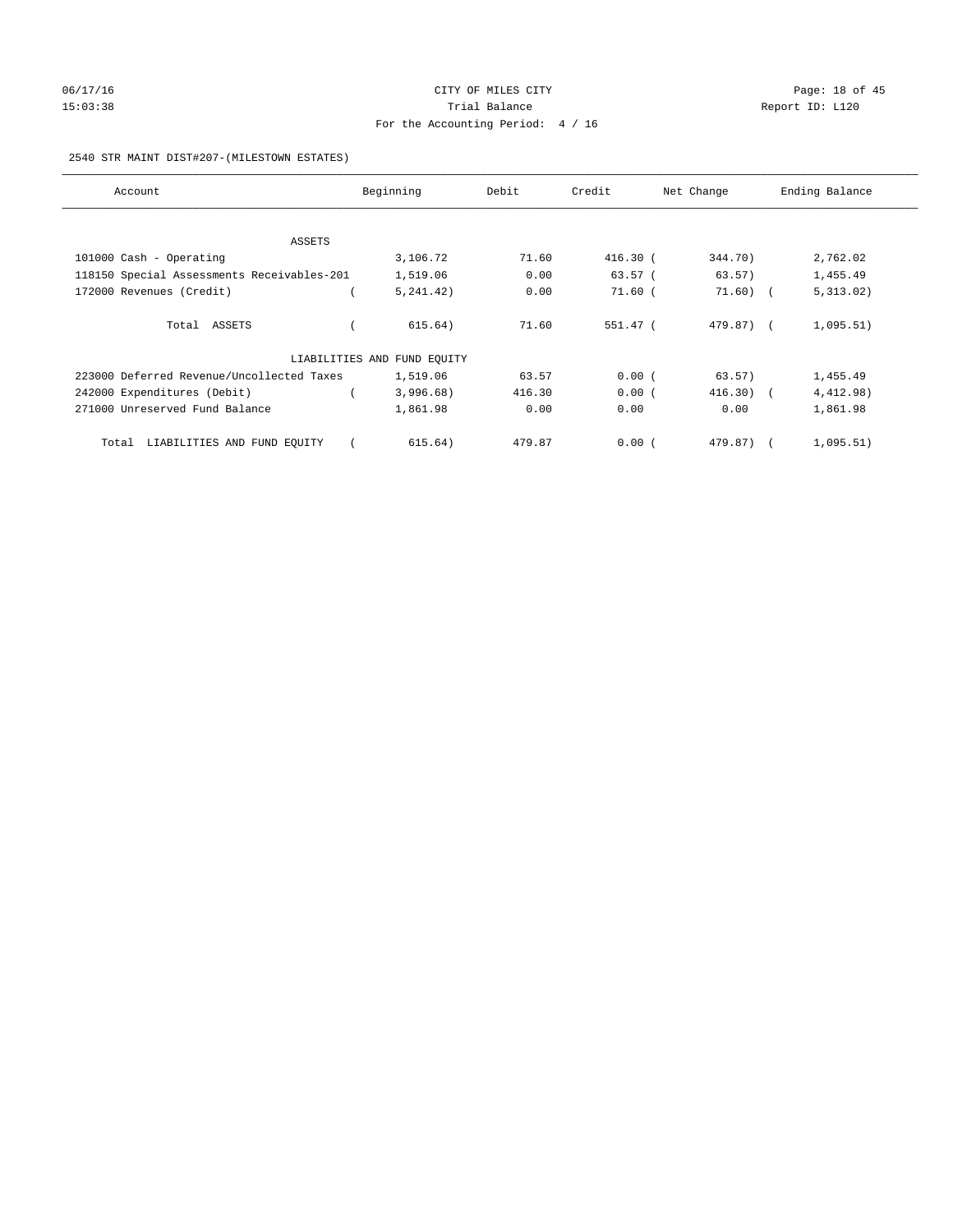# 06/17/16 Page: 18 of 45 15:03:38 Trial Balance Trial Balance Report ID: L120 For the Accounting Period: 4 / 16

#### 2540 STR MAINT DIST#207-(MILESTOWN ESTATES)

| Account                                    | Beginning                   | Debit  | Credit    | Net Change  | Ending Balance |
|--------------------------------------------|-----------------------------|--------|-----------|-------------|----------------|
|                                            |                             |        |           |             |                |
| ASSETS                                     |                             |        |           |             |                |
| 101000 Cash - Operating                    | 3,106.72                    | 71.60  | 416.30 (  | 344.70)     | 2,762.02       |
| 118150 Special Assessments Receivables-201 | 1,519.06                    | 0.00   | $63.57$ ( | 63.57)      | 1,455.49       |
| 172000 Revenues (Credit)                   | 5, 241, 42)                 | 0.00   | $71.60$ ( | $71.60$ ) ( | 5,313.02)      |
| Total ASSETS                               | 615.64)                     | 71.60  | 551.47 (  | 479.87) (   | 1,095.51)      |
|                                            | LIABILITIES AND FUND EQUITY |        |           |             |                |
| 223000 Deferred Revenue/Uncollected Taxes  | 1,519.06                    | 63.57  | 0.00(     | 63.57)      | 1,455.49       |
| 242000 Expenditures (Debit)                | 3,996.68)                   | 416.30 | 0.00(     | $416.30$ (  | 4,412.98)      |
| 271000 Unreserved Fund Balance             | 1,861.98                    | 0.00   | 0.00      | 0.00        | 1,861.98       |
| Total LIABILITIES AND FUND EQUITY          | 615.64)                     | 479.87 | 0.00(     | 479.87)     | 1,095.51)      |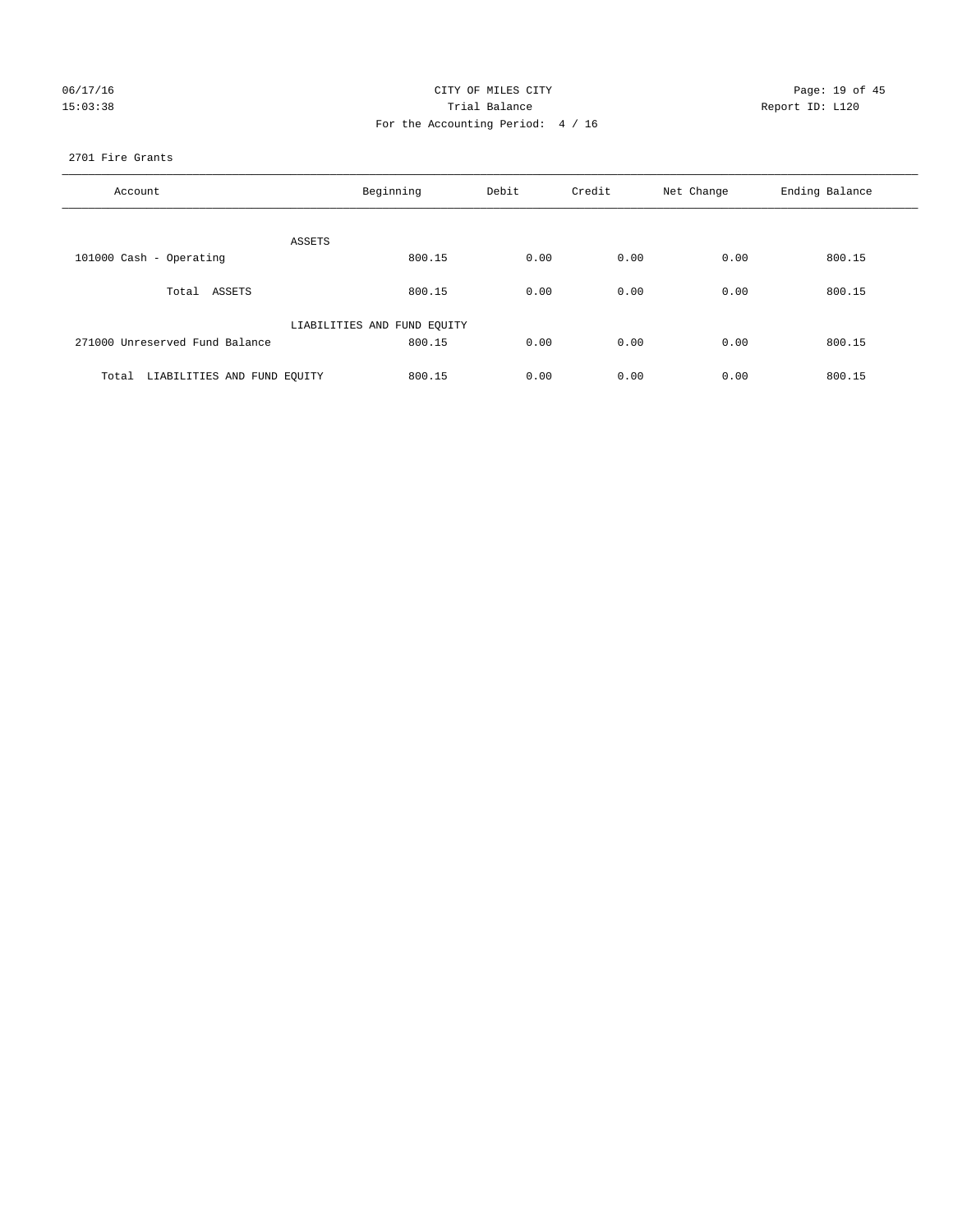| 06/17/16 |  |
|----------|--|
| 15:03:38 |  |

# CITY OF MILES CITY CONTROL CONTROL CONTROL CITY CONTROL PAGE: 19 of 45 15:03:38 Trial Balance Report ID: L120 For the Accounting Period: 4 / 16

#### 2701 Fire Grants

| Account                           | Beginning                   | Debit<br>Credit |      | Net Change | Ending Balance |
|-----------------------------------|-----------------------------|-----------------|------|------------|----------------|
| ASSETS                            |                             |                 |      |            |                |
| 101000 Cash - Operating           | 800.15                      | 0.00            | 0.00 | 0.00       | 800.15         |
| Total ASSETS                      | 800.15                      | 0.00            | 0.00 | 0.00       | 800.15         |
|                                   | LIABILITIES AND FUND EQUITY |                 |      |            |                |
| 271000 Unreserved Fund Balance    | 800.15                      | 0.00            | 0.00 | 0.00       | 800.15         |
| Total LIABILITIES AND FUND EQUITY | 800.15                      | 0.00            | 0.00 | 0.00       | 800.15         |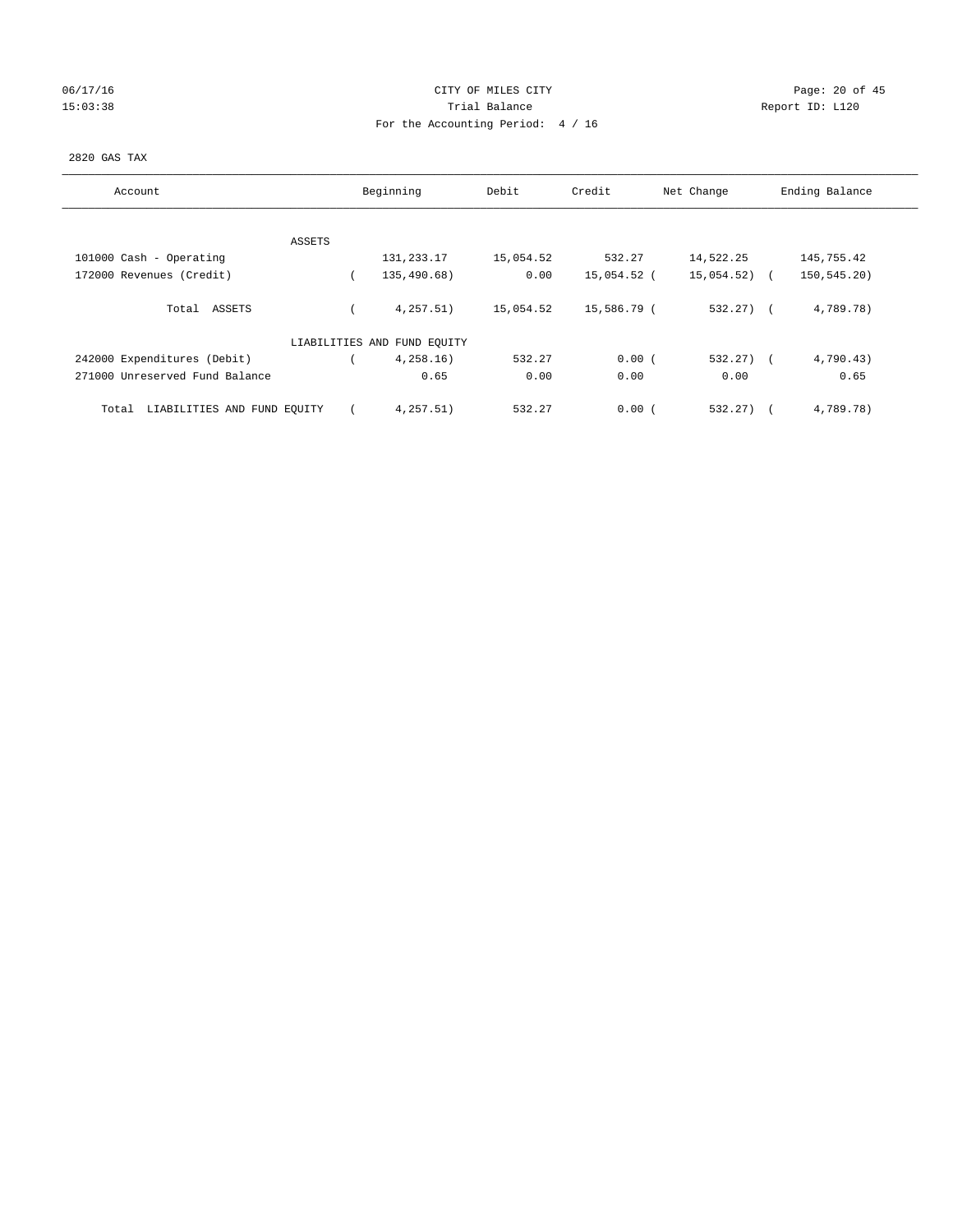# 06/17/16 Page: 20 of 45 15:03:38 Trial Balance Trial Balance Report ID: L120 For the Accounting Period: 4 / 16

#### 2820 GAS TAX

| Account                              |  | Beginning                   |           | Credit<br>Debit |            | Ending Balance |  |
|--------------------------------------|--|-----------------------------|-----------|-----------------|------------|----------------|--|
|                                      |  |                             |           |                 | Net Change |                |  |
|                                      |  |                             |           |                 |            |                |  |
| ASSETS                               |  |                             |           |                 |            |                |  |
| 101000 Cash - Operating              |  | 131,233.17                  | 15,054.52 | 532.27          | 14,522.25  | 145,755.42     |  |
| 172000 Revenues (Credit)             |  | 135,490.68)                 | 0.00      | 15,054.52 (     | 15,054.52) | 150,545.20)    |  |
| Total ASSETS                         |  | 4,257.51)                   | 15,054.52 | 15,586.79 (     | $532.27$ ( | 4,789.78)      |  |
|                                      |  | LIABILITIES AND FUND EQUITY |           |                 |            |                |  |
| 242000 Expenditures (Debit)          |  | 4,258.16)                   | 532.27    | 0.00(           | 532.27)    | 4,790.43)      |  |
| 271000 Unreserved Fund Balance       |  | 0.65                        | 0.00      | 0.00            | 0.00       | 0.65           |  |
| LIABILITIES AND FUND EQUITY<br>Total |  | 4,257.51)                   | 532.27    | 0.00(           | 532.27)    | 4,789.78)      |  |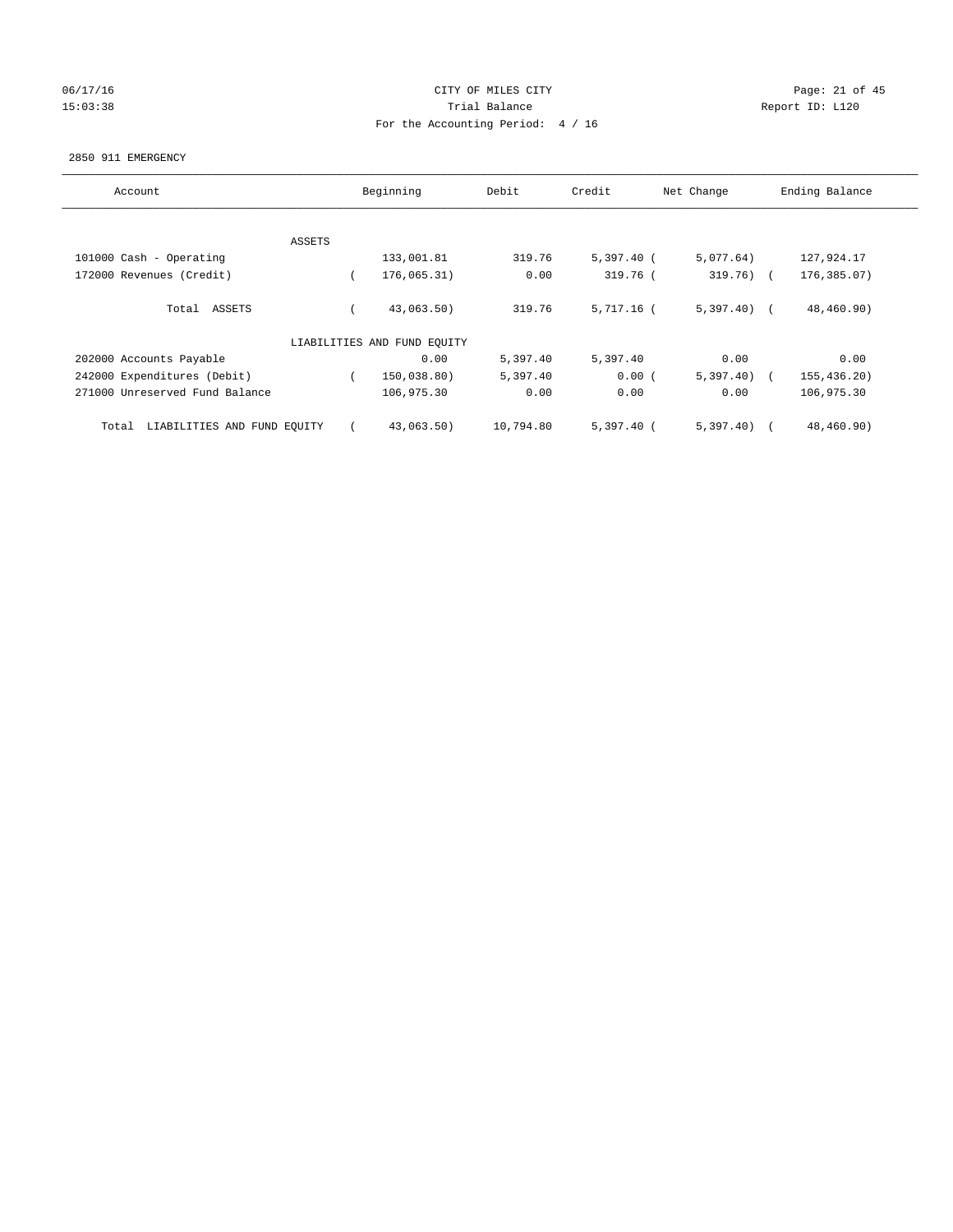# 06/17/16 Page: 21 of 45 15:03:38 Trial Balance Trial Balance Report ID: L120 For the Accounting Period: 4 / 16

#### 2850 911 EMERGENCY

| Account                              |        | Beginning<br>Debit          |           | Credit       | Net Change   | Ending Balance |
|--------------------------------------|--------|-----------------------------|-----------|--------------|--------------|----------------|
|                                      |        |                             |           |              |              |                |
|                                      | ASSETS |                             |           |              |              |                |
| 101000 Cash - Operating              |        | 133,001.81                  | 319.76    | $5,397.40$ ( | 5,077.64)    | 127,924.17     |
| 172000 Revenues (Credit)             |        | 176,065.31)                 | 0.00      | 319.76 (     | $319.76$ ) ( | 176,385.07)    |
| Total ASSETS                         |        | 43,063.50)                  | 319.76    | 5,717.16 (   | $5,397.40$ ( | 48,460.90)     |
|                                      |        | LIABILITIES AND FUND EQUITY |           |              |              |                |
| 202000 Accounts Payable              |        | 0.00                        | 5,397.40  | 5,397.40     | 0.00         | 0.00           |
| 242000 Expenditures (Debit)          |        | 150,038.80)                 | 5,397.40  | 0.00(        | 5,397.40)    | 155,436.20)    |
| 271000 Unreserved Fund Balance       |        | 106,975.30                  | 0.00      | 0.00         | 0.00         | 106,975.30     |
| LIABILITIES AND FUND EQUITY<br>Total |        | 43,063.50)                  | 10,794.80 | $5,397.40$ ( | $5,397.40$ ( | 48,460.90)     |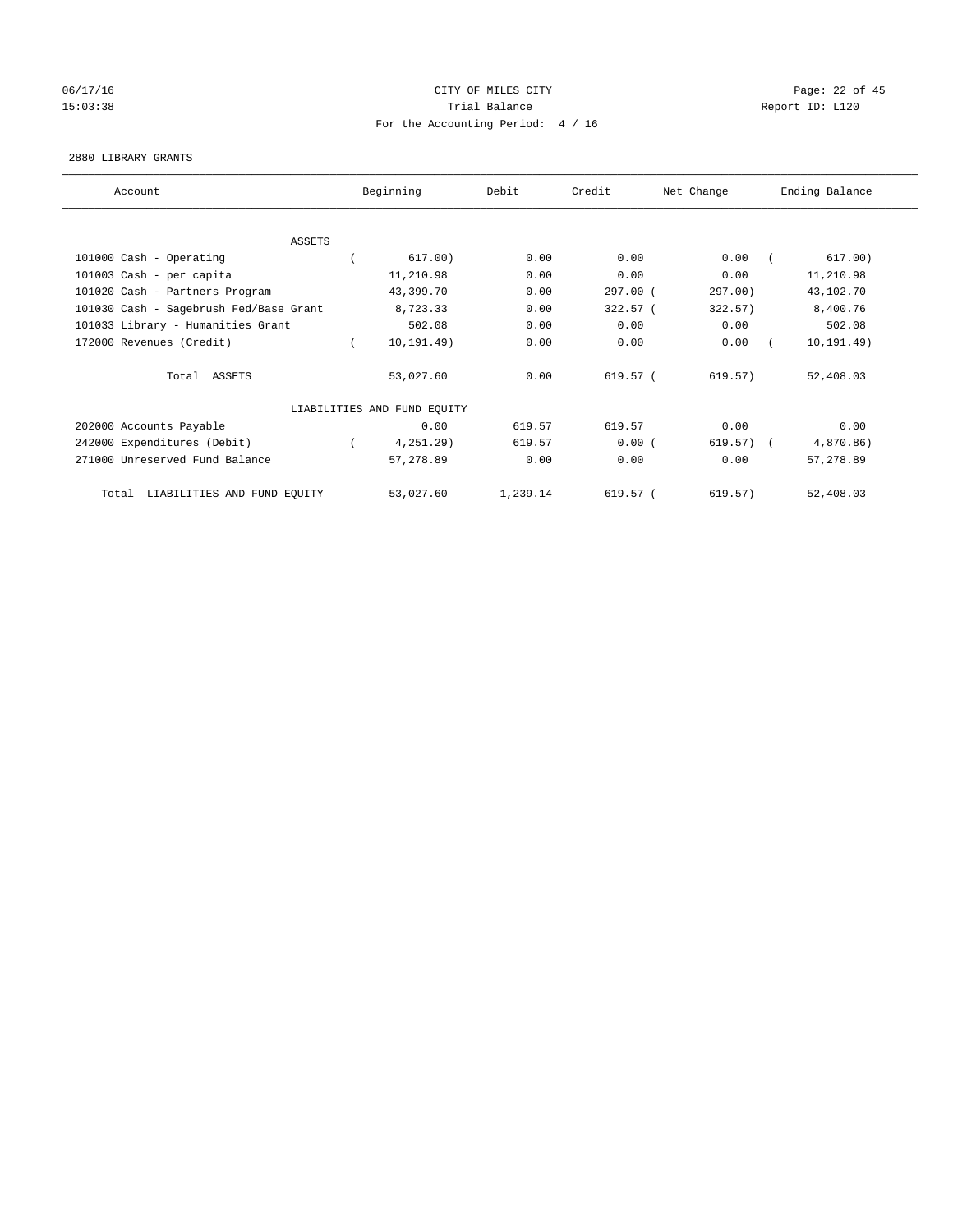# 06/17/16 Page: 22 of 45 15:03:38 Trial Balance Trial Balance Report ID: L120 For the Accounting Period: 4 / 16

#### 2880 LIBRARY GRANTS

| Account                                |  | Beginning                   | Debit    | Credit   | Net Change   | Ending Balance |             |
|----------------------------------------|--|-----------------------------|----------|----------|--------------|----------------|-------------|
|                                        |  |                             |          |          |              |                |             |
|                                        |  |                             |          |          |              |                |             |
| <b>ASSETS</b>                          |  |                             |          |          |              |                |             |
| 101000 Cash - Operating                |  | 617.00)                     | 0.00     | 0.00     | 0.00         |                | 617.00)     |
| 101003 Cash - per capita               |  | 11,210.98                   | 0.00     | 0.00     | 0.00         |                | 11,210.98   |
| 101020 Cash - Partners Program         |  | 43,399.70                   | 0.00     | 297.00 ( | 297.00)      |                | 43,102.70   |
| 101030 Cash - Sagebrush Fed/Base Grant |  | 8,723.33                    | 0.00     | 322.57 ( | 322.57)      |                | 8,400.76    |
| 101033 Library - Humanities Grant      |  | 502.08                      | 0.00     | 0.00     | 0.00         |                | 502.08      |
| 172000 Revenues (Credit)               |  | 10, 191.49)                 | 0.00     | 0.00     | 0.00         |                | 10, 191.49) |
| Total ASSETS                           |  | 53,027.60                   | 0.00     | 619.57 ( | 619.57)      |                | 52,408.03   |
|                                        |  | LIABILITIES AND FUND EQUITY |          |          |              |                |             |
| 202000 Accounts Payable                |  | 0.00                        | 619.57   | 619.57   | 0.00         |                | 0.00        |
| 242000 Expenditures (Debit)            |  | 4,251.29)                   | 619.57   | 0.00(    | $619.57$ ) ( |                | 4,870.86)   |
| 271000 Unreserved Fund Balance         |  | 57,278.89                   | 0.00     | 0.00     | 0.00         |                | 57,278.89   |
| Total LIABILITIES AND FUND EQUITY      |  | 53,027.60                   | 1,239.14 | 619.57 ( | 619.57)      |                | 52,408.03   |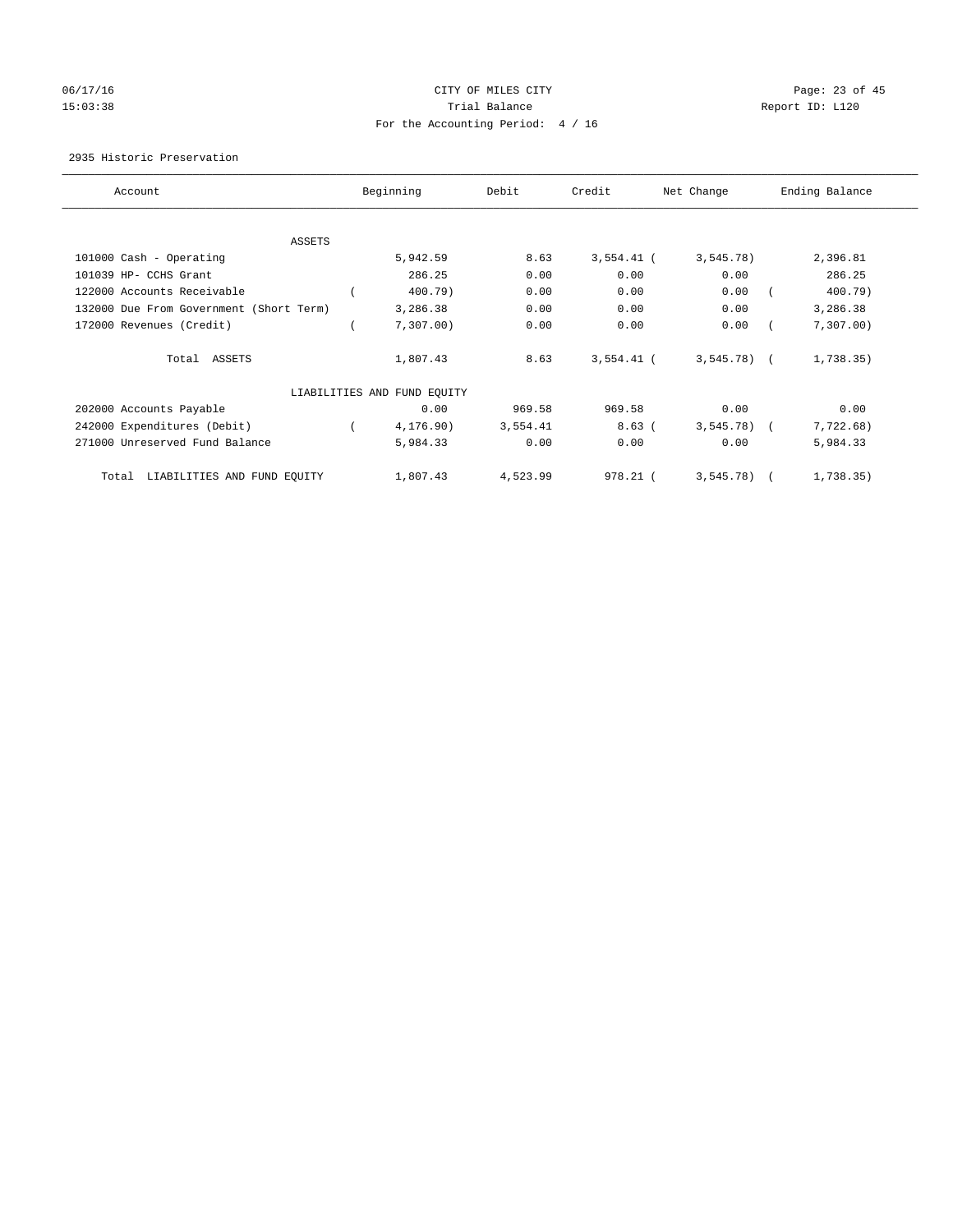# 06/17/16 Page: 23 of 45 15:03:38 Trial Balance Trial Balance Report ID: L120 For the Accounting Period: 4 / 16

#### 2935 Historic Preservation

| Account                                 |  | Beginning                   | Debit    | Credit       | Net Change   | Ending Balance |           |
|-----------------------------------------|--|-----------------------------|----------|--------------|--------------|----------------|-----------|
|                                         |  |                             |          |              |              |                |           |
| ASSETS                                  |  |                             |          |              |              |                |           |
| 101000 Cash - Operating                 |  | 5,942.59                    | 8.63     | $3,554.41$ ( | 3,545.78)    |                | 2,396.81  |
| 101039 HP- CCHS Grant                   |  | 286.25                      | 0.00     | 0.00         | 0.00         |                | 286.25    |
| 122000 Accounts Receivable              |  | 400.79)                     | 0.00     | 0.00         | 0.00         |                | 400.79)   |
| 132000 Due From Government (Short Term) |  | 3,286.38                    | 0.00     | 0.00         | 0.00         |                | 3,286.38  |
| 172000 Revenues (Credit)                |  | 7,307.00)                   | 0.00     | 0.00         | 0.00         |                | 7,307.00  |
| Total ASSETS                            |  | 1,807.43                    | 8.63     | $3,554.41$ ( | $3,545.78$ ( |                | 1,738.35) |
|                                         |  | LIABILITIES AND FUND EQUITY |          |              |              |                |           |
| 202000 Accounts Payable                 |  | 0.00                        | 969.58   | 969.58       | 0.00         |                | 0.00      |
| 242000 Expenditures (Debit)             |  | 4,176.90)                   | 3,554.41 | $8.63$ (     | $3,545.78$ ( |                | 7,722.68) |
| 271000 Unreserved Fund Balance          |  | 5,984.33                    | 0.00     | 0.00         | 0.00         |                | 5,984.33  |
| LIABILITIES AND FUND EQUITY<br>Total    |  | 1,807.43                    | 4,523.99 | 978.21 (     | $3,545.78$ ) |                | 1,738.35) |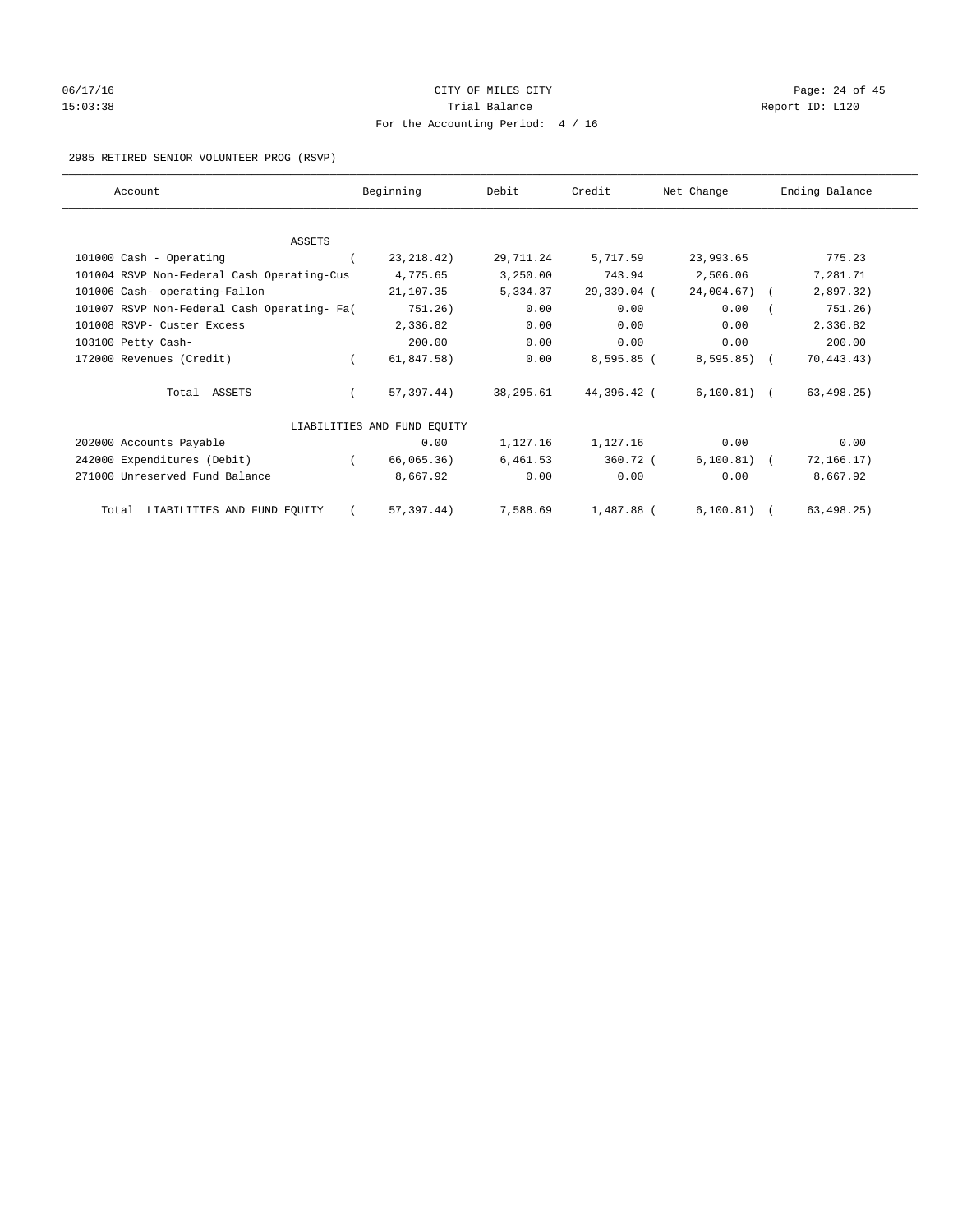# 06/17/16 Page: 24 of 45 15:03:38 Trial Balance Trial Balance Report ID: L120 For the Accounting Period: 4 / 16

2985 RETIRED SENIOR VOLUNTEER PROG (RSVP)

| Account                                     |          | Beginning                   | Debit     | Credit      | Net Change    | Ending Balance |
|---------------------------------------------|----------|-----------------------------|-----------|-------------|---------------|----------------|
|                                             |          |                             |           |             |               |                |
| <b>ASSETS</b>                               |          |                             |           |             |               |                |
| 101000 Cash - Operating                     |          | 23, 218.42)                 | 29,711.24 | 5,717.59    | 23,993.65     | 775.23         |
| 101004 RSVP Non-Federal Cash Operating-Cus  |          | 4,775.65                    | 3,250.00  | 743.94      | 2,506.06      | 7,281.71       |
| 101006 Cash- operating-Fallon               |          | 21,107.35                   | 5,334.37  | 29,339.04 ( | 24,004.67) (  | 2,897.32)      |
| 101007 RSVP Non-Federal Cash Operating- Fa( |          | 751.26)                     | 0.00      | 0.00        | 0.00          | 751.26)        |
| 101008 RSVP- Custer Excess                  |          | 2,336.82                    | 0.00      | 0.00        | 0.00          | 2,336.82       |
| 103100 Petty Cash-                          |          | 200.00                      | 0.00      | 0.00        | 0.00          | 200.00         |
| 172000 Revenues (Credit)                    | $\left($ | 61,847.58)                  | 0.00      | 8,595.85 (  | 8,595.85) (   | 70, 443.43)    |
| Total ASSETS                                |          | 57,397.44)                  | 38,295.61 | 44,396.42 ( | $6,100.81)$ ( | 63, 498.25)    |
|                                             |          | LIABILITIES AND FUND EQUITY |           |             |               |                |
| 202000 Accounts Payable                     |          | 0.00                        | 1,127.16  | 1,127.16    | 0.00          | 0.00           |
| 242000 Expenditures (Debit)                 |          | 66,065.36)                  | 6,461.53  | 360.72 (    | $6,100.81)$ ( | 72, 166.17)    |
| 271000 Unreserved Fund Balance              |          | 8,667.92                    | 0.00      | 0.00        | 0.00          | 8,667.92       |
| Total LIABILITIES AND FUND EQUITY           |          | 57,397.44)                  | 7,588.69  | 1,487.88 (  | $6,100.81)$ ( | 63, 498.25)    |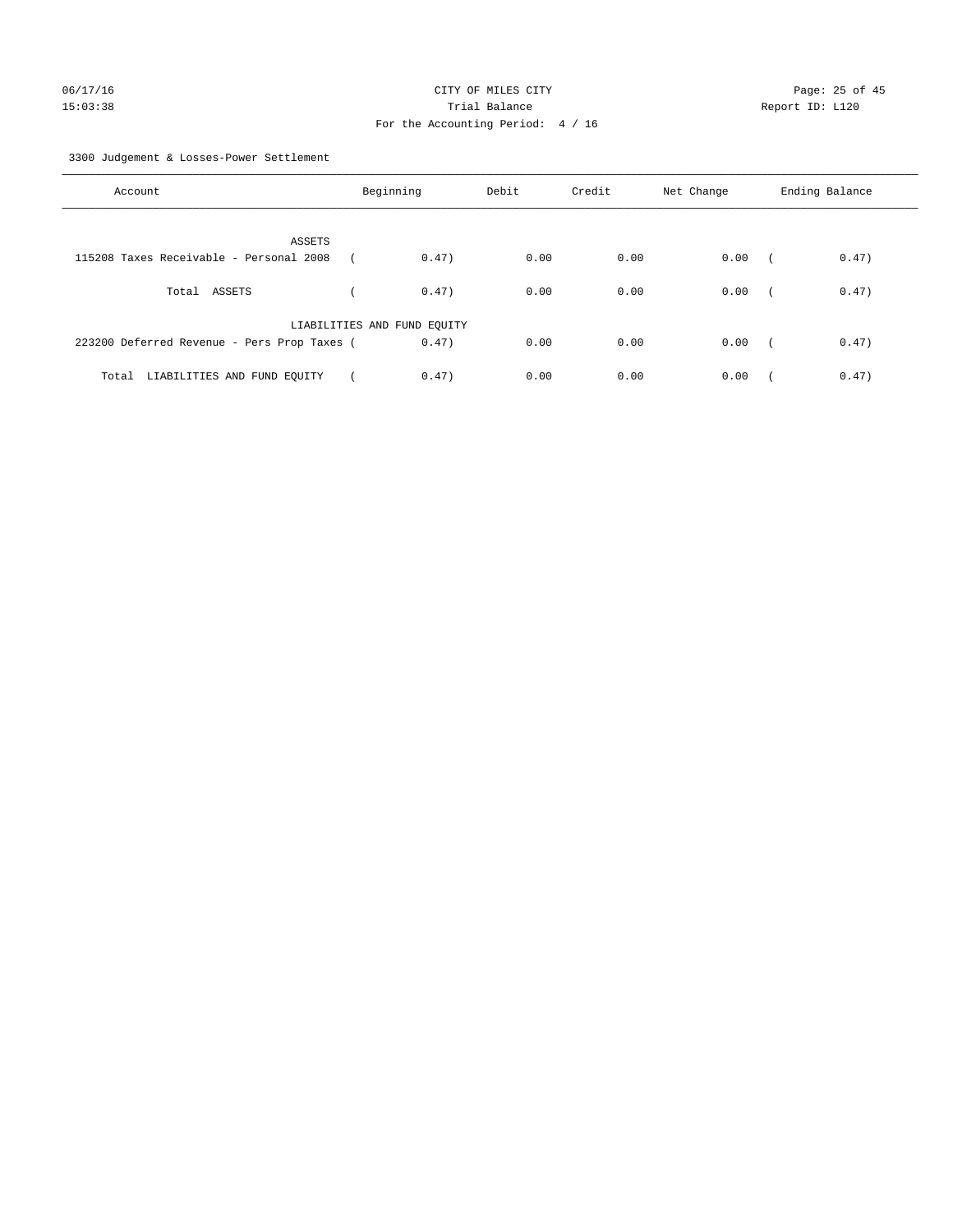3300 Judgement & Losses-Power Settlement

| Account                                     | Beginning                   |       | Debit | Credit | Net Change | Ending Balance |       |
|---------------------------------------------|-----------------------------|-------|-------|--------|------------|----------------|-------|
| ASSETS                                      |                             |       |       |        |            |                |       |
| 115208 Taxes Receivable - Personal 2008     |                             | 0.47) | 0.00  | 0.00   | 0.00       | $\sqrt{2}$     | 0.47) |
| Total ASSETS                                |                             | 0.47) | 0.00  | 0.00   | 0.00       | $\sqrt{2}$     | 0.47) |
|                                             | LIABILITIES AND FUND EQUITY |       |       |        |            |                |       |
| 223200 Deferred Revenue - Pers Prop Taxes ( |                             | 0.47) | 0.00  | 0.00   | 0.00       | $\sim$         | 0.47) |
| LIABILITIES AND FUND EQUITY<br>Total        |                             | 0.47) | 0.00  | 0.00   | 0.00       |                | 0.47) |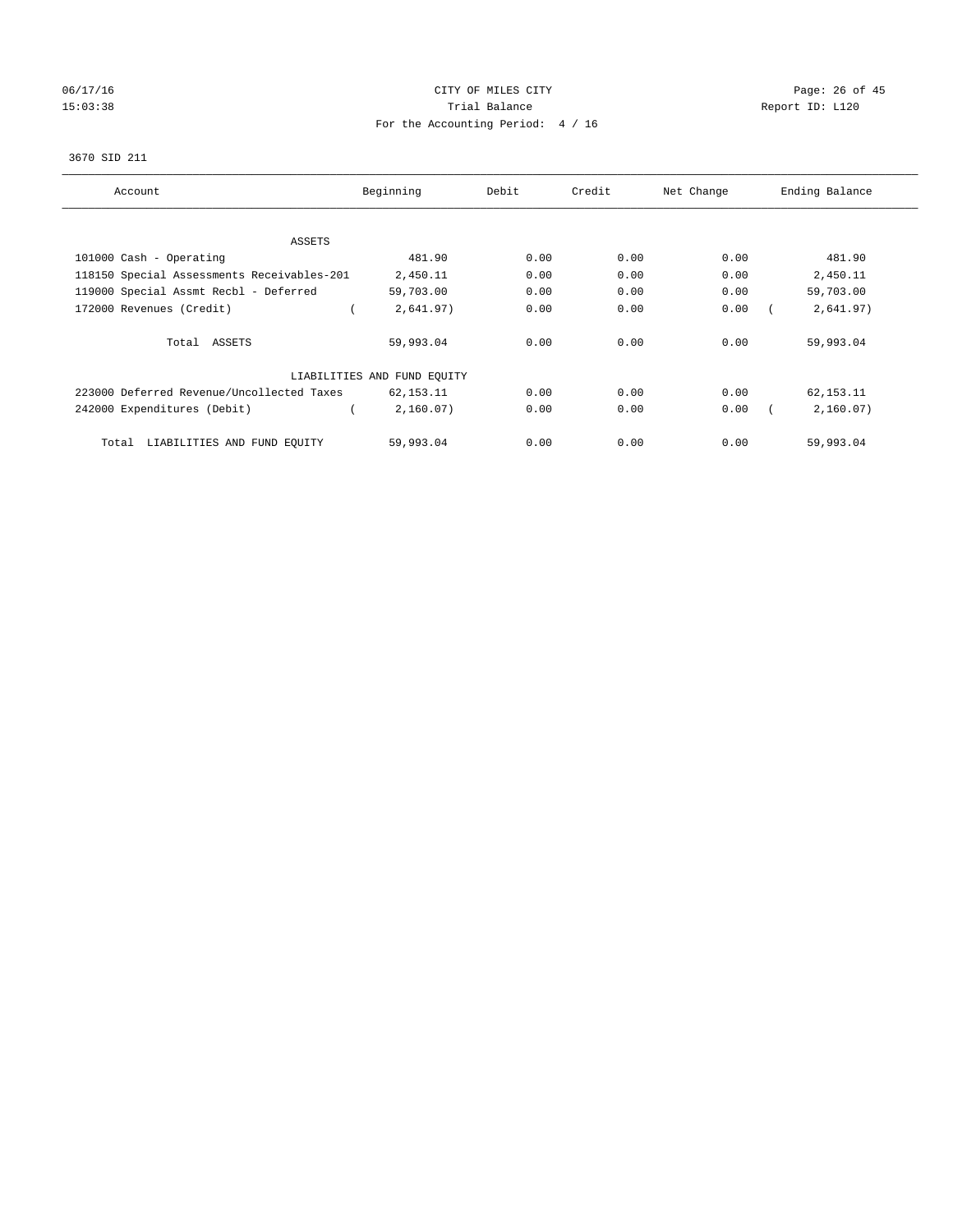# 06/17/16 Page: 26 of 45 15:03:38 Trial Balance Trial Balance Report ID: L120 For the Accounting Period: 4 / 16

#### 3670 SID 211

| Account                                    | Beginning                   | Debit | Credit | Net Change | Ending Balance |
|--------------------------------------------|-----------------------------|-------|--------|------------|----------------|
|                                            |                             |       |        |            |                |
| ASSETS                                     |                             |       |        |            |                |
| 101000 Cash - Operating                    | 481.90                      | 0.00  | 0.00   | 0.00       | 481.90         |
| 118150 Special Assessments Receivables-201 | 2,450.11                    | 0.00  | 0.00   | 0.00       | 2,450.11       |
| 119000 Special Assmt Recbl - Deferred      | 59,703.00                   | 0.00  | 0.00   | 0.00       | 59,703.00      |
| 172000 Revenues (Credit)                   | 2,641.97)                   | 0.00  | 0.00   | 0.00       | 2,641.97)      |
| Total ASSETS                               | 59,993.04                   | 0.00  | 0.00   | 0.00       | 59,993.04      |
|                                            | LIABILITIES AND FUND EQUITY |       |        |            |                |
| 223000 Deferred Revenue/Uncollected Taxes  | 62,153.11                   | 0.00  | 0.00   | 0.00       | 62,153.11      |
| 242000 Expenditures (Debit)                | 2,160.07)                   | 0.00  | 0.00   | 0.00       | 2,160.07)      |
| LIABILITIES AND FUND EQUITY<br>Total       | 59,993.04                   | 0.00  | 0.00   | 0.00       | 59,993.04      |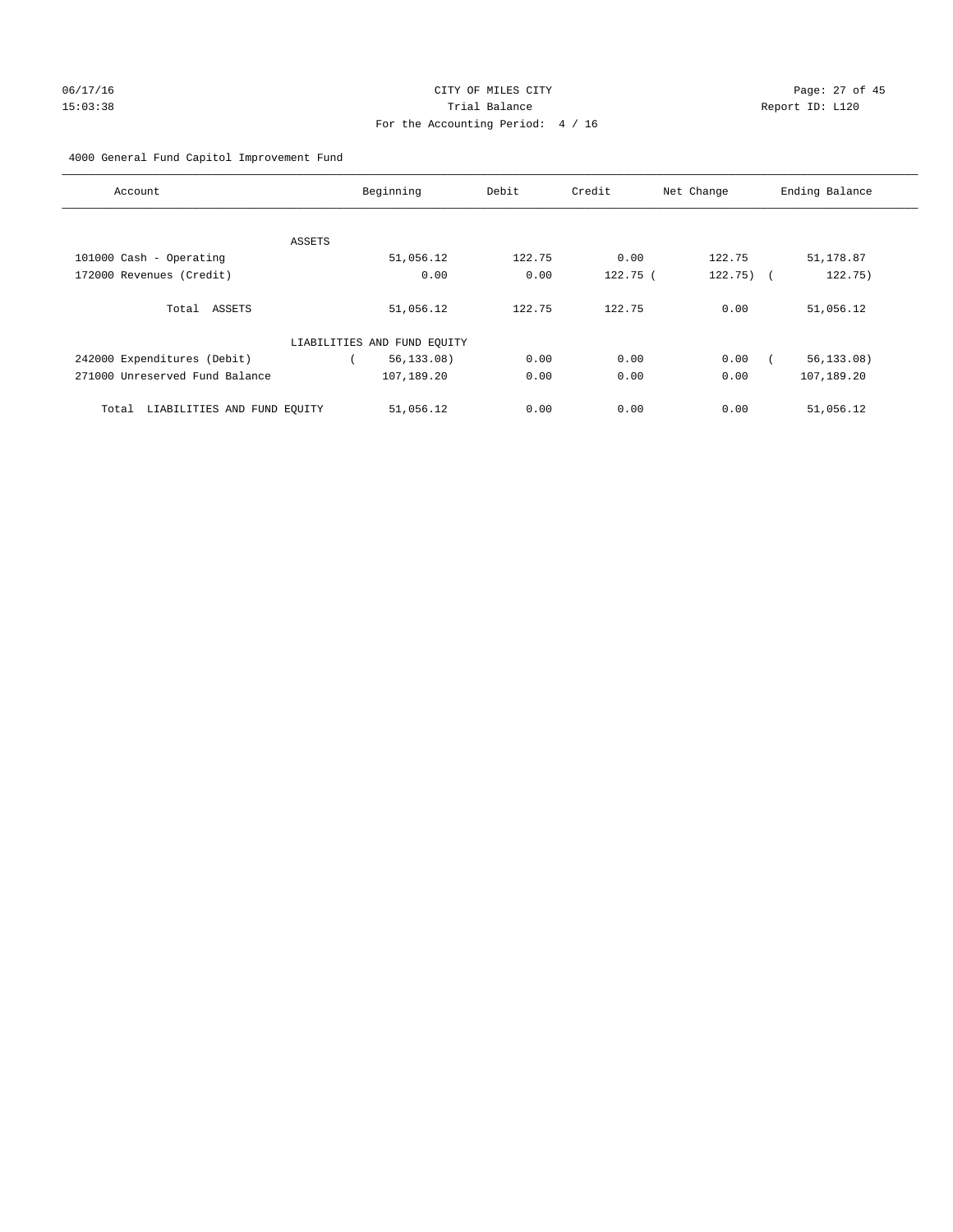# 06/17/16 Page: 27 of 45 15:03:38 Trial Balance Report ID: L120 For the Accounting Period: 4 / 16

# 4000 General Fund Capitol Improvement Fund

| Account                              | Beginning                   | Debit  | Credit     | Net Change  | Ending Balance |
|--------------------------------------|-----------------------------|--------|------------|-------------|----------------|
|                                      |                             |        |            |             |                |
| ASSETS                               |                             |        |            |             |                |
| 101000 Cash - Operating              | 51,056.12                   | 122.75 | 0.00       | 122.75      | 51,178.87      |
| 172000 Revenues (Credit)             | 0.00                        | 0.00   | $122.75$ ( | $122.75)$ ( | 122.75)        |
| Total ASSETS                         | 51,056.12                   | 122.75 | 122.75     | 0.00        | 51,056.12      |
|                                      | LIABILITIES AND FUND EQUITY |        |            |             |                |
| 242000 Expenditures (Debit)          | 56, 133.08)                 | 0.00   | 0.00       | 0.00        | 56, 133.08)    |
| 271000 Unreserved Fund Balance       | 107,189.20                  | 0.00   | 0.00       | 0.00        | 107,189.20     |
| LIABILITIES AND FUND EQUITY<br>Total | 51,056.12                   | 0.00   | 0.00       | 0.00        | 51,056.12      |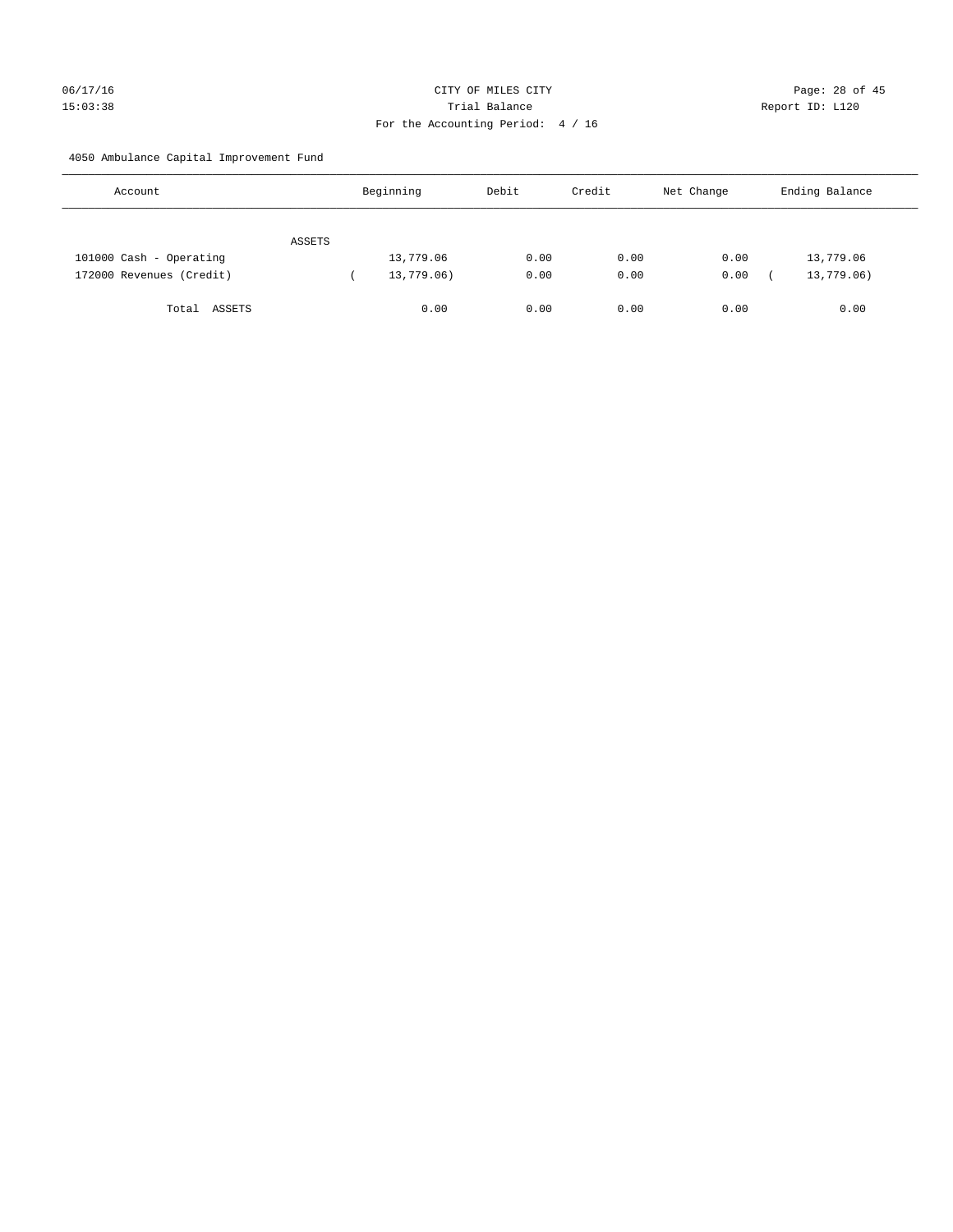# 06/17/16 Page: 28 of 45 15:03:38 Trial Balance Report ID: L120 For the Accounting Period: 4 / 16

4050 Ambulance Capital Improvement Fund

| Account                  |        | Beginning  | Debit | Credit | Net Change | Ending Balance |
|--------------------------|--------|------------|-------|--------|------------|----------------|
|                          | ASSETS |            |       |        |            |                |
| 101000 Cash - Operating  |        | 13,779.06  | 0.00  | 0.00   | 0.00       | 13,779.06      |
| 172000 Revenues (Credit) |        | 13,779.06) | 0.00  | 0.00   | 0.00       | 13,779.06)     |
| Total ASSETS             |        | 0.00       | 0.00  | 0.00   | 0.00       | 0.00           |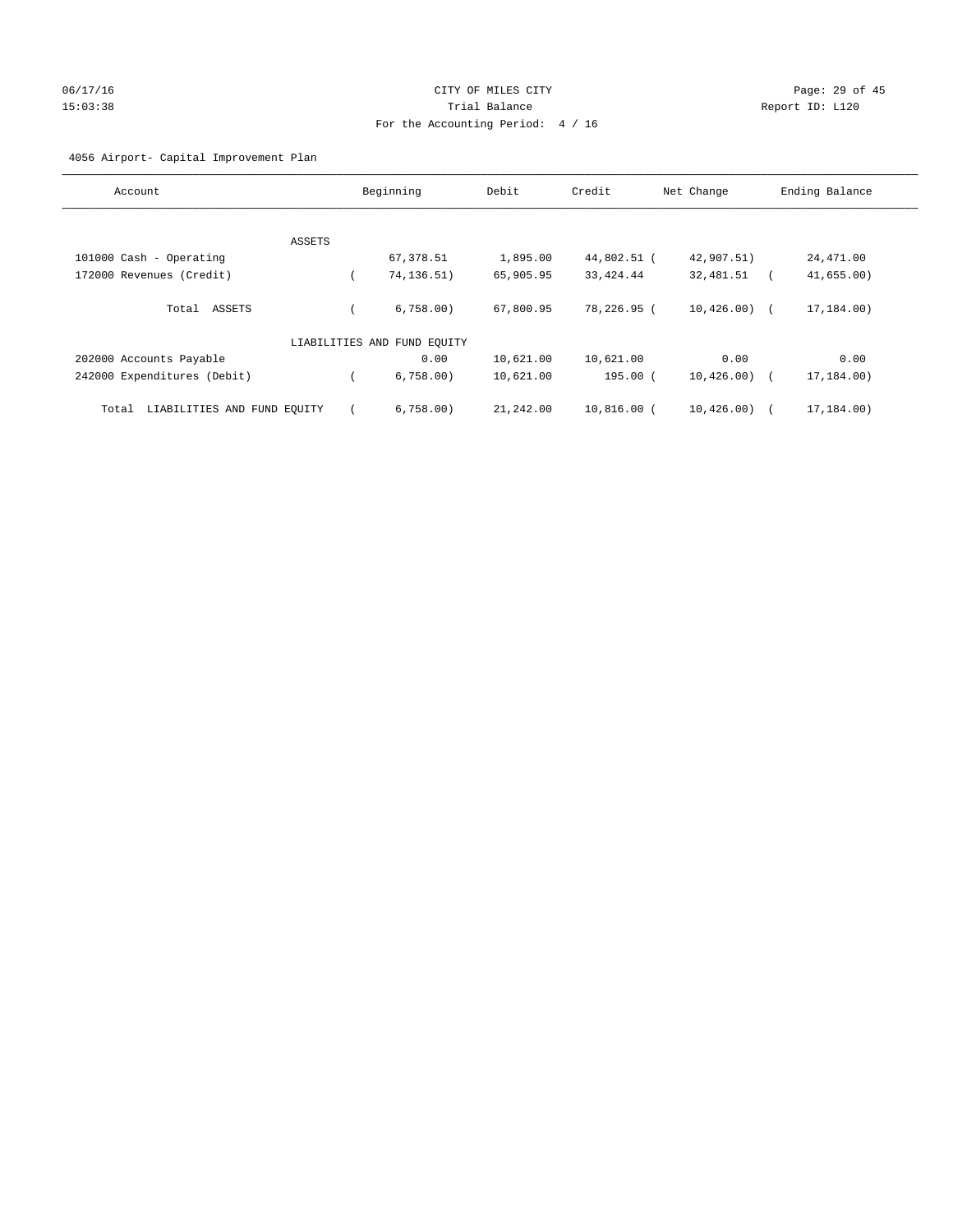# 06/17/16 Page: 29 of 45 15:03:38 Trial Balance Report ID: L120 For the Accounting Period: 4 / 16

# 4056 Airport- Capital Improvement Plan

| Account                              |        | Beginning                   | Debit     | Credit      | Net Change    | Ending Balance |
|--------------------------------------|--------|-----------------------------|-----------|-------------|---------------|----------------|
|                                      |        |                             |           |             |               |                |
|                                      | ASSETS |                             |           |             |               |                |
| 101000 Cash - Operating              |        | 67,378.51                   | 1,895.00  | 44,802.51 ( | 42,907.51)    | 24,471.00      |
| 172000 Revenues (Credit)             |        | 74, 136. 51)                | 65,905.95 | 33, 424.44  | 32,481.51     | 41,655.00      |
| Total ASSETS                         |        | 6.758.00                    | 67,800.95 | 78,226.95 ( | $10.426.00$ ( | 17,184.00)     |
|                                      |        | LIABILITIES AND FUND EQUITY |           |             |               |                |
| 202000 Accounts Payable              |        | 0.00                        | 10,621.00 | 10,621.00   | 0.00          | 0.00           |
| 242000 Expenditures (Debit)          |        | 6,758.00)                   | 10,621.00 | 195.00 (    | 10, 426.00)   | 17,184.00)     |
| LIABILITIES AND FUND EQUITY<br>Total |        | 6,758.00                    | 21,242.00 | 10,816.00 ( | 10,426.00)    | 17,184.00)     |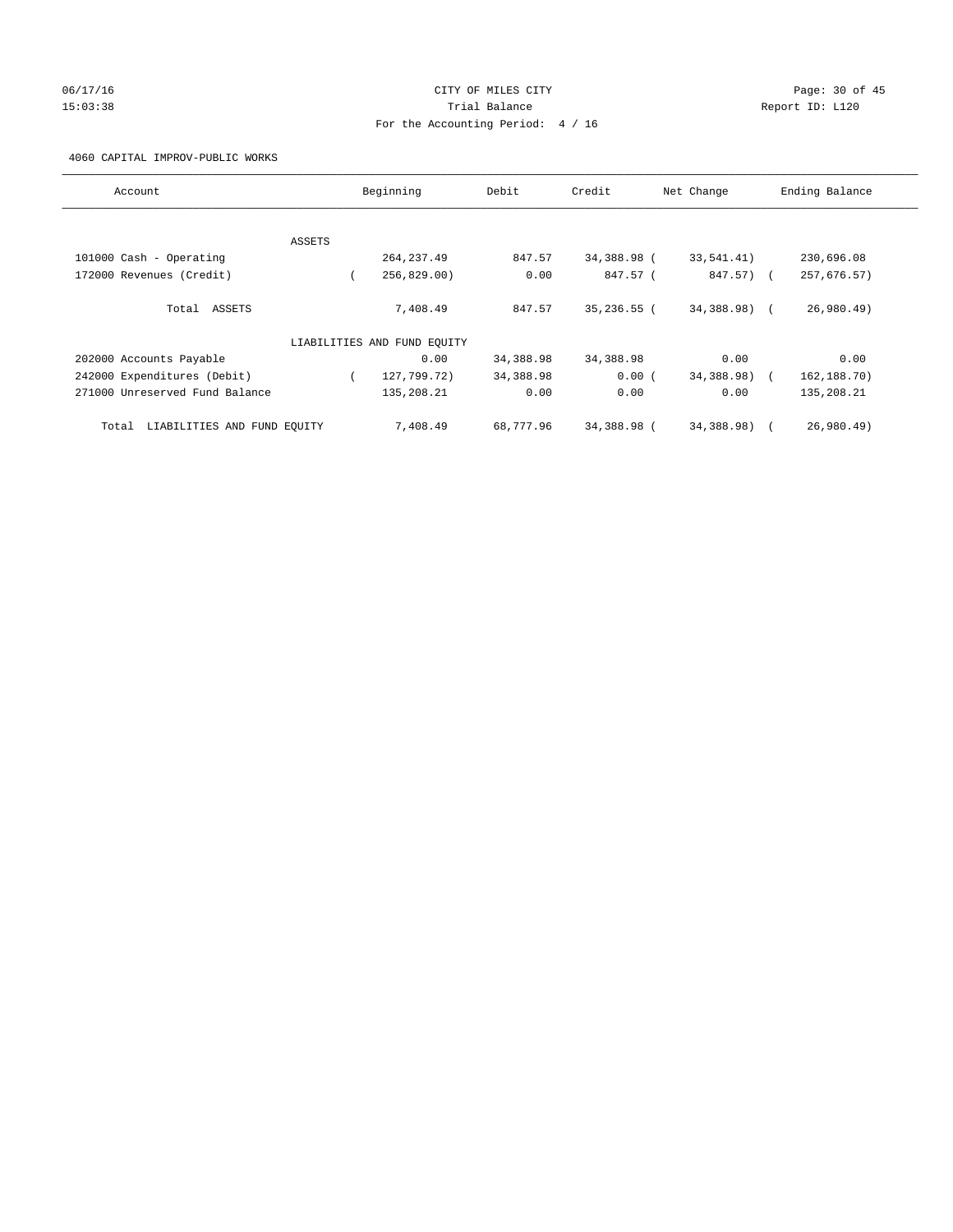# 06/17/16 Page: 30 of 45 15:03:38 Trial Balance Report ID: L120 For the Accounting Period: 4 / 16

4060 CAPITAL IMPROV-PUBLIC WORKS

| Account                              |        | Beginning                   | Debit     | Credit        | Net Change   | Ending Balance |
|--------------------------------------|--------|-----------------------------|-----------|---------------|--------------|----------------|
|                                      |        |                             |           |               |              |                |
|                                      | ASSETS |                             |           |               |              |                |
| 101000 Cash - Operating              |        | 264, 237.49                 | 847.57    | 34,388.98 (   | 33,541.41)   | 230,696.08     |
| 172000 Revenues (Credit)             |        | 256,829.00                  | 0.00      | 847.57 (      | 847.57) (    | 257,676.57)    |
| Total ASSETS                         |        | 7,408.49                    | 847.57    | $35,236.55$ ( | 34,388.98) ( | 26,980.49      |
|                                      |        | LIABILITIES AND FUND EQUITY |           |               |              |                |
| 202000 Accounts Payable              |        | 0.00                        | 34,388.98 | 34,388.98     | 0.00         | 0.00           |
| 242000 Expenditures (Debit)          |        | 127,799.72)                 | 34,388.98 | 0.00(         | 34,388.98)   | 162,188.70)    |
| 271000 Unreserved Fund Balance       |        | 135,208.21                  | 0.00      | 0.00          | 0.00         | 135,208.21     |
| LIABILITIES AND FUND EQUITY<br>Total |        | 7,408.49                    | 68,777.96 | 34,388.98 (   | 34,388.98) ( | 26,980.49      |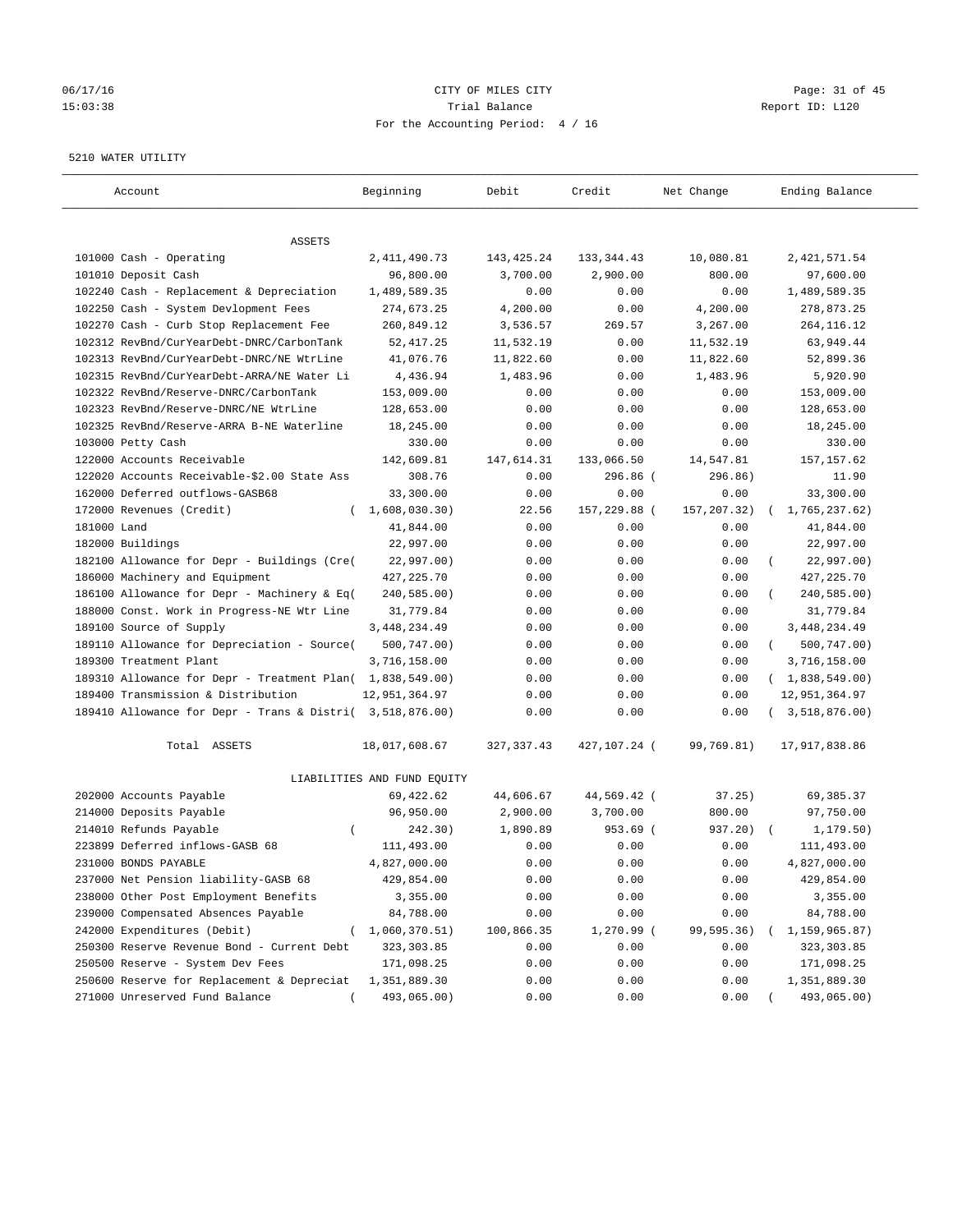# 06/17/16 Page: 31 of 45 15:03:38 Trial Balance Report ID: L120 For the Accounting Period: 4 / 16

#### 5210 WATER UTILITY

| Account                                                   | Beginning                   | Debit        | Credit       | Net Change  | Ending Balance          |
|-----------------------------------------------------------|-----------------------------|--------------|--------------|-------------|-------------------------|
| ASSETS                                                    |                             |              |              |             |                         |
| 101000 Cash - Operating                                   | 2, 411, 490. 73             | 143, 425. 24 | 133, 344.43  | 10,080.81   | 2, 421, 571.54          |
| 101010 Deposit Cash                                       | 96,800.00                   | 3,700.00     | 2,900.00     | 800.00      | 97,600.00               |
| 102240 Cash - Replacement & Depreciation                  | 1,489,589.35                | 0.00         | 0.00         | 0.00        | 1,489,589.35            |
| 102250 Cash - System Devlopment Fees                      | 274,673.25                  | 4,200.00     | 0.00         | 4,200.00    | 278,873.25              |
| 102270 Cash - Curb Stop Replacement Fee                   | 260,849.12                  | 3,536.57     | 269.57       | 3,267.00    | 264, 116.12             |
| 102312 RevBnd/CurYearDebt-DNRC/CarbonTank                 | 52,417.25                   | 11,532.19    | 0.00         | 11,532.19   | 63,949.44               |
| 102313 RevBnd/CurYearDebt-DNRC/NE WtrLine                 | 41,076.76                   | 11,822.60    | 0.00         | 11,822.60   | 52,899.36               |
| 102315 RevBnd/CurYearDebt-ARRA/NE Water Li                | 4,436.94                    | 1,483.96     | 0.00         | 1,483.96    | 5,920.90                |
| 102322 RevBnd/Reserve-DNRC/CarbonTank                     | 153,009.00                  | 0.00         | 0.00         | 0.00        | 153,009.00              |
| 102323 RevBnd/Reserve-DNRC/NE WtrLine                     | 128,653.00                  | 0.00         | 0.00         | 0.00        | 128,653.00              |
| 102325 RevBnd/Reserve-ARRA B-NE Waterline                 | 18,245.00                   | 0.00         | 0.00         | 0.00        | 18,245.00               |
| 103000 Petty Cash                                         | 330.00                      | 0.00         | 0.00         | 0.00        | 330.00                  |
| 122000 Accounts Receivable                                | 142,609.81                  | 147,614.31   | 133,066.50   | 14,547.81   | 157, 157.62             |
| 122020 Accounts Receivable-\$2.00 State Ass               | 308.76                      | 0.00         | 296.86 (     | 296.86)     | 11.90                   |
| 162000 Deferred outflows-GASB68                           | 33,300.00                   | 0.00         | 0.00         | 0.00        | 33,300.00               |
| 172000 Revenues (Credit)                                  | 1,608,030.30)<br>$\left($   | 22.56        | 157,229.88 ( | 157,207.32) | 1,765,237.62)           |
| 181000 Land                                               | 41,844.00                   | 0.00         | 0.00         | 0.00        | 41,844.00               |
| 182000 Buildings                                          | 22,997.00                   | 0.00         | 0.00         | 0.00        | 22,997.00               |
| 182100 Allowance for Depr - Buildings (Cre(               | 22,997.00)                  | 0.00         | 0.00         | 0.00        | 22,997.00)              |
| 186000 Machinery and Equipment                            | 427, 225. 70                | 0.00         | 0.00         | 0.00        | 427, 225.70             |
| 186100 Allowance for Depr - Machinery & Eq(               | 240,585.00)                 | 0.00         | 0.00         | 0.00        | 240,585.00)             |
| 188000 Const. Work in Progress-NE Wtr Line                | 31,779.84                   | 0.00         | 0.00         | 0.00        | 31,779.84               |
| 189100 Source of Supply                                   | 3,448,234.49                | 0.00         | 0.00         | 0.00        | 3, 448, 234.49          |
| 189110 Allowance for Depreciation - Source(               | 500,747.00)                 | 0.00         | 0.00         | 0.00        | 500,747.00)<br>$\left($ |
| 189300 Treatment Plant                                    | 3,716,158.00                | 0.00         | 0.00         | 0.00        | 3,716,158.00            |
| 189310 Allowance for Depr - Treatment Plan( 1,838,549.00) |                             | 0.00         | 0.00         | 0.00        | (1,838,549.00)          |
| 189400 Transmission & Distribution                        | 12,951,364.97               | 0.00         | 0.00         | 0.00        | 12,951,364.97           |
| 189410 Allowance for Depr - Trans & Distri( 3,518,876.00) |                             | 0.00         | 0.00         | 0.00        | 3,518,876.00)           |
| Total ASSETS                                              | 18,017,608.67               | 327, 337.43  | 427,107.24 ( | 99,769.81)  | 17,917,838.86           |
|                                                           | LIABILITIES AND FUND EQUITY |              |              |             |                         |
| 202000 Accounts Payable                                   | 69,422.62                   | 44,606.67    | 44,569.42 (  | 37.25)      | 69,385.37               |
| 214000 Deposits Payable                                   | 96,950.00                   | 2,900.00     | 3,700.00     | 800.00      | 97,750.00               |
| 214010 Refunds Payable<br>$\left($                        | 242.30)                     | 1,890.89     | 953.69 (     | 937.20)     | 1, 179.50)              |
| 223899 Deferred inflows-GASB 68                           | 111,493.00                  | 0.00         | 0.00         | 0.00        | 111,493.00              |
| 231000 BONDS PAYABLE                                      | 4,827,000.00                | 0.00         | 0.00         | 0.00        | 4,827,000.00            |
| 237000 Net Pension liability-GASB 68                      | 429,854.00                  | 0.00         | 0.00         | 0.00        | 429,854.00              |
| 238000 Other Post Employment Benefits                     | 3,355.00                    | 0.00         | 0.00         | 0.00        | 3,355.00                |
| 239000 Compensated Absences Payable                       | 84,788.00                   | 0.00         | 0.00         | 0.00        | 84,788.00               |
| 242000 Expenditures (Debit)                               | 1,060,370.51)               | 100,866.35   | 1,270.99 (   | 99,595.36)  | 1,159,965.87)           |
| 250300 Reserve Revenue Bond - Current Debt                | 323, 303.85                 | 0.00         | 0.00         | 0.00        | 323, 303.85             |
| 250500 Reserve - System Dev Fees                          | 171,098.25                  | 0.00         | 0.00         | 0.00        | 171,098.25              |
| 250600 Reserve for Replacement & Depreciat                | 1,351,889.30                | 0.00         | 0.00         | 0.00        | 1,351,889.30            |
| 271000 Unreserved Fund Balance                            | 493,065.00)                 | 0.00         | 0.00         | 0.00        | 493,065.00)             |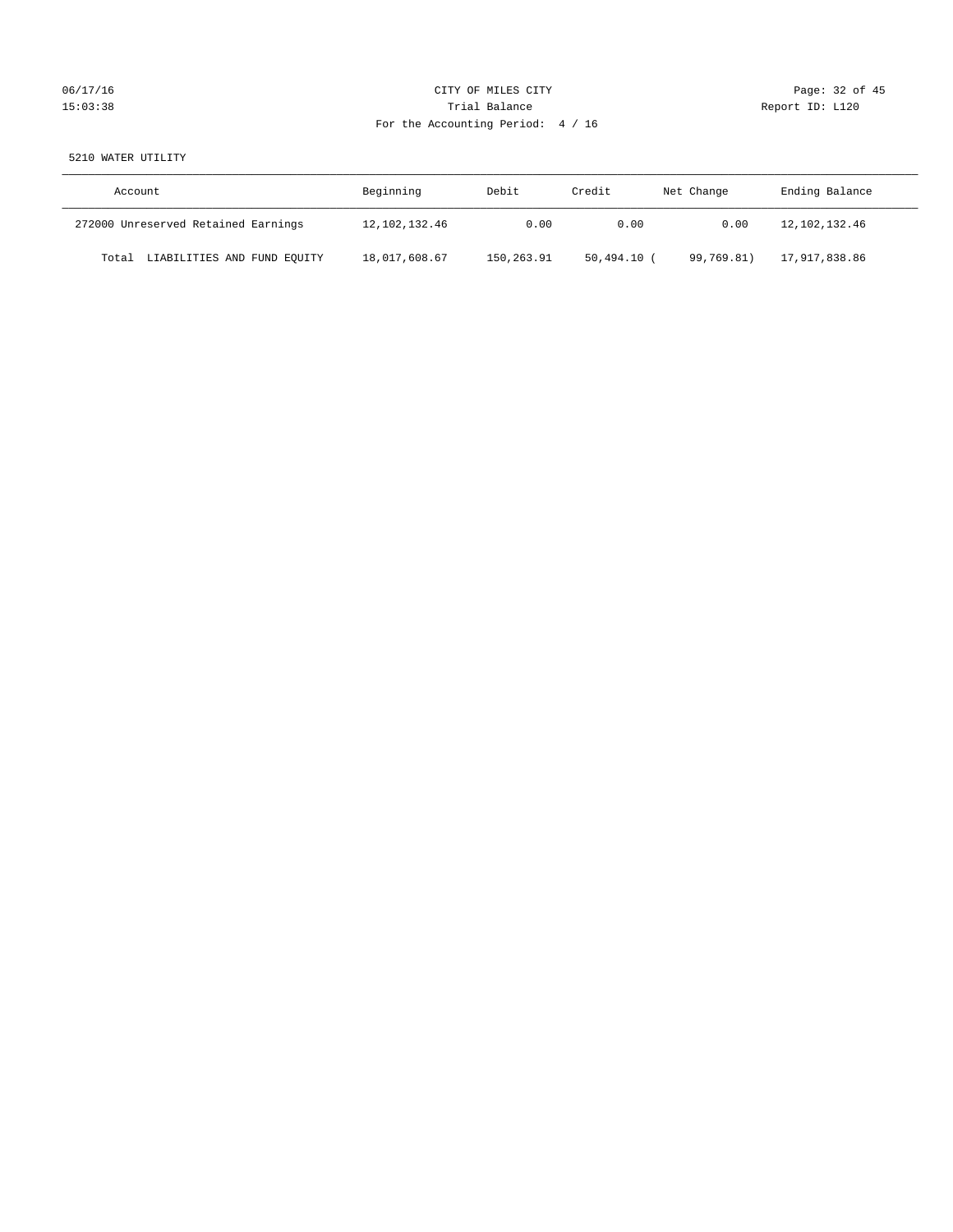# 06/17/16 Page: 32 of 45 15:03:38 Trial Balance Trial Balance Report ID: L120 For the Accounting Period: 4 / 16

# 5210 WATER UTILITY

| Account                              | Beginning     | Debit      | Credit      | Net Change | Ending Balance |
|--------------------------------------|---------------|------------|-------------|------------|----------------|
| 272000 Unreserved Retained Earnings  | 12,102,132.46 | 0.00       | 0.00        | 0.00       | 12,102,132.46  |
| LIABILITIES AND FUND EQUITY<br>Total | 18,017,608.67 | 150,263.91 | 50,494.10 ( | 99,769.81) | 17,917,838.86  |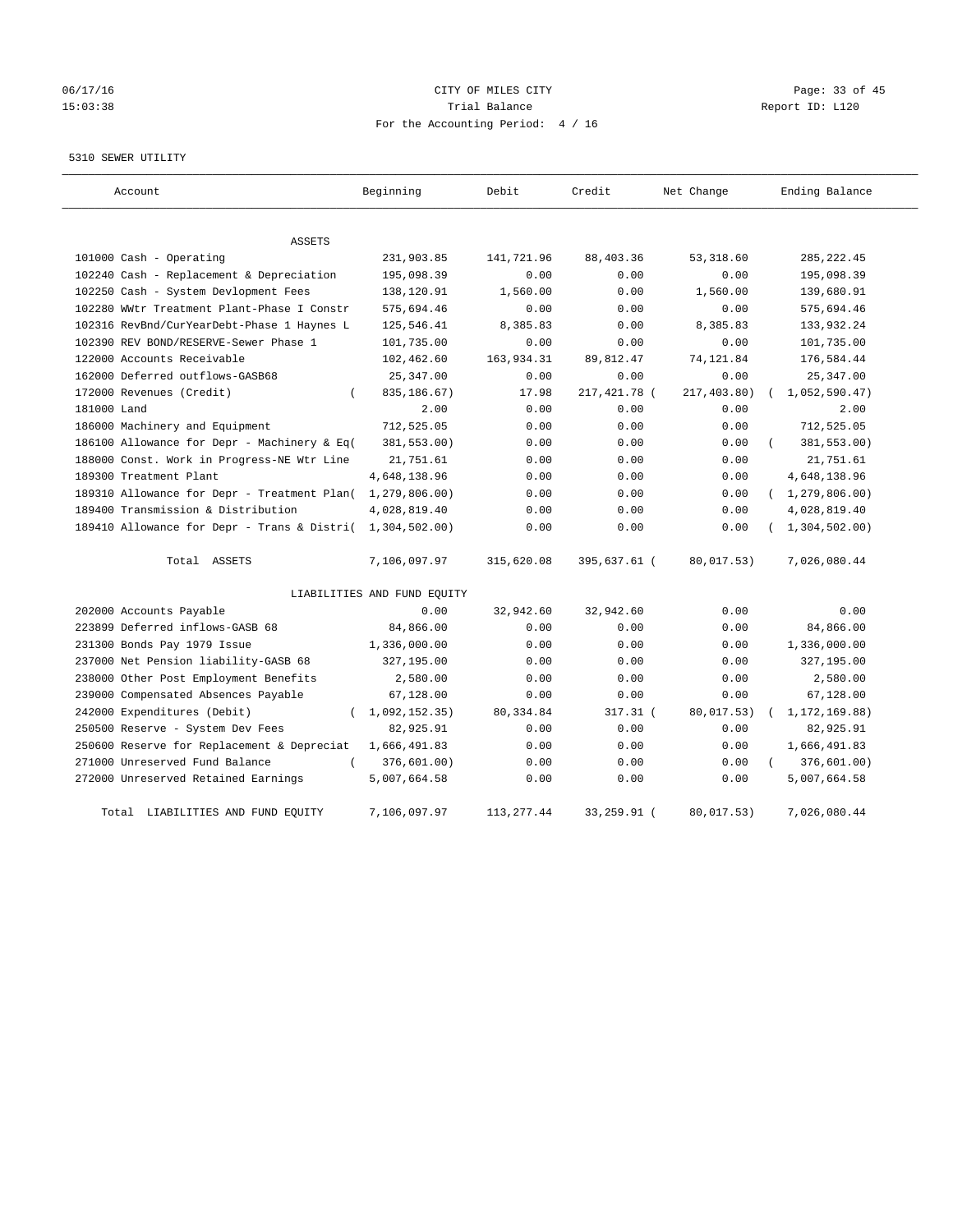# 06/17/16 Page: 33 of 45 15:03:38 Trial Balance Report ID: L120 For the Accounting Period: 4 / 16

#### 5310 SEWER UTILITY

| Account                                                   | Beginning                   | Debit       | Credit       | Net Change  | Ending Balance   |
|-----------------------------------------------------------|-----------------------------|-------------|--------------|-------------|------------------|
| <b>ASSETS</b>                                             |                             |             |              |             |                  |
| 101000 Cash - Operating                                   | 231,903.85                  | 141,721.96  | 88,403.36    | 53, 318.60  | 285, 222.45      |
| 102240 Cash - Replacement & Depreciation                  | 195,098.39                  | 0.00        | 0.00         | 0.00        | 195,098.39       |
| 102250 Cash - System Devlopment Fees                      | 138,120.91                  | 1,560.00    | 0.00         | 1,560.00    | 139,680.91       |
| 102280 WWtr Treatment Plant-Phase I Constr                | 575,694.46                  | 0.00        | 0.00         | 0.00        | 575,694.46       |
| 102316 RevBnd/CurYearDebt-Phase 1 Haynes L                | 125,546.41                  | 8,385.83    | 0.00         | 8,385.83    | 133,932.24       |
| 102390 REV BOND/RESERVE-Sewer Phase 1                     | 101,735.00                  | 0.00        | 0.00         | 0.00        | 101,735.00       |
| 122000 Accounts Receivable                                | 102,462.60                  | 163,934.31  | 89, 812.47   | 74,121.84   | 176,584.44       |
| 162000 Deferred outflows-GASB68                           | 25, 347.00                  | 0.00        | 0.00         | 0.00        | 25, 347.00       |
| 172000 Revenues (Credit)                                  | 835,186.67)                 | 17.98       | 217,421.78 ( | 217,403.80) | 1,052,590.47     |
| 181000 Land                                               | 2.00                        | 0.00        | 0.00         | 0.00        | 2.00             |
| 186000 Machinery and Equipment                            | 712,525.05                  | 0.00        | 0.00         | 0.00        | 712,525.05       |
| 186100 Allowance for Depr - Machinery & Eq(               | 381,553.00)                 | 0.00        | 0.00         | 0.00        | 381,553.00)      |
| 188000 Const. Work in Progress-NE Wtr Line                | 21,751.61                   | 0.00        | 0.00         | 0.00        | 21,751.61        |
| 189300 Treatment Plant                                    | 4,648,138.96                | 0.00        | 0.00         | 0.00        | 4,648,138.96     |
| 189310 Allowance for Depr - Treatment Plan(               | 1, 279, 806.00)             | 0.00        | 0.00         | 0.00        | (1, 279, 806.00) |
| 189400 Transmission & Distribution                        | 4,028,819.40                | 0.00        | 0.00         | 0.00        | 4,028,819.40     |
| 189410 Allowance for Depr - Trans & Distri( 1,304,502.00) |                             | 0.00        | 0.00         | 0.00        | (1, 304, 502.00) |
| Total ASSETS                                              | 7,106,097.97                | 315,620.08  | 395,637.61 ( | 80,017.53)  | 7,026,080.44     |
|                                                           | LIABILITIES AND FUND EQUITY |             |              |             |                  |
| 202000 Accounts Payable                                   | 0.00                        | 32,942.60   | 32,942.60    | 0.00        | 0.00             |
| 223899 Deferred inflows-GASB 68                           | 84,866.00                   | 0.00        | 0.00         | 0.00        | 84,866.00        |
| 231300 Bonds Pay 1979 Issue                               | 1,336,000.00                | 0.00        | 0.00         | 0.00        | 1,336,000.00     |
| 237000 Net Pension liability-GASB 68                      | 327,195.00                  | 0.00        | 0.00         | 0.00        | 327,195.00       |
| 238000 Other Post Employment Benefits                     | 2,580.00                    | 0.00        | 0.00         | 0.00        | 2,580.00         |
| 239000 Compensated Absences Payable                       | 67,128.00                   | 0.00        | 0.00         | 0.00        | 67,128.00        |
| 242000 Expenditures (Debit)                               | (1,092,152.35)              | 80, 334.84  | $317.31$ (   | 80,017.53)  | 1, 172, 169.88)  |
| 250500 Reserve - System Dev Fees                          | 82,925.91                   | 0.00        | 0.00         | 0.00        | 82,925.91        |
| 250600 Reserve for Replacement & Depreciat                | 1,666,491.83                | 0.00        | 0.00         | 0.00        | 1,666,491.83     |
| 271000 Unreserved Fund Balance<br>$\left($                | 376,601.00)                 | 0.00        | 0.00         | 0.00        | 376,601.00)      |
| 272000 Unreserved Retained Earnings                       | 5,007,664.58                | 0.00        | 0.00         | 0.00        | 5,007,664.58     |
| Total LIABILITIES AND FUND EQUITY                         | 7,106,097.97                | 113, 277.44 | 33,259.91 (  | 80,017.53)  | 7,026,080.44     |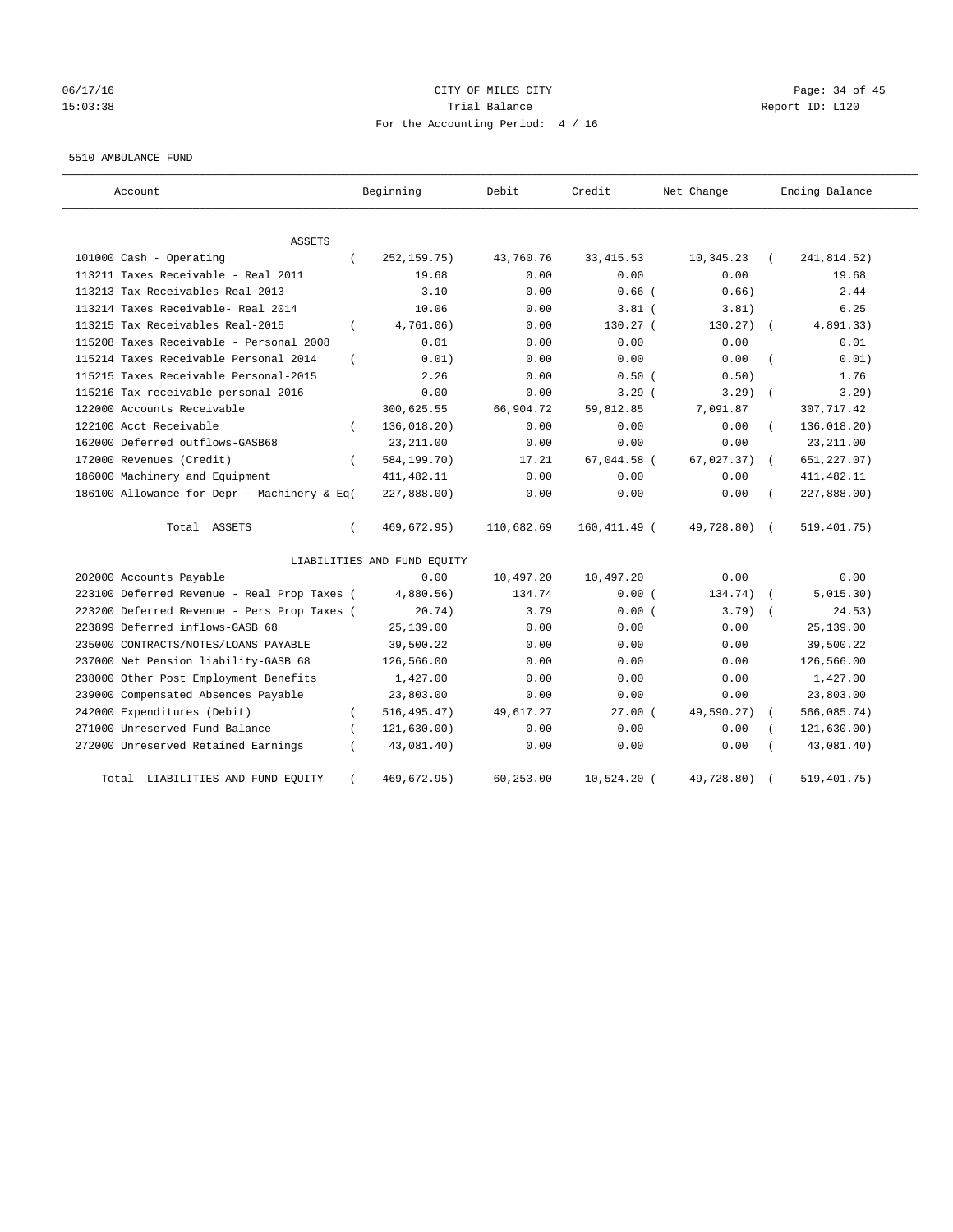# 06/17/16 Page: 34 of 45 15:03:38 Trial Balance Report ID: L120 For the Accounting Period: 4 / 16

#### 5510 AMBULANCE FUND

| Account                                     |            | Beginning                   | Debit      | Credit        | Net Change   | Ending Balance |
|---------------------------------------------|------------|-----------------------------|------------|---------------|--------------|----------------|
| <b>ASSETS</b>                               |            |                             |            |               |              |                |
| 101000 Cash - Operating                     | $\left($   | 252, 159. 75)               | 43,760.76  | 33, 415.53    | 10,345.23    | 241,814.52)    |
| 113211 Taxes Receivable - Real 2011         |            | 19.68                       | 0.00       | 0.00          | 0.00         | 19.68          |
| 113213 Tax Receivables Real-2013            |            | 3.10                        | 0.00       | $0.66$ $($    | 0.66)        | 2.44           |
| 113214 Taxes Receivable- Real 2014          |            | 10.06                       | 0.00       | $3.81$ $($    | 3.81)        | 6.25           |
| 113215 Tax Receivables Real-2015            | $\left($   | 4,761.06)                   | 0.00       | 130.27 (      | 130.27)      | 4,891.33)      |
| 115208 Taxes Receivable - Personal 2008     |            | 0.01                        | 0.00       | 0.00          | 0.00         | 0.01           |
| 115214 Taxes Receivable Personal 2014       | $\left($   | 0.01)                       | 0.00       | 0.00          | 0.00         | 0.01)          |
| 115215 Taxes Receivable Personal-2015       |            | 2.26                        | 0.00       | 0.50(         | 0.50)        | 1.76           |
| 115216 Tax receivable personal-2016         |            | 0.00                        | 0.00       | 3.29(         | 3.29         | 3.29           |
| 122000 Accounts Receivable                  |            | 300,625.55                  | 66,904.72  | 59,812.85     | 7,091.87     | 307,717.42     |
| 122100 Acct Receivable                      |            | 136,018.20)                 | 0.00       | 0.00          | 0.00         | 136,018.20)    |
| 162000 Deferred outflows-GASB68             |            | 23, 211.00                  | 0.00       | 0.00          | 0.00         | 23, 211.00     |
| 172000 Revenues (Credit)                    | $\left($   | 584,199.70)                 | 17.21      | 67.044.58 (   | 67,027.37)   | 651, 227.07)   |
| 186000 Machinery and Equipment              |            | 411, 482.11                 | 0.00       | 0.00          | 0.00         | 411, 482.11    |
| 186100 Allowance for Depr - Machinery & Eq( |            | 227,888.00)                 | 0.00       | 0.00          | 0.00         | 227,888.00)    |
| Total ASSETS                                | $\left($   | 469,672.95)                 | 110,682.69 | 160,411.49 (  | 49,728.80) ( | 519,401.75)    |
|                                             |            | LIABILITIES AND FUND EQUITY |            |               |              |                |
| 202000 Accounts Payable                     |            | 0.00                        | 10,497.20  | 10,497.20     | 0.00         | 0.00           |
| 223100 Deferred Revenue - Real Prop Taxes ( |            | 4,880.56)                   | 134.74     | 0.00(         | 134.74)      | 5,015.30)      |
| 223200 Deferred Revenue - Pers Prop Taxes ( |            | 20.74)                      | 3.79       | 0.00(         | $3.79$ )     | 24.53)         |
| 223899 Deferred inflows-GASB 68             |            | 25,139.00                   | 0.00       | 0.00          | 0.00         | 25,139.00      |
| 235000 CONTRACTS/NOTES/LOANS PAYABLE        |            | 39,500.22                   | 0.00       | 0.00          | 0.00         | 39,500.22      |
| 237000 Net Pension liability-GASB 68        |            | 126,566.00                  | 0.00       | 0.00          | 0.00         | 126,566.00     |
| 238000 Other Post Employment Benefits       |            | 1,427.00                    | 0.00       | 0.00          | 0.00         | 1,427.00       |
| 239000 Compensated Absences Payable         |            | 23,803.00                   | 0.00       | 0.00          | 0.00         | 23,803.00      |
| 242000 Expenditures (Debit)                 | $\left($   | 516, 495.47)                | 49,617.27  | $27.00$ (     | 49,590.27)   | 566,085.74)    |
| 271000 Unreserved Fund Balance              |            | 121, 630.00)                | 0.00       | 0.00          | 0.00         | 121,630.00)    |
| 272000 Unreserved Retained Earnings         |            | 43,081.40)                  | 0.00       | 0.00          | 0.00         | 43,081.40)     |
| Total LIABILITIES AND FUND EQUITY           | $\epsilon$ | 469,672.95)                 | 60,253.00  | $10,524.20$ ( | 49,728.80)   | 519,401.75)    |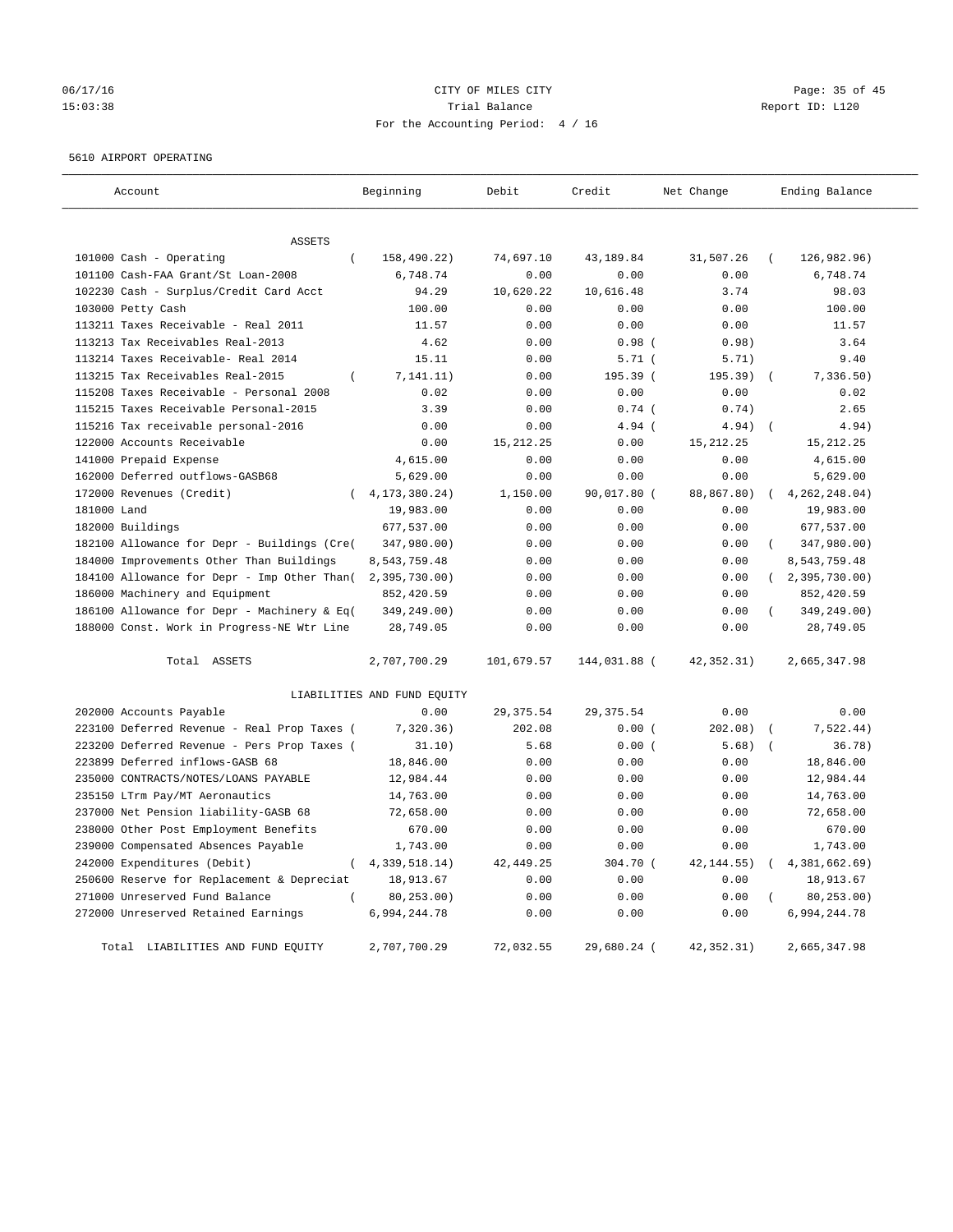# 06/17/16 Page: 35 of 45 15:03:38 Trial Balance Report ID: L120 For the Accounting Period: 4 / 16

#### 5610 AIRPORT OPERATING

| Account                                                                 | Beginning                   | Debit             | Credit            | Net Change    | Ending Balance            |
|-------------------------------------------------------------------------|-----------------------------|-------------------|-------------------|---------------|---------------------------|
|                                                                         |                             |                   |                   |               |                           |
| ASSETS                                                                  |                             |                   |                   |               |                           |
| 101000 Cash - Operating<br>$\overline{ }$                               | 158,490.22)                 | 74,697.10         | 43,189.84         | 31,507.26     | 126,982.96)               |
| 101100 Cash-FAA Grant/St Loan-2008                                      | 6,748.74                    | 0.00              | 0.00              | 0.00<br>3.74  | 6,748.74                  |
| 102230 Cash - Surplus/Credit Card Acct                                  | 94.29<br>100.00             | 10,620.22<br>0.00 | 10,616.48<br>0.00 | 0.00          | 98.03<br>100.00           |
| 103000 Petty Cash                                                       |                             |                   |                   |               |                           |
| 113211 Taxes Receivable - Real 2011<br>113213 Tax Receivables Real-2013 | 11.57<br>4.62               | 0.00<br>0.00      | 0.00<br>0.98(     | 0.00<br>0.98) | 11.57<br>3.64             |
|                                                                         |                             |                   |                   |               |                           |
| 113214 Taxes Receivable- Real 2014                                      | 15.11                       | 0.00              | 5.71(             | 5.71)         | 9.40                      |
| 113215 Tax Receivables Real-2015<br>$\left($                            | 7, 141.11)                  | 0.00              | 195.39(<br>0.00   | 195.39)       | 7,336.50)                 |
| 115208 Taxes Receivable - Personal 2008                                 | 0.02                        | 0.00              |                   | 0.00          | 0.02                      |
| 115215 Taxes Receivable Personal-2015                                   | 3.39                        | 0.00              | $0.74$ (          | 0.74)         | 2.65                      |
| 115216 Tax receivable personal-2016                                     | 0.00                        | 0.00              | $4.94$ (          | 4.94)         | 4.94)<br>$\sqrt{ }$       |
| 122000 Accounts Receivable                                              | 0.00                        | 15, 212. 25       | 0.00              | 15, 212. 25   | 15, 212. 25               |
| 141000 Prepaid Expense                                                  | 4,615.00                    | 0.00              | 0.00              | 0.00          | 4,615.00                  |
| 162000 Deferred outflows-GASB68                                         | 5,629.00                    | 0.00              | 0.00              | 0.00          | 5,629.00                  |
| 172000 Revenues (Credit)                                                | 4, 173, 380. 24)            | 1,150.00          | 90,017.80 (       | 88,867.80)    | 4, 262, 248.04)           |
| 181000 Land                                                             | 19,983.00                   | 0.00              | 0.00              | 0.00          | 19,983.00                 |
| 182000 Buildings                                                        | 677,537.00                  | 0.00              | 0.00              | 0.00          | 677,537.00                |
| 182100 Allowance for Depr - Buildings (Cre(                             | 347,980.00)                 | 0.00              | 0.00              | 0.00          | $\left($<br>347,980.00)   |
| 184000 Improvements Other Than Buildings                                | 8,543,759.48                | 0.00              | 0.00              | 0.00          | 8,543,759.48              |
| 184100 Allowance for Depr - Imp Other Than(                             | 2,395,730.00)               | 0.00              | 0.00              | 0.00          | (2, 395, 730.00)          |
| 186000 Machinery and Equipment                                          | 852,420.59                  | 0.00              | 0.00              | 0.00          | 852,420.59                |
| 186100 Allowance for Depr - Machinery & Eq(                             | 349,249.00)                 | 0.00              | 0.00              | 0.00          | 349,249.00)               |
| 188000 Const. Work in Progress-NE Wtr Line                              | 28,749.05                   | 0.00              | 0.00              | 0.00          | 28,749.05                 |
| Total ASSETS                                                            | 2,707,700.29                | 101,679.57        | 144,031.88 (      | 42, 352. 31)  | 2,665,347.98              |
|                                                                         | LIABILITIES AND FUND EQUITY |                   |                   |               |                           |
| 202000 Accounts Payable                                                 | 0.00                        | 29, 375.54        | 29, 375.54        | 0.00          | 0.00                      |
| 223100 Deferred Revenue - Real Prop Taxes (                             | 7,320.36)                   | 202.08            | 0.00(             | 202.08)       | 7,522.44)                 |
| 223200 Deferred Revenue - Pers Prop Taxes (                             | 31.10)                      | 5.68              | 0.00(             | 5.68)         | 36.78)                    |
| 223899 Deferred inflows-GASB 68                                         | 18,846.00                   | 0.00              | 0.00              | 0.00          | 18,846.00                 |
| 235000 CONTRACTS/NOTES/LOANS PAYABLE                                    | 12,984.44                   | 0.00              | 0.00              | 0.00          | 12,984.44                 |
| 235150 LTrm Pay/MT Aeronautics                                          | 14,763.00                   | 0.00              | 0.00              | 0.00          | 14,763.00                 |
| 237000 Net Pension liability-GASB 68                                    | 72,658.00                   | 0.00              | 0.00              | 0.00          | 72,658.00                 |
| 238000 Other Post Employment Benefits                                   | 670.00                      | 0.00              | 0.00              | 0.00          | 670.00                    |
| 239000 Compensated Absences Payable                                     | 1,743.00                    | 0.00              | 0.00              | 0.00          | 1,743.00                  |
| 242000 Expenditures (Debit)<br>$\left($                                 | 4, 339, 518.14)             | 42, 449.25        | 304.70 (          | 42, 144.55)   | 4,381,662.69)<br>$\left($ |
| 250600 Reserve for Replacement & Depreciat                              | 18,913.67                   | 0.00              | 0.00              | 0.00          | 18,913.67                 |
| 271000 Unreserved Fund Balance                                          | 80,253.00)                  | 0.00              | 0.00              | 0.00          | 80, 253.00)               |
| 272000 Unreserved Retained Earnings                                     | 6,994,244.78                | 0.00              | 0.00              | 0.00          | 6,994,244.78              |
| Total LIABILITIES AND FUND EQUITY                                       | 2,707,700.29                | 72,032.55         | 29,680.24 (       | 42, 352. 31)  | 2,665,347.98              |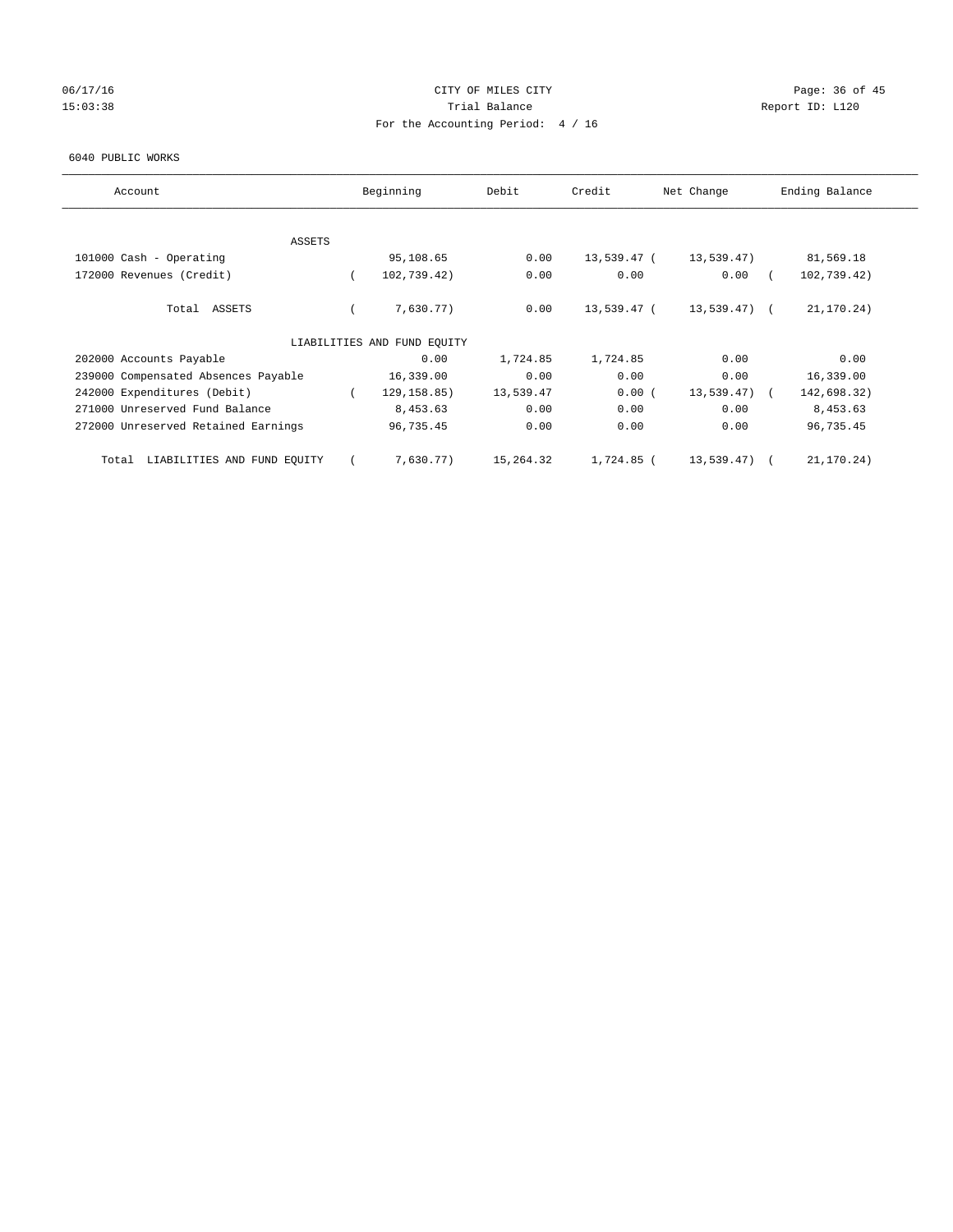# 06/17/16 Page: 36 of 45 15:03:38 Trial Balance Trial Balance Report ID: L120 For the Accounting Period: 4 / 16

#### 6040 PUBLIC WORKS

| Account                              | Beginning                   | Debit     | Credit      | Net Change    | Ending Balance |
|--------------------------------------|-----------------------------|-----------|-------------|---------------|----------------|
| <b>ASSETS</b>                        |                             |           |             |               |                |
| 101000 Cash - Operating              | 95,108.65                   | 0.00      | 13,539.47 ( | 13,539.47)    | 81,569.18      |
| 172000 Revenues (Credit)             | 102,739.42)                 | 0.00      | 0.00        | 0.00          | 102,739.42)    |
| Total ASSETS                         | 7,630.77)                   | 0.00      | 13,539.47 ( | 13,539.47) (  | 21,170.24)     |
|                                      | LIABILITIES AND FUND EQUITY |           |             |               |                |
| 202000 Accounts Payable              | 0.00                        | 1,724.85  | 1,724.85    | 0.00          | 0.00           |
| 239000 Compensated Absences Payable  | 16,339.00                   | 0.00      | 0.00        | 0.00          | 16,339.00      |
| 242000 Expenditures (Debit)          | 129, 158.85)                | 13,539.47 | 0.00(       | $13,539.47$ ( | 142,698.32)    |
| 271000 Unreserved Fund Balance       | 8,453.63                    | 0.00      | 0.00        | 0.00          | 8,453.63       |
| 272000 Unreserved Retained Earnings  | 96,735.45                   | 0.00      | 0.00        | 0.00          | 96,735.45      |
| LIABILITIES AND FUND EQUITY<br>Total | 7,630.77)                   | 15,264.32 | 1,724.85 (  | 13,539.47)    | 21,170.24)     |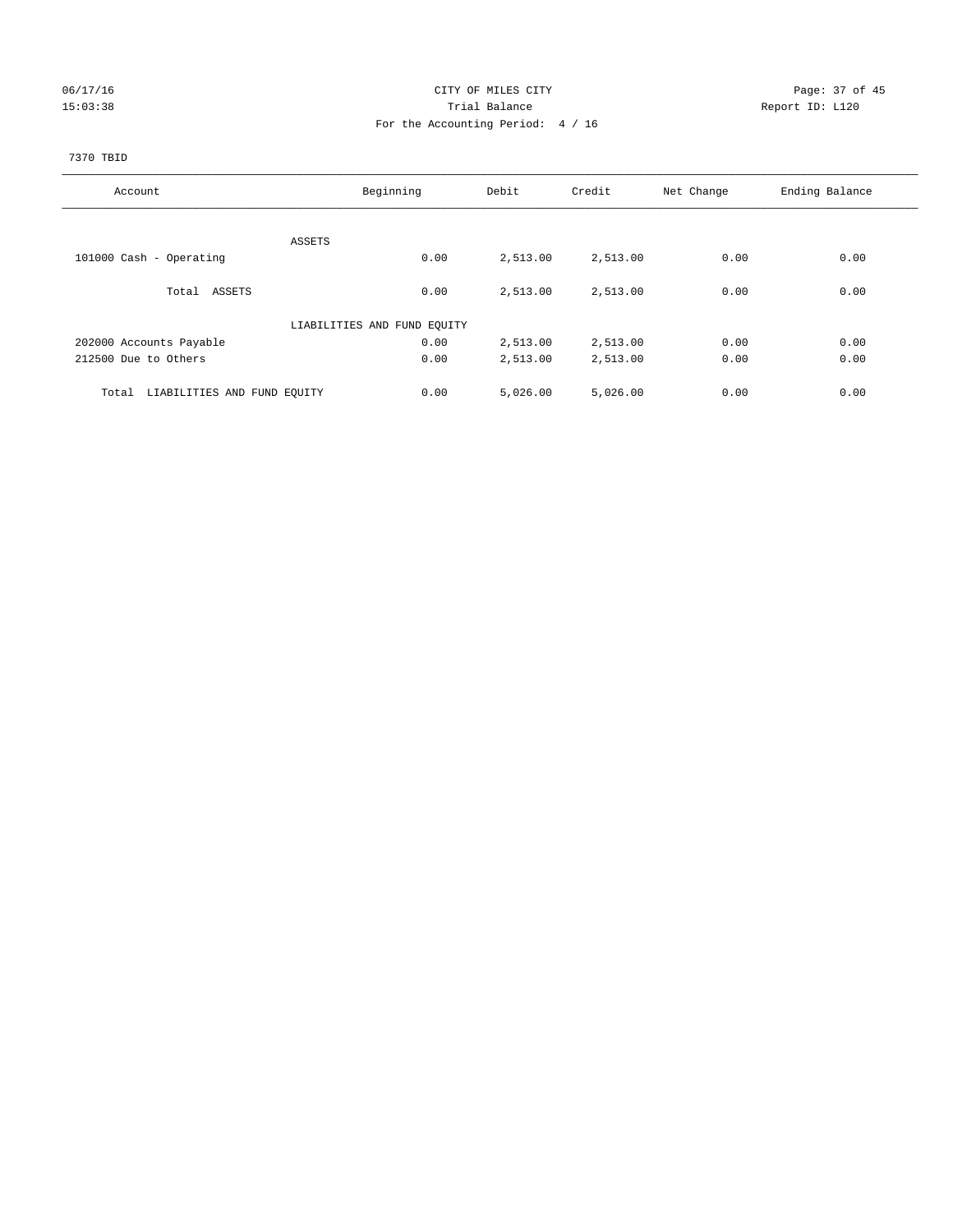# 06/17/16 Page: 37 of 45 15:03:38 Trial Balance Trial Balance Report ID: L120 For the Accounting Period: 4 / 16

#### 7370 TBID

| Account                              | Beginning                   | Debit    | Credit   | Net Change | Ending Balance |
|--------------------------------------|-----------------------------|----------|----------|------------|----------------|
|                                      |                             |          |          |            |                |
|                                      | ASSETS                      |          |          |            |                |
| 101000 Cash - Operating              | 0.00                        | 2,513.00 | 2,513.00 | 0.00       | 0.00           |
| Total ASSETS                         | 0.00                        | 2,513.00 | 2,513.00 | 0.00       | 0.00           |
|                                      | LIABILITIES AND FUND EQUITY |          |          |            |                |
| 202000 Accounts Payable              | 0.00                        | 2,513.00 | 2,513.00 | 0.00       | 0.00           |
| 212500 Due to Others                 | 0.00                        | 2,513.00 | 2,513.00 | 0.00       | 0.00           |
| LIABILITIES AND FUND EQUITY<br>Total | 0.00                        | 5,026.00 | 5,026.00 | 0.00       | 0.00           |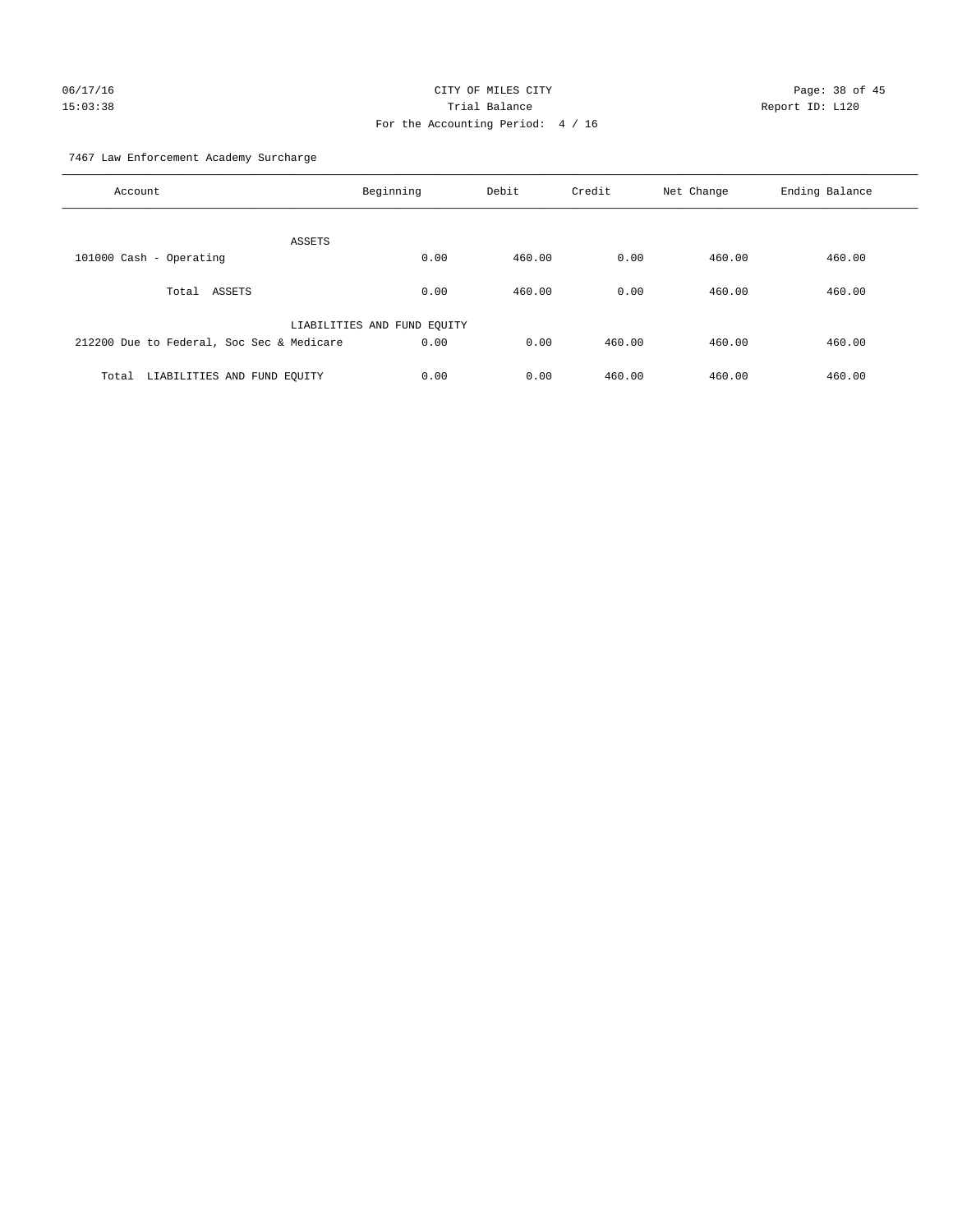# 06/17/16 Page: 38 of 45 15:03:38 Trial Balance Report ID: L120 For the Accounting Period: 4 / 16

7467 Law Enforcement Academy Surcharge

| Account                                   | Beginning                   | Debit  | Credit | Net Change | Ending Balance |
|-------------------------------------------|-----------------------------|--------|--------|------------|----------------|
| <b>ASSETS</b>                             |                             |        |        |            |                |
| 101000 Cash - Operating                   | 0.00                        | 460.00 | 0.00   | 460.00     | 460.00         |
| Total ASSETS                              | 0.00                        | 460.00 | 0.00   | 460.00     | 460.00         |
|                                           | LIABILITIES AND FUND EQUITY |        |        |            |                |
| 212200 Due to Federal, Soc Sec & Medicare | 0.00                        | 0.00   | 460.00 | 460.00     | 460.00         |
| LIABILITIES AND FUND EQUITY<br>Total      | 0.00                        | 0.00   | 460.00 | 460.00     | 460.00         |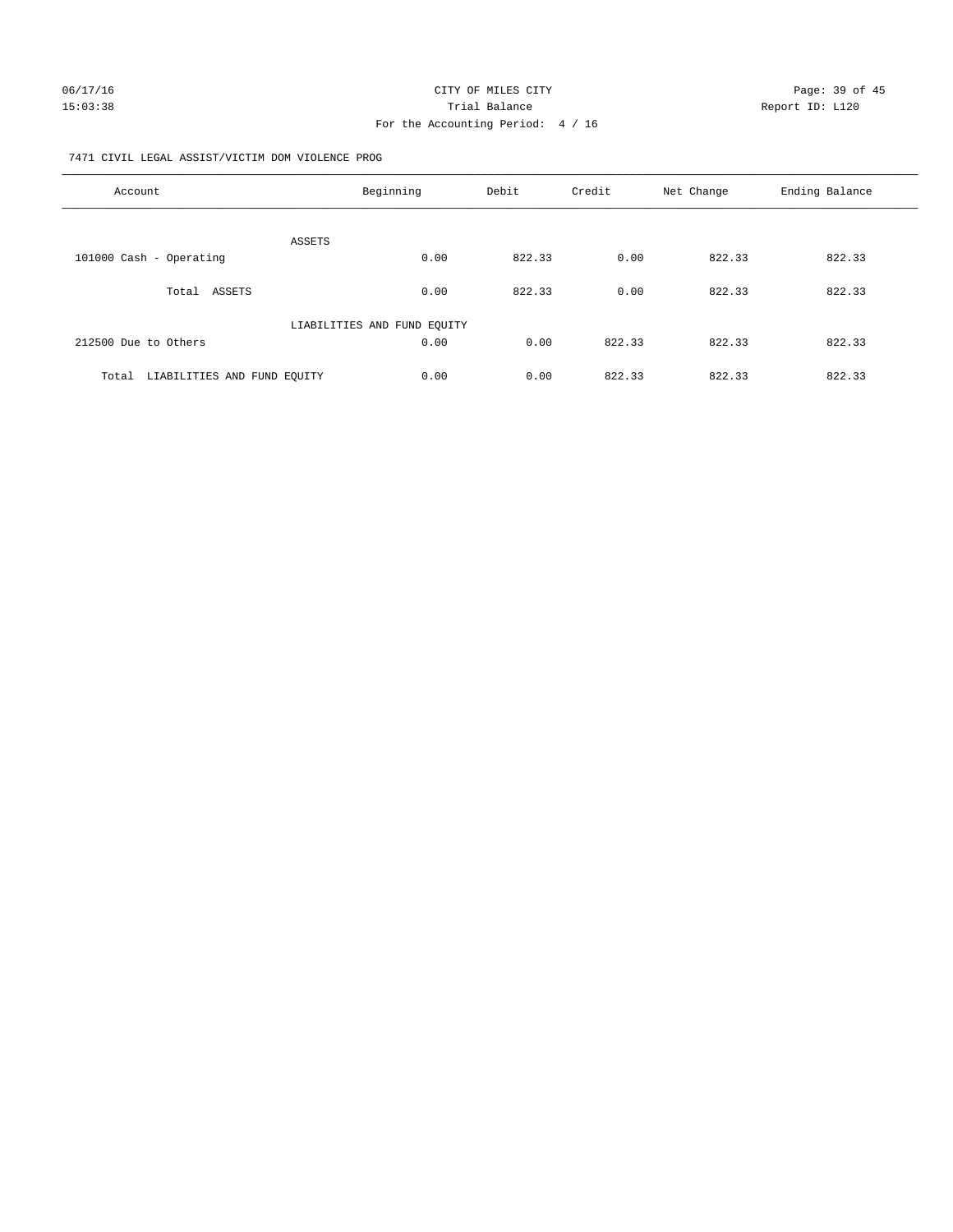#### 7471 CIVIL LEGAL ASSIST/VICTIM DOM VIOLENCE PROG

| Account                              | Beginning                   | Debit  | Credit | Net Change | Ending Balance |
|--------------------------------------|-----------------------------|--------|--------|------------|----------------|
| <b>ASSETS</b>                        |                             |        |        |            |                |
| 101000 Cash - Operating              | 0.00                        | 822.33 | 0.00   | 822.33     | 822.33         |
| Total ASSETS                         | 0.00                        | 822.33 | 0.00   | 822.33     | 822.33         |
|                                      | LIABILITIES AND FUND EQUITY |        |        |            |                |
| 212500 Due to Others                 | 0.00                        | 0.00   | 822.33 | 822.33     | 822.33         |
| LIABILITIES AND FUND EQUITY<br>Total | 0.00                        | 0.00   | 822.33 | 822.33     | 822.33         |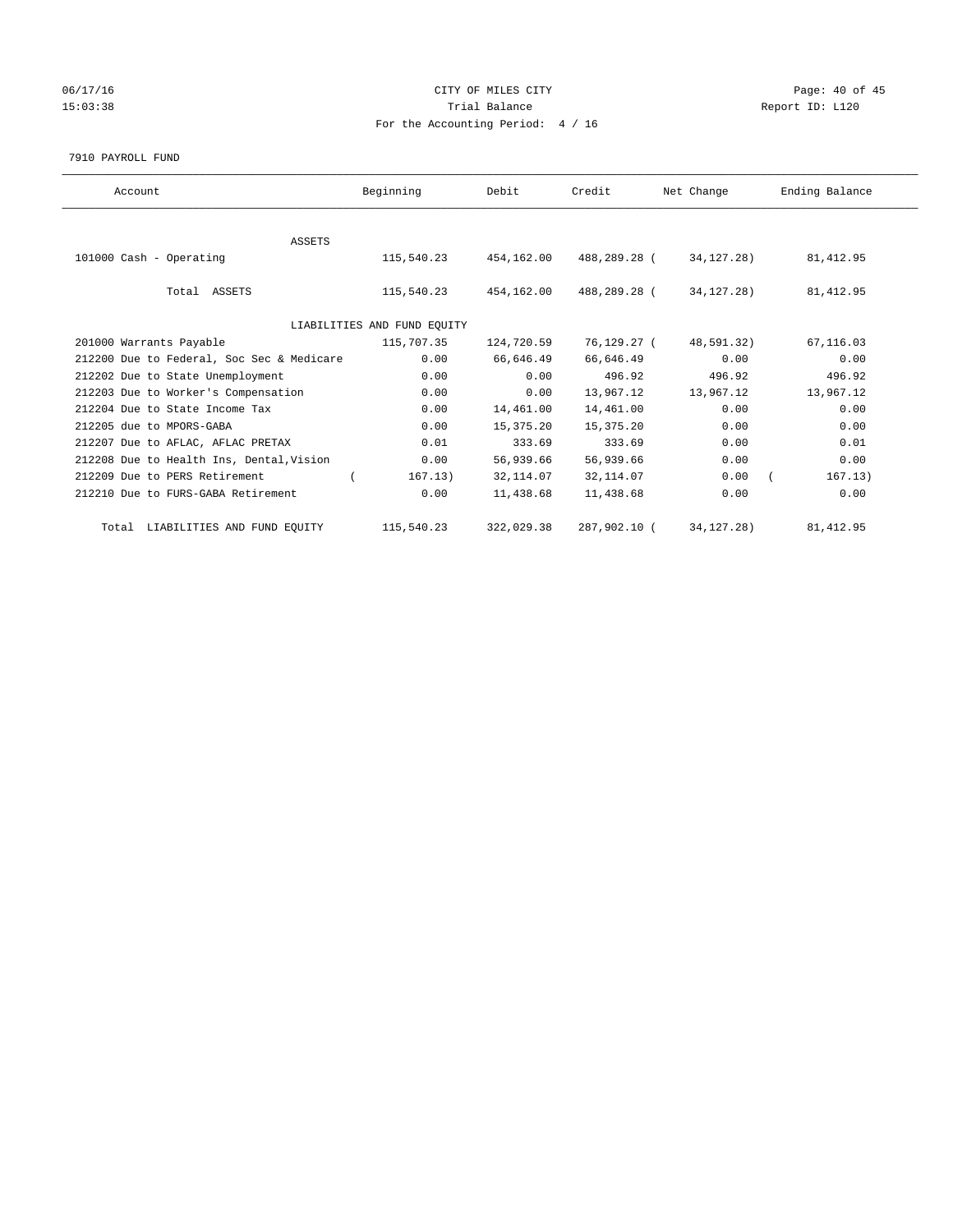# 06/17/16 Page: 40 of 45 15:03:38 Trial Balance Trial Balance Report ID: L120 For the Accounting Period: 4 / 16

#### 7910 PAYROLL FUND

| Account                                   | Beginning                   | Debit      | Credit       | Net Change   | Ending Balance |
|-------------------------------------------|-----------------------------|------------|--------------|--------------|----------------|
|                                           |                             |            |              |              |                |
| <b>ASSETS</b>                             |                             |            |              |              |                |
| 101000 Cash - Operating                   | 115,540.23                  | 454,162.00 | 488,289.28 ( | 34, 127, 28) | 81, 412.95     |
|                                           |                             |            |              |              |                |
| Total ASSETS                              | 115,540.23                  | 454,162.00 | 488,289.28 ( | 34,127.28)   | 81, 412.95     |
|                                           |                             |            |              |              |                |
|                                           | LIABILITIES AND FUND EQUITY |            |              |              |                |
| 201000 Warrants Payable                   | 115,707.35                  | 124,720.59 | 76,129.27 (  | 48,591.32)   | 67,116.03      |
| 212200 Due to Federal, Soc Sec & Medicare | 0.00                        | 66,646.49  | 66,646.49    | 0.00         | 0.00           |
| 212202 Due to State Unemployment          | 0.00                        | 0.00       | 496.92       | 496.92       | 496.92         |
| 212203 Due to Worker's Compensation       | 0.00                        | 0.00       | 13,967.12    | 13,967.12    | 13,967.12      |
| 212204 Due to State Income Tax            | 0.00                        | 14,461.00  | 14,461.00    | 0.00         | 0.00           |
| 212205 due to MPORS-GABA                  | 0.00                        | 15,375.20  | 15,375.20    | 0.00         | 0.00           |
| 212207 Due to AFLAC, AFLAC PRETAX         | 0.01                        | 333.69     | 333.69       | 0.00         | 0.01           |
| 212208 Due to Health Ins, Dental, Vision  | 0.00                        | 56,939.66  | 56,939.66    | 0.00         | 0.00           |
| 212209 Due to PERS Retirement             | 167.13)                     | 32, 114.07 | 32, 114.07   | 0.00         | 167.13)        |
| 212210 Due to FURS-GABA Retirement        | 0.00                        | 11,438.68  | 11,438.68    | 0.00         | 0.00           |
| Total LIABILITIES AND FUND EQUITY         | 115,540.23                  | 322,029.38 | 287,902.10 ( | 34, 127. 28) | 81, 412.95     |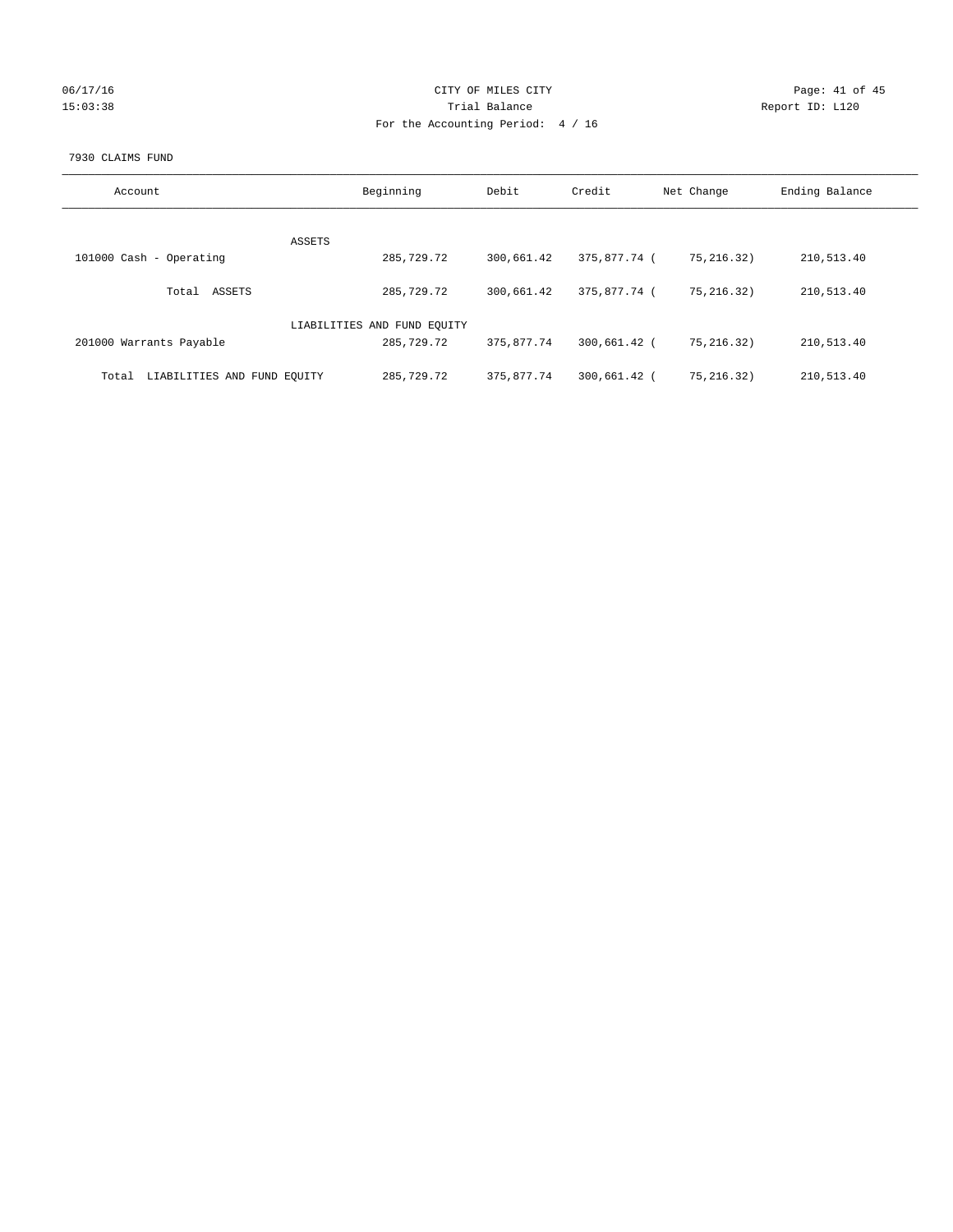| 06/17/16 |  |
|----------|--|
| 15:03:38 |  |

# CITY OF MILES CITY CONTROL CONTROL CONTROL CITY 15:03:38 Report ID: L120 For the Accounting Period: 4 / 16

#### 7930 CLAIMS FUND

| Account                              | Beginning                   | Debit      | Credit       | Net Change  | Ending Balance |
|--------------------------------------|-----------------------------|------------|--------------|-------------|----------------|
|                                      |                             |            |              |             |                |
|                                      | ASSETS                      |            |              |             |                |
| 101000 Cash - Operating              | 285,729.72                  | 300,661.42 | 375,877.74 ( | 75, 216.32) | 210,513.40     |
|                                      |                             |            |              |             |                |
| ASSETS<br>Total                      | 285,729.72                  | 300,661.42 | 375,877.74 ( | 75.216.32)  | 210,513.40     |
|                                      |                             |            |              |             |                |
|                                      | LIABILITIES AND FUND EQUITY |            |              |             |                |
| 201000 Warrants Payable              | 285,729.72                  | 375,877.74 | 300,661.42 ( | 75, 216.32) | 210,513.40     |
|                                      |                             |            |              |             |                |
| LIABILITIES AND FUND EQUITY<br>Total | 285,729.72                  | 375,877.74 | 300,661.42   | 75.216.32)  | 210,513.40     |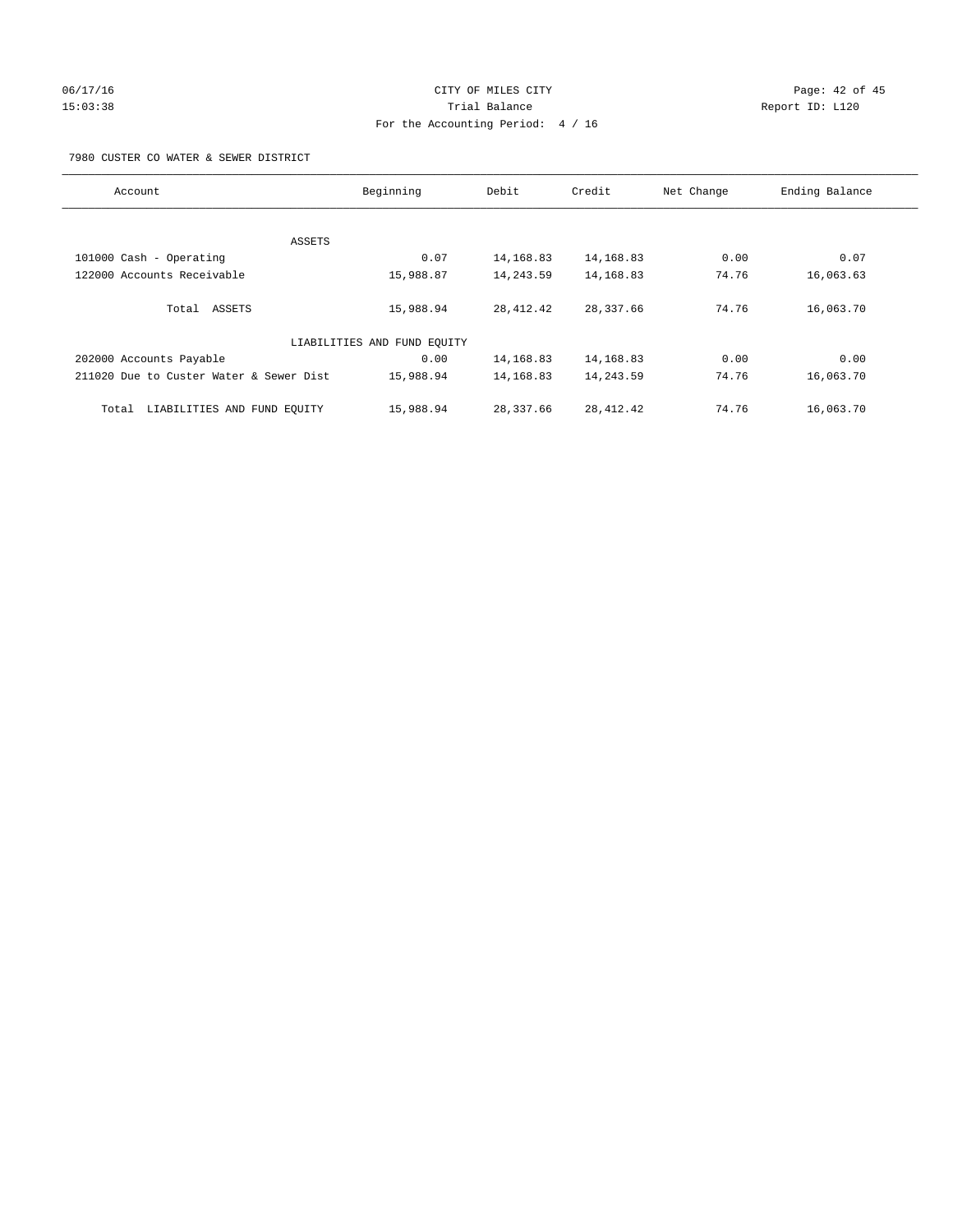# 06/17/16 Page: 42 of 45 15:03:38 Trial Balance Report ID: L120 For the Accounting Period: 4 / 16

7980 CUSTER CO WATER & SEWER DISTRICT

| Account                                 | Beginning                   | Debit      | Credit      | Net Change | Ending Balance |
|-----------------------------------------|-----------------------------|------------|-------------|------------|----------------|
|                                         |                             |            |             |            |                |
| ASSETS                                  |                             |            |             |            |                |
| 101000 Cash - Operating                 | 0.07                        | 14, 168.83 | 14,168.83   | 0.00       | 0.07           |
| 122000 Accounts Receivable              | 15,988.87                   | 14,243.59  | 14,168.83   | 74.76      | 16,063.63      |
| Total ASSETS                            | 15,988.94                   | 28, 412.42 | 28,337.66   | 74.76      | 16,063.70      |
|                                         | LIABILITIES AND FUND EQUITY |            |             |            |                |
| 202000 Accounts Payable                 | 0.00                        | 14,168.83  | 14,168.83   | 0.00       | 0.00           |
| 211020 Due to Custer Water & Sewer Dist | 15,988.94                   | 14,168.83  | 14,243.59   | 74.76      | 16,063.70      |
| LIABILITIES AND FUND EQUITY<br>Total    | 15,988.94                   | 28,337.66  | 28, 412. 42 | 74.76      | 16,063.70      |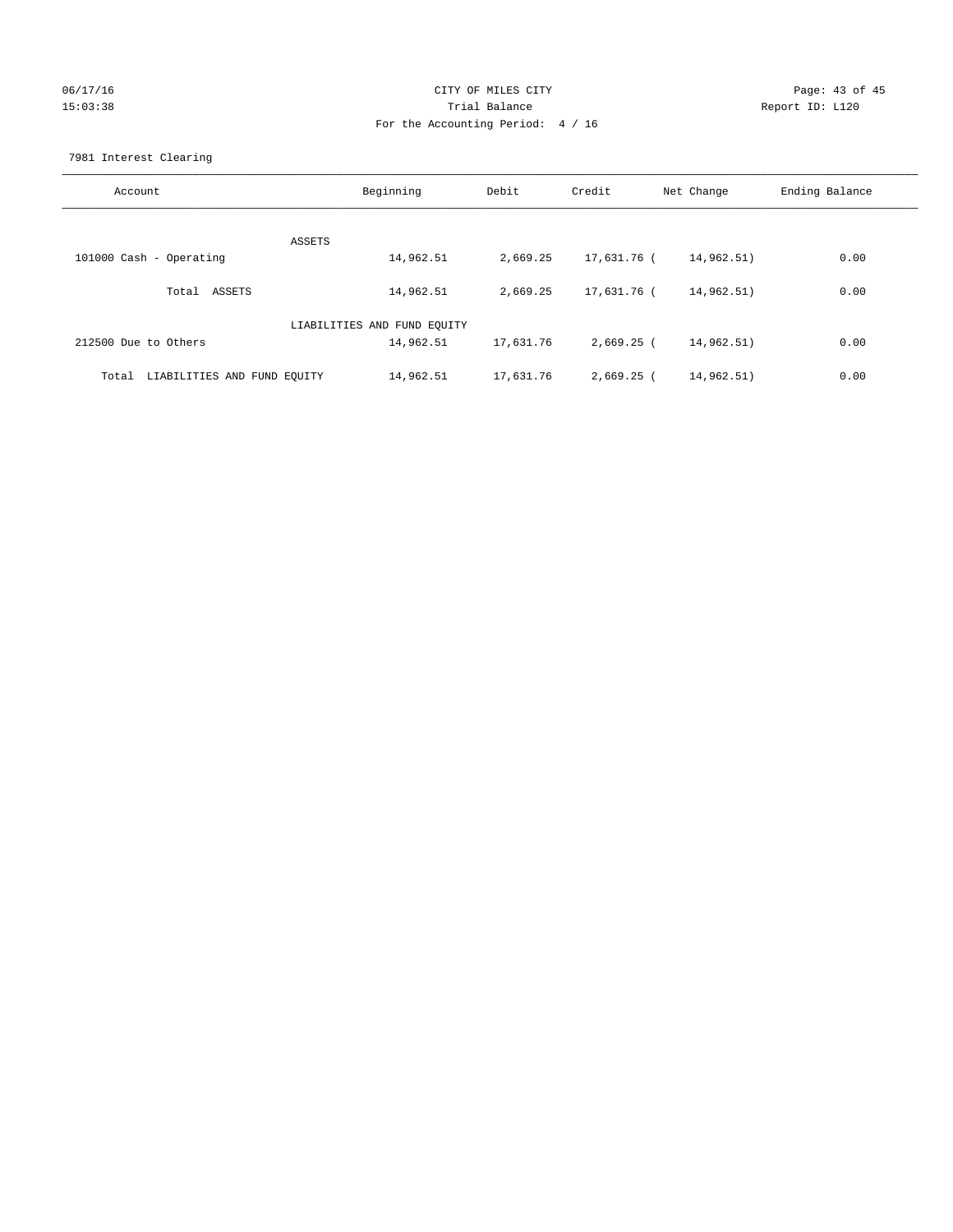# 06/17/16 Page: 43 of 45 15:03:38 Trial Balance Report ID: L120 For the Accounting Period: 4 / 16

7981 Interest Clearing

| Account                              | Beginning                   | Debit     | Credit       | Net Change | Ending Balance |
|--------------------------------------|-----------------------------|-----------|--------------|------------|----------------|
|                                      | ASSETS                      |           |              |            |                |
| 101000 Cash - Operating              | 14,962.51                   | 2,669.25  | 17,631.76 (  | 14,962.51) | 0.00           |
| Total ASSETS                         | 14,962.51                   | 2,669.25  | 17,631.76 (  | 14,962.51) | 0.00           |
|                                      | LIABILITIES AND FUND EQUITY |           |              |            |                |
| 212500 Due to Others                 | 14,962.51                   | 17,631.76 | 2,669.25 (   | 14,962.51) | 0.00           |
| LIABILITIES AND FUND EQUITY<br>Total | 14,962.51                   | 17,631.76 | $2,669.25$ ( | 14,962.51) | 0.00           |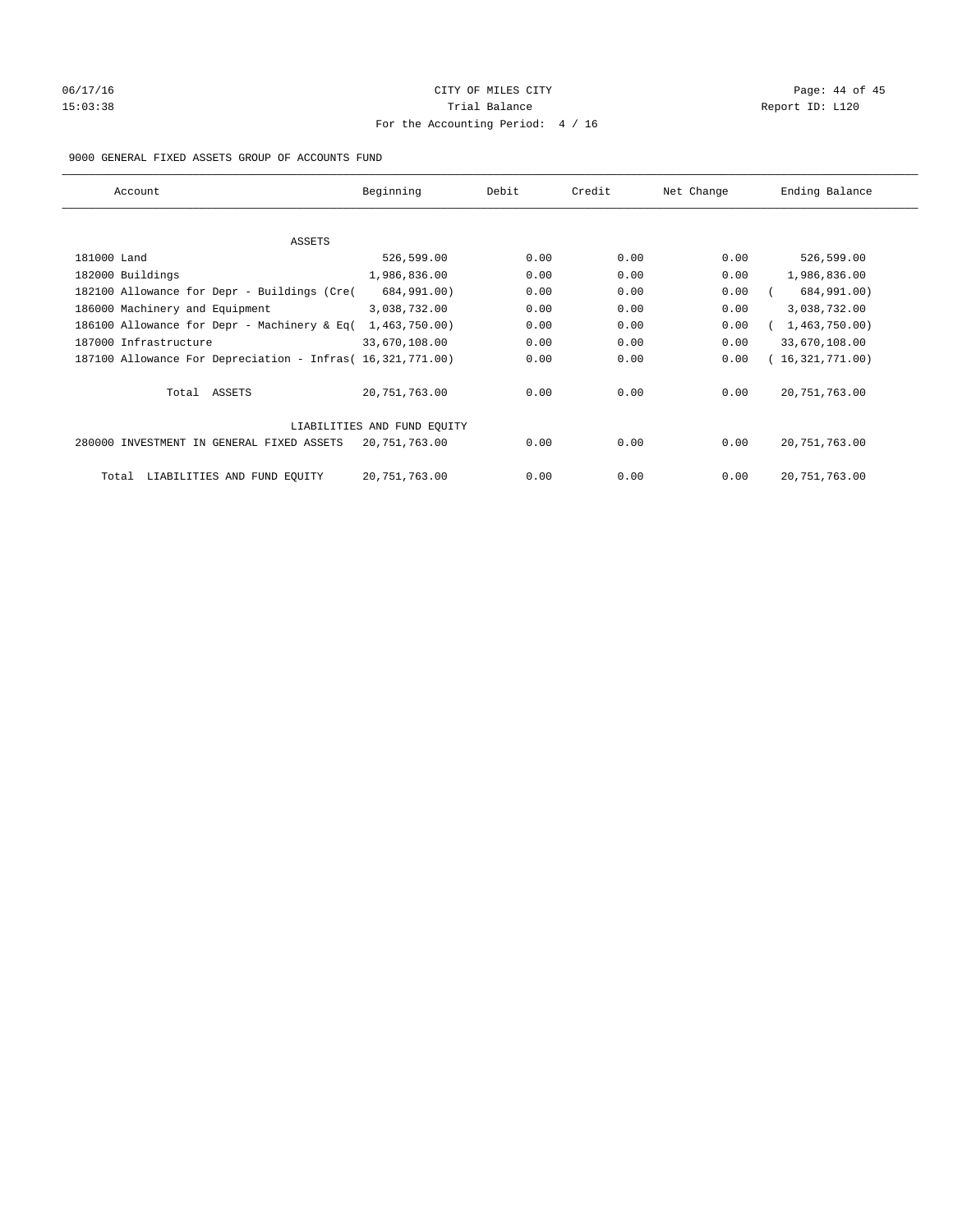# 06/17/16 Page: 44 of 45 15:03:38 Trial Balance Trial Balance Report ID: L120 For the Accounting Period: 4 / 16

#### 9000 GENERAL FIXED ASSETS GROUP OF ACCOUNTS FUND

| Account                                                    | Beginning                   | Debit | Credit | Net Change | Ending Balance  |
|------------------------------------------------------------|-----------------------------|-------|--------|------------|-----------------|
| ASSETS                                                     |                             |       |        |            |                 |
| 181000 Land                                                | 526,599.00                  | 0.00  | 0.00   | 0.00       | 526,599.00      |
| 182000 Buildings                                           | 1,986,836.00                | 0.00  | 0.00   | 0.00       | 1,986,836.00    |
| 182100 Allowance for Depr - Buildings (Cre(                | 684,991.00)                 | 0.00  | 0.00   | 0.00       | 684,991.00)     |
| 186000 Machinery and Equipment                             | 3,038,732.00                | 0.00  | 0.00   | 0.00       | 3,038,732.00    |
| 186100 Allowance for Depr - Machinery & Eq(                | 1,463,750.00)               | 0.00  | 0.00   | 0.00       | 1,463,750.00)   |
| 187000 Infrastructure                                      | 33,670,108.00               | 0.00  | 0.00   | 0.00       | 33,670,108.00   |
| 187100 Allowance For Depreciation - Infras( 16,321,771.00) |                             | 0.00  | 0.00   | 0.00       | 16,321,771.00)  |
| Total ASSETS                                               | 20,751,763.00               | 0.00  | 0.00   | 0.00       | 20, 751, 763.00 |
|                                                            | LIABILITIES AND FUND EQUITY |       |        |            |                 |
| 280000 INVESTMENT IN GENERAL FIXED ASSETS                  | 20,751,763.00               | 0.00  | 0.00   | 0.00       | 20, 751, 763.00 |
| LIABILITIES AND FUND EQUITY<br>Total                       | 20, 751, 763.00             | 0.00  | 0.00   | 0.00       | 20, 751, 763.00 |